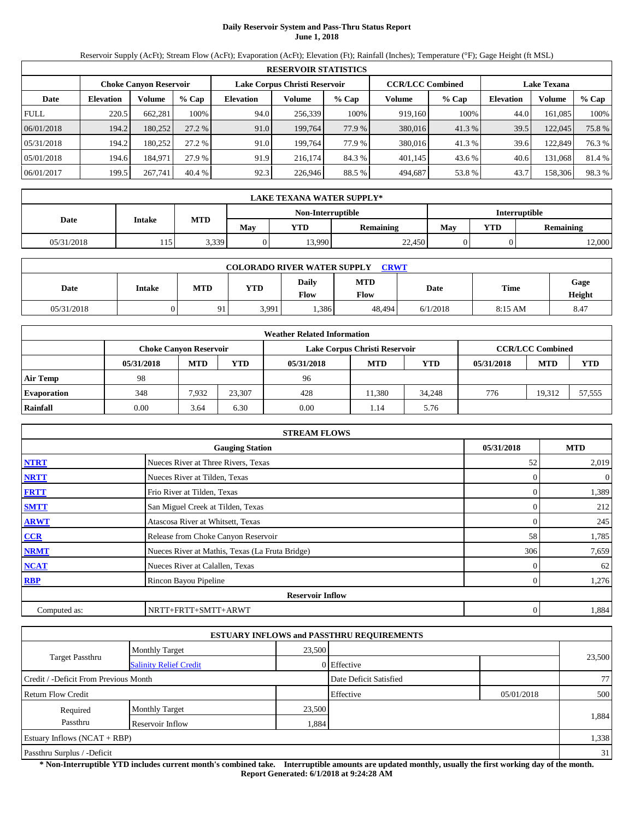## **Daily Reservoir System and Pass-Thru Status Report June 1, 2018**

Reservoir Supply (AcFt); Stream Flow (AcFt); Evaporation (AcFt); Elevation (Ft); Rainfall (Inches); Temperature (°F); Gage Height (ft MSL)

|             | <b>RESERVOIR STATISTICS</b> |                               |         |                               |         |        |                         |         |                    |               |       |  |
|-------------|-----------------------------|-------------------------------|---------|-------------------------------|---------|--------|-------------------------|---------|--------------------|---------------|-------|--|
|             |                             | <b>Choke Canyon Reservoir</b> |         | Lake Corpus Christi Reservoir |         |        | <b>CCR/LCC Combined</b> |         | <b>Lake Texana</b> |               |       |  |
| Date        | <b>Elevation</b>            | Volume                        | $%$ Cap | <b>Elevation</b>              | Volume  | % Cap  | Volume                  | $%$ Cap | <b>Elevation</b>   | <b>Volume</b> | % Cap |  |
| <b>FULL</b> | 220.5                       | 662.281                       | 100%    | 94.0                          | 256.339 | 100%   | 919.160                 | 100%    | 44.0               | 161.085       | 100%  |  |
| 06/01/2018  | 194.2                       | 180,252                       | 27.2%   | 91.0                          | 199.764 | 77.9 % | 380,016                 | 41.3%   | 39.5               | 122,045       | 75.8% |  |
| 05/31/2018  | 194.2                       | 180.252                       | 27.2 %  | 91.0                          | 199.764 | 77.9 % | 380,016                 | 41.3%   | 39.6               | 122,849       | 76.3% |  |
| 05/01/2018  | 194.6                       | 184.971                       | 27.9 %  | 91.9                          | 216.174 | 84.3 % | 401,145                 | 43.6 %  | 40.6               | 131,068       | 81.4% |  |
| 06/01/2017  | 199.5                       | 267,741                       | 40.4%   | 92.3                          | 226,946 | 88.5%  | 494,687                 | 53.8%   | 43.7               | 158,306       | 98.3% |  |

|                                           | <b>LAKE TEXANA WATER SUPPLY*</b> |            |     |            |                  |     |                         |        |  |  |
|-------------------------------------------|----------------------------------|------------|-----|------------|------------------|-----|-------------------------|--------|--|--|
| Non-Interruptible<br><b>Interruptible</b> |                                  |            |     |            |                  |     |                         |        |  |  |
| Date                                      | <b>Intake</b>                    | <b>MTD</b> | Mav | <b>YTD</b> | <b>Remaining</b> | May | YTD<br><b>Remaining</b> |        |  |  |
| 05/31/2018                                | 115                              | 3,339      |     | 13,990     | 22,450           |     |                         | 12,000 |  |  |

|            | <b>COLORADO RIVER WATER SUPPLY</b><br><b>CRWT</b> |            |       |               |                    |          |             |                |  |  |  |
|------------|---------------------------------------------------|------------|-------|---------------|--------------------|----------|-------------|----------------|--|--|--|
| Date       | Intake                                            | <b>MTD</b> | YTD   | Daily<br>Flow | <b>MTD</b><br>Flow | Date     | <b>Time</b> | Gage<br>Height |  |  |  |
| 05/31/2018 |                                                   | $\Omega$ 1 | 3,991 | .386          | 48.494             | 6/1/2018 | $8:15$ AM   | 8.47           |  |  |  |

|                    |            |                               |        | <b>Weather Related Information</b> |                               |            |            |                         |            |
|--------------------|------------|-------------------------------|--------|------------------------------------|-------------------------------|------------|------------|-------------------------|------------|
|                    |            | <b>Choke Canyon Reservoir</b> |        |                                    | Lake Corpus Christi Reservoir |            |            | <b>CCR/LCC Combined</b> |            |
|                    | 05/31/2018 | <b>MTD</b>                    | YTD    | 05/31/2018                         | <b>MTD</b>                    | <b>YTD</b> | 05/31/2018 | <b>MTD</b>              | <b>YTD</b> |
| <b>Air Temp</b>    | 98         |                               |        | 96                                 |                               |            |            |                         |            |
| <b>Evaporation</b> | 348        | 7.932                         | 23.307 | 428                                | 11.380                        | 34.248     | 776        | 19.312                  | 57.555     |
| Rainfall           | 0.00       | 3.64                          | 6.30   | 0.00                               | 1.14                          | 5.76       |            |                         |            |

|              | <b>STREAM FLOWS</b>                             |            |                |
|--------------|-------------------------------------------------|------------|----------------|
|              | <b>Gauging Station</b>                          | 05/31/2018 | <b>MTD</b>     |
| <b>NTRT</b>  | Nueces River at Three Rivers, Texas             | 52         | 2,019          |
| <b>NRTT</b>  | Nueces River at Tilden, Texas                   |            | $\overline{0}$ |
| <b>FRTT</b>  | Frio River at Tilden, Texas                     |            | 1,389          |
| <b>SMTT</b>  | San Miguel Creek at Tilden, Texas               |            | 212            |
| <b>ARWT</b>  | Atascosa River at Whitsett, Texas               |            | 245            |
| CCR          | Release from Choke Canyon Reservoir             | 58         | 1,785          |
| <b>NRMT</b>  | Nueces River at Mathis, Texas (La Fruta Bridge) | 306        | 7,659          |
| <b>NCAT</b>  | Nueces River at Calallen, Texas                 |            | 62             |
| <b>RBP</b>   | Rincon Bayou Pipeline                           |            | 1,276          |
|              | <b>Reservoir Inflow</b>                         |            |                |
| Computed as: | NRTT+FRTT+SMTT+ARWT                             | 0          | 1,884          |

|                                       |                               |        | <b>ESTUARY INFLOWS and PASSTHRU REQUIREMENTS</b> |            |        |
|---------------------------------------|-------------------------------|--------|--------------------------------------------------|------------|--------|
|                                       | <b>Monthly Target</b>         | 23,500 |                                                  |            |        |
| <b>Target Passthru</b>                | <b>Salinity Relief Credit</b> |        | 0 Effective                                      |            | 23,500 |
| Credit / -Deficit From Previous Month |                               |        | Date Deficit Satisfied                           |            | 771    |
| <b>Return Flow Credit</b>             |                               |        | Effective                                        | 05/01/2018 | 500    |
| Required                              | <b>Monthly Target</b>         | 23,500 |                                                  |            |        |
| Passthru                              | Reservoir Inflow              | 1,884  |                                                  |            | 1,884  |
| Estuary Inflows $(NCAT + RBP)$        |                               |        |                                                  |            | 1,338  |
| Passthru Surplus / -Deficit           |                               |        |                                                  |            | 31     |

**\* Non-Interruptible YTD includes current month's combined take. Interruptible amounts are updated monthly, usually the first working day of the month. Report Generated: 6/1/2018 at 9:24:28 AM**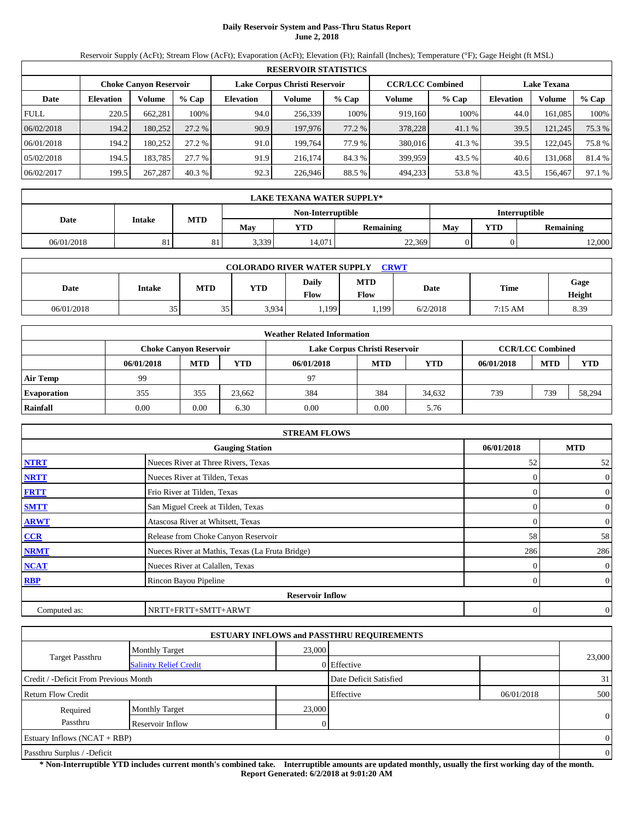## **Daily Reservoir System and Pass-Thru Status Report June 2, 2018**

Reservoir Supply (AcFt); Stream Flow (AcFt); Evaporation (AcFt); Elevation (Ft); Rainfall (Inches); Temperature (°F); Gage Height (ft MSL)

|             | <b>RESERVOIR STATISTICS</b> |                               |         |                               |         |        |                         |         |                    |               |        |  |
|-------------|-----------------------------|-------------------------------|---------|-------------------------------|---------|--------|-------------------------|---------|--------------------|---------------|--------|--|
|             |                             | <b>Choke Canyon Reservoir</b> |         | Lake Corpus Christi Reservoir |         |        | <b>CCR/LCC Combined</b> |         | <b>Lake Texana</b> |               |        |  |
| Date        | <b>Elevation</b>            | Volume                        | $%$ Cap | <b>Elevation</b>              | Volume  | % Cap  | Volume                  | $%$ Cap | <b>Elevation</b>   | <b>Volume</b> | % Cap  |  |
| <b>FULL</b> | 220.5                       | 662.281                       | 100%    | 94.0                          | 256.339 | 100%   | 919.160                 | 100%    | 44.0               | 161.085       | 100%   |  |
| 06/02/2018  | 194.2                       | 180,252                       | 27.2 %  | 90.9                          | 197,976 | 77.2 % | 378,228                 | 41.1 %  | 39.5               | 121,245       | 75.3 % |  |
| 06/01/2018  | 194.2                       | 180,252                       | 27.2 %  | 91.0                          | 199.764 | 77.9 % | 380,016                 | 41.3%   | 39.5               | 122,045       | 75.8%  |  |
| 05/02/2018  | 194.5                       | 183.785                       | 27.7 %  | 91.9                          | 216.174 | 84.3 % | 399.959                 | 43.5 %  | 40.6               | 131,068       | 81.4 % |  |
| 06/02/2017  | 199.5                       | 267,287                       | 40.3%   | 92.3                          | 226,946 | 88.5 % | 494,233                 | 53.8%   | 43.5               | 156,467       | 97.1 % |  |

|            | LAKE TEXANA WATER SUPPLY* |            |       |                   |                  |     |            |                      |  |  |
|------------|---------------------------|------------|-------|-------------------|------------------|-----|------------|----------------------|--|--|
|            |                           |            |       | Non-Interruptible |                  |     |            | <b>Interruptible</b> |  |  |
| Date       | Intake                    | <b>MTD</b> | Mav   | YTD               | <b>Remaining</b> | Mav | <b>YTD</b> | <b>Remaining</b>     |  |  |
| 06/01/2018 | 81                        | О 1<br>ΟI  | 3,339 | 14.071            | 22,369           |     |            | 12,000               |  |  |

| <b>COLORADO RIVER WATER SUPPLY</b><br><b>CRWT</b> |                 |     |            |               |                    |          |             |                |  |  |
|---------------------------------------------------|-----------------|-----|------------|---------------|--------------------|----------|-------------|----------------|--|--|
| Date                                              | <b>Intake</b>   | MTD | <b>YTD</b> | Daily<br>Flow | <b>MTD</b><br>Flow | Date     | <b>Time</b> | Gage<br>Height |  |  |
| 06/01/2018                                        | 35 <sub>1</sub> | 35  | 3.934      | 1,199         | .199               | 6/2/2018 | 7:15 AM     | 8.39           |  |  |

|                    | <b>Weather Related Information</b> |                               |            |            |                               |            |            |                         |            |  |  |
|--------------------|------------------------------------|-------------------------------|------------|------------|-------------------------------|------------|------------|-------------------------|------------|--|--|
|                    |                                    | <b>Choke Canvon Reservoir</b> |            |            | Lake Corpus Christi Reservoir |            |            | <b>CCR/LCC Combined</b> |            |  |  |
|                    | 06/01/2018                         | <b>MTD</b>                    | <b>YTD</b> | 06/01/2018 | <b>MTD</b>                    | <b>YTD</b> | 06/01/2018 | <b>MTD</b>              | <b>YTD</b> |  |  |
| <b>Air Temp</b>    | 99                                 |                               |            | 97         |                               |            |            |                         |            |  |  |
| <b>Evaporation</b> | 355                                | 355                           | 23.662     | 384        | 384                           | 34.632     | 739        | 739                     | 58,294     |  |  |
| Rainfall           | 0.00                               | 0.00                          | 6.30       | 0.00       | 0.00                          | 5.76       |            |                         |            |  |  |

|              | <b>STREAM FLOWS</b>                             |            |                |
|--------------|-------------------------------------------------|------------|----------------|
|              | <b>Gauging Station</b>                          | 06/01/2018 | <b>MTD</b>     |
| <b>NTRT</b>  | Nueces River at Three Rivers, Texas             | 52         | 52             |
| <b>NRTT</b>  | Nueces River at Tilden, Texas                   |            | $\mathbf{0}$   |
| <b>FRTT</b>  | Frio River at Tilden, Texas                     |            | $\mathbf{0}$   |
| <b>SMTT</b>  | San Miguel Creek at Tilden, Texas               | 0          | $\mathbf{0}$   |
| <b>ARWT</b>  | Atascosa River at Whitsett, Texas               | $\Omega$   | $\mathbf{0}$   |
| CCR          | Release from Choke Canyon Reservoir             | 58         | 58             |
| <b>NRMT</b>  | Nueces River at Mathis, Texas (La Fruta Bridge) | 286        | 286            |
| <b>NCAT</b>  | Nueces River at Calallen, Texas                 |            | $\overline{0}$ |
| <b>RBP</b>   | Rincon Bayou Pipeline                           | 0          | $\overline{0}$ |
|              | <b>Reservoir Inflow</b>                         |            |                |
| Computed as: | NRTT+FRTT+SMTT+ARWT                             | $\theta$   | $\overline{0}$ |

|                                       |                               |        | <b>ESTUARY INFLOWS and PASSTHRU REQUIREMENTS</b> |            |                |
|---------------------------------------|-------------------------------|--------|--------------------------------------------------|------------|----------------|
|                                       | <b>Monthly Target</b>         | 23,000 |                                                  |            |                |
| <b>Target Passthru</b>                | <b>Salinity Relief Credit</b> |        | 0 Effective                                      |            | 23,000         |
| Credit / -Deficit From Previous Month |                               |        | Date Deficit Satisfied                           |            | 31             |
| Return Flow Credit                    |                               |        | Effective                                        | 06/01/2018 | 500            |
| Required                              | <b>Monthly Target</b>         | 23,000 |                                                  |            |                |
| Passthru                              | Reservoir Inflow              |        |                                                  |            | $\overline{0}$ |
| Estuary Inflows $(NCAT + RBP)$        |                               |        |                                                  |            | $\Omega$       |
| Passthru Surplus / -Deficit           |                               |        |                                                  |            | $\overline{0}$ |

**\* Non-Interruptible YTD includes current month's combined take. Interruptible amounts are updated monthly, usually the first working day of the month. Report Generated: 6/2/2018 at 9:01:20 AM**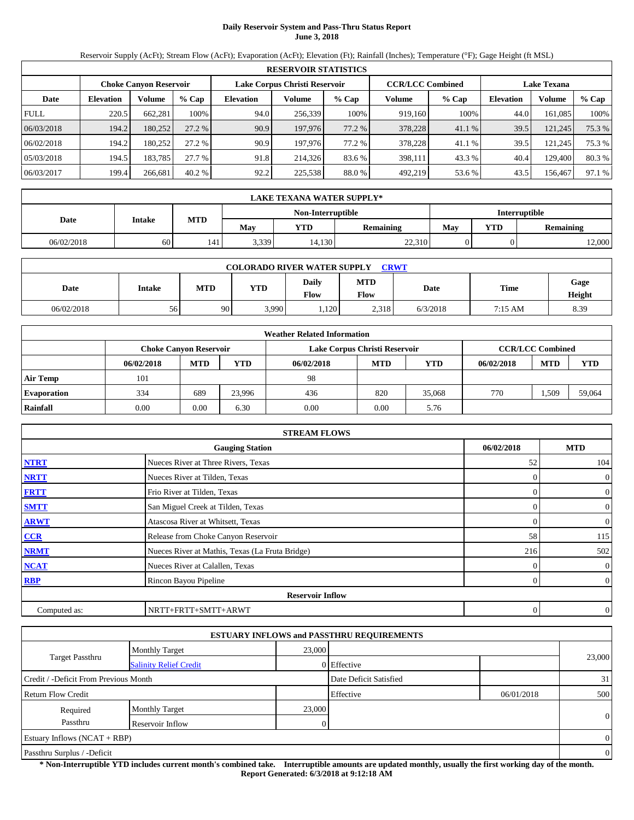## **Daily Reservoir System and Pass-Thru Status Report June 3, 2018**

Reservoir Supply (AcFt); Stream Flow (AcFt); Evaporation (AcFt); Elevation (Ft); Rainfall (Inches); Temperature (°F); Gage Height (ft MSL)

|             | <b>RESERVOIR STATISTICS</b> |                               |         |                               |         |          |                         |         |                    |               |        |
|-------------|-----------------------------|-------------------------------|---------|-------------------------------|---------|----------|-------------------------|---------|--------------------|---------------|--------|
|             |                             | <b>Choke Canyon Reservoir</b> |         | Lake Corpus Christi Reservoir |         |          | <b>CCR/LCC Combined</b> |         | <b>Lake Texana</b> |               |        |
| Date        | <b>Elevation</b>            | Volume                        | $%$ Cap | <b>Elevation</b>              | Volume  | % Cap    | Volume                  | $%$ Cap | <b>Elevation</b>   | <b>Volume</b> | % Cap  |
| <b>FULL</b> | 220.5                       | 662.281                       | 100%    | 94.0                          | 256.339 | 100%     | 919.160                 | 100%    | 44.0               | 161.085       | 100%   |
| 06/03/2018  | 194.2                       | 180,252                       | 27.2 %  | 90.9                          | 197,976 | 77.2 %   | 378,228                 | 41.1 %  | 39.5               | 121,245       | 75.3 % |
| 06/02/2018  | 194.2                       | 180.252                       | 27.2 %  | 90.9                          | 197.976 | 77.2 % 1 | 378,228                 | 41.1 %  | 39.5               | 121,245       | 75.3 % |
| 05/03/2018  | 194.5                       | 183.785                       | 27.7 %  | 91.8                          | 214.326 | 83.6 %   | 398,111                 | 43.3 %  | 40.4               | 129,400       | 80.3%  |
| 06/03/2017  | 199.4                       | 266,681                       | 40.2%   | 92.2                          | 225,538 | 88.0%    | 492,219                 | 53.6 %  | 43.5               | 156.467       | 97.1 % |

|                                           | LAKE TEXANA WATER SUPPLY* |            |       |        |                  |     |            |                  |  |  |  |
|-------------------------------------------|---------------------------|------------|-------|--------|------------------|-----|------------|------------------|--|--|--|
| <b>Interruptible</b><br>Non-Interruptible |                           |            |       |        |                  |     |            |                  |  |  |  |
| Date                                      | Intake                    | <b>MTD</b> | Mav   | YTD    | <b>Remaining</b> | Mav | <b>YTD</b> | <b>Remaining</b> |  |  |  |
| 06/02/2018                                | 60                        | 141        | 3,339 | 14,130 | 22,310           |     |            | 12,000           |  |  |  |

|            | <b>CRWT</b><br><b>COLORADO RIVER WATER SUPPLY</b> |     |            |               |                    |          |         |                |  |  |  |
|------------|---------------------------------------------------|-----|------------|---------------|--------------------|----------|---------|----------------|--|--|--|
| Date       | <b>Intake</b>                                     | MTD | <b>YTD</b> | Dailv<br>Flow | <b>MTD</b><br>Flow | Date     | Time    | Gage<br>Height |  |  |  |
| 06/02/2018 | 56                                                | 90  | 3,990      | 1.120         | 2,318              | 6/3/2018 | 7:15 AM | 8.39           |  |  |  |

|                    | <b>Weather Related Information</b> |                               |            |            |                               |            |            |                         |            |  |  |
|--------------------|------------------------------------|-------------------------------|------------|------------|-------------------------------|------------|------------|-------------------------|------------|--|--|
|                    |                                    | <b>Choke Canyon Reservoir</b> |            |            | Lake Corpus Christi Reservoir |            |            | <b>CCR/LCC Combined</b> |            |  |  |
|                    | 06/02/2018                         | <b>MTD</b>                    | <b>YTD</b> | 06/02/2018 | <b>MTD</b>                    | <b>YTD</b> | 06/02/2018 | <b>MTD</b>              | <b>YTD</b> |  |  |
| <b>Air Temp</b>    | 101                                |                               |            | 98         |                               |            |            |                         |            |  |  |
| <b>Evaporation</b> | 334                                | 689                           | 23.996     | 436        | 820                           | 35,068     | 770        | .509                    | 59,064     |  |  |
| Rainfall           | 0.00                               | 0.00                          | 6.30       | 0.00       | 0.00                          | 5.76       |            |                         |            |  |  |

|              | <b>STREAM FLOWS</b>                             |            |                  |
|--------------|-------------------------------------------------|------------|------------------|
|              | <b>Gauging Station</b>                          | 06/02/2018 | <b>MTD</b>       |
| <b>NTRT</b>  | Nueces River at Three Rivers, Texas             | 52         | 104              |
| <b>NRTT</b>  | Nueces River at Tilden, Texas                   |            | $\theta$         |
| <b>FRTT</b>  | Frio River at Tilden, Texas                     |            | $\overline{0}$   |
| <b>SMTT</b>  | San Miguel Creek at Tilden, Texas               | $\Omega$   | $\overline{0}$   |
| <b>ARWT</b>  | Atascosa River at Whitsett, Texas               | $\Omega$   | $\boldsymbol{0}$ |
| CCR          | Release from Choke Canyon Reservoir             | 58         | 115              |
| <b>NRMT</b>  | Nueces River at Mathis, Texas (La Fruta Bridge) | 216        | 502              |
| <b>NCAT</b>  | Nueces River at Calallen, Texas                 |            | $\theta$         |
| <b>RBP</b>   | Rincon Bayou Pipeline                           | $\Omega$   | $\overline{0}$   |
|              | <b>Reservoir Inflow</b>                         |            |                  |
| Computed as: | NRTT+FRTT+SMTT+ARWT                             | 0          | $\theta$         |

|                                       |                               |        | <b>ESTUARY INFLOWS and PASSTHRU REQUIREMENTS</b> |            |                |
|---------------------------------------|-------------------------------|--------|--------------------------------------------------|------------|----------------|
|                                       | <b>Monthly Target</b>         | 23,000 |                                                  |            |                |
| <b>Target Passthru</b>                | <b>Salinity Relief Credit</b> |        | 0 Effective                                      |            | 23,000         |
| Credit / -Deficit From Previous Month |                               |        | Date Deficit Satisfied                           |            | 31             |
| <b>Return Flow Credit</b>             |                               |        | Effective                                        | 06/01/2018 | 500            |
| Required                              | <b>Monthly Target</b>         | 23,000 |                                                  |            |                |
| Passthru                              | Reservoir Inflow              |        |                                                  |            | $\overline{0}$ |
| Estuary Inflows $(NCAT + RBP)$        |                               |        |                                                  |            | $\Omega$       |
| Passthru Surplus / -Deficit           |                               |        |                                                  |            | $\overline{0}$ |

**\* Non-Interruptible YTD includes current month's combined take. Interruptible amounts are updated monthly, usually the first working day of the month. Report Generated: 6/3/2018 at 9:12:18 AM**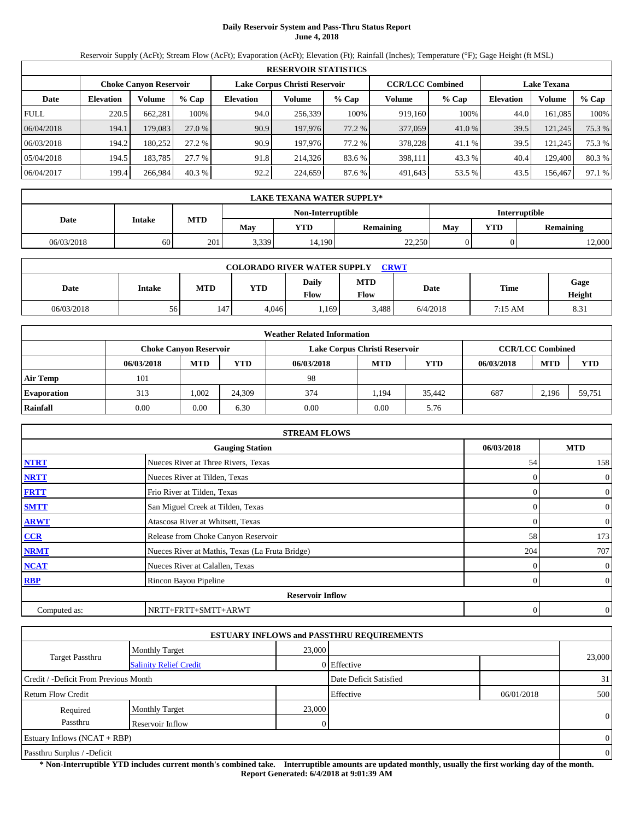## **Daily Reservoir System and Pass-Thru Status Report June 4, 2018**

Reservoir Supply (AcFt); Stream Flow (AcFt); Evaporation (AcFt); Elevation (Ft); Rainfall (Inches); Temperature (°F); Gage Height (ft MSL)

|             | <b>RESERVOIR STATISTICS</b> |                               |         |                               |         |        |                         |         |                    |         |          |
|-------------|-----------------------------|-------------------------------|---------|-------------------------------|---------|--------|-------------------------|---------|--------------------|---------|----------|
|             |                             | <b>Choke Canyon Reservoir</b> |         | Lake Corpus Christi Reservoir |         |        | <b>CCR/LCC Combined</b> |         | <b>Lake Texana</b> |         |          |
| Date        | <b>Elevation</b>            | Volume                        | $%$ Cap | <b>Elevation</b>              | Volume  | % Cap  | Volume                  | $%$ Cap | <b>Elevation</b>   | Volume  | $\%$ Cap |
| <b>FULL</b> | 220.5                       | 662.281                       | 100%    | 94.0                          | 256.339 | 100%   | 919.160                 | 100%    | 44.0               | 161.085 | 100%     |
| 06/04/2018  | 194.1                       | 179,083                       | 27.0 %  | 90.9                          | 197,976 | 77.2 % | 377,059                 | 41.0 %  | 39.5               | 121,245 | 75.3 %   |
| 06/03/2018  | 194.2                       | 180,252                       | 27.2 %  | 90.9                          | 197.976 | 77.2 % | 378,228                 | 41.1 %  | 39.5               | 121,245 | 75.3 %   |
| 05/04/2018  | 194.5                       | 183.785                       | 27.7 %  | 91.8                          | 214.326 | 83.6 % | 398,111                 | 43.3 %  | 40.4               | 129.400 | 80.3%    |
| 06/04/2017  | 199.4                       | 266.984                       | 40.3%   | 92.2                          | 224,659 | 87.6 % | 491.643                 | 53.5 %  | 43.5               | 156.467 | 97.1 %   |

|                                           | LAKE TEXANA WATER SUPPLY* |            |       |        |                  |     |            |                  |  |  |  |
|-------------------------------------------|---------------------------|------------|-------|--------|------------------|-----|------------|------------------|--|--|--|
| <b>Interruptible</b><br>Non-Interruptible |                           |            |       |        |                  |     |            |                  |  |  |  |
| Date                                      | Intake                    | <b>MTD</b> | Mav   | YTD    | <b>Remaining</b> | Mav | <b>YTD</b> | <b>Remaining</b> |  |  |  |
| 06/03/2018                                | 60                        | 201        | 3,339 | 14,190 | 22,250           |     |            | 12,000           |  |  |  |

| <b>CRWT</b><br><b>COLORADO RIVER WATER SUPPLY</b> |               |     |            |               |                    |          |         |                |  |  |
|---------------------------------------------------|---------------|-----|------------|---------------|--------------------|----------|---------|----------------|--|--|
| Date                                              | <b>Intake</b> | MTD | <b>YTD</b> | Dailv<br>Flow | <b>MTD</b><br>Flow | Date     | Time    | Gage<br>Height |  |  |
| 06/03/2018                                        | 56            | 147 | 4.046      | 1.169         | 3.488              | 6/4/2018 | 7:15 AM | 8.31           |  |  |

|                    | <b>Weather Related Information</b> |                               |            |            |                               |            |            |                         |        |  |  |
|--------------------|------------------------------------|-------------------------------|------------|------------|-------------------------------|------------|------------|-------------------------|--------|--|--|
|                    |                                    | <b>Choke Canvon Reservoir</b> |            |            | Lake Corpus Christi Reservoir |            |            | <b>CCR/LCC Combined</b> |        |  |  |
|                    | 06/03/2018                         | <b>MTD</b>                    | <b>YTD</b> | 06/03/2018 | <b>MTD</b>                    | <b>YTD</b> | 06/03/2018 | <b>MTD</b>              | YTD    |  |  |
| <b>Air Temp</b>    | 101                                |                               |            | 98         |                               |            |            |                         |        |  |  |
| <b>Evaporation</b> | 313                                | 1.002                         | 24.309     | 374        | 1.194                         | 35.442     | 687        | 2.196                   | 59.751 |  |  |
| Rainfall           | 0.00                               | 0.00                          | 6.30       | 0.00       | 0.00                          | 5.76       |            |                         |        |  |  |

|              | <b>STREAM FLOWS</b>                             |            |                |
|--------------|-------------------------------------------------|------------|----------------|
|              | <b>Gauging Station</b>                          | 06/03/2018 | <b>MTD</b>     |
| <b>NTRT</b>  | Nueces River at Three Rivers, Texas             | 54         | 158            |
| <b>NRTT</b>  | Nueces River at Tilden, Texas                   |            | $\mathbf{0}$   |
| <b>FRTT</b>  | Frio River at Tilden, Texas                     |            | $\mathbf{0}$   |
| <b>SMTT</b>  | San Miguel Creek at Tilden, Texas               |            | $\mathbf{0}$   |
| <b>ARWT</b>  | Atascosa River at Whitsett, Texas               | 0          | $\mathbf{0}$   |
| CCR          | Release from Choke Canyon Reservoir             | 58         | 173            |
| <b>NRMT</b>  | Nueces River at Mathis, Texas (La Fruta Bridge) | 204        | 707            |
| <b>NCAT</b>  | Nueces River at Calallen, Texas                 |            | $\mathbf{0}$   |
| <b>RBP</b>   | Rincon Bayou Pipeline                           | 0          | $\overline{0}$ |
|              | <b>Reservoir Inflow</b>                         |            |                |
| Computed as: | NRTT+FRTT+SMTT+ARWT                             | $\theta$   | $\overline{0}$ |

|                                       |                               |        | <b>ESTUARY INFLOWS and PASSTHRU REQUIREMENTS</b> |            |                |
|---------------------------------------|-------------------------------|--------|--------------------------------------------------|------------|----------------|
|                                       | <b>Monthly Target</b>         | 23,000 |                                                  |            |                |
| <b>Target Passthru</b>                | <b>Salinity Relief Credit</b> |        | 0 Effective                                      |            | 23,000         |
| Credit / -Deficit From Previous Month |                               |        | Date Deficit Satisfied                           |            | 31             |
| <b>Return Flow Credit</b>             |                               |        | Effective                                        | 06/01/2018 | 500            |
| Required                              | <b>Monthly Target</b>         | 23,000 |                                                  |            |                |
| Passthru                              | Reservoir Inflow              |        |                                                  |            | $\overline{0}$ |
| Estuary Inflows $(NCAT + RBP)$        |                               |        |                                                  |            | $\Omega$       |
| Passthru Surplus / -Deficit           |                               |        |                                                  |            | $\overline{0}$ |

**\* Non-Interruptible YTD includes current month's combined take. Interruptible amounts are updated monthly, usually the first working day of the month. Report Generated: 6/4/2018 at 9:01:39 AM**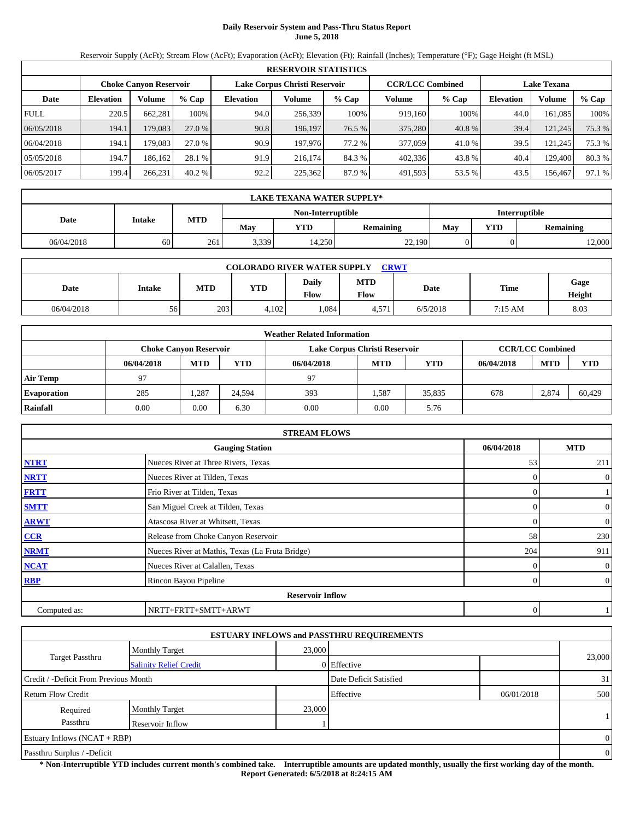## **Daily Reservoir System and Pass-Thru Status Report June 5, 2018**

Reservoir Supply (AcFt); Stream Flow (AcFt); Evaporation (AcFt); Elevation (Ft); Rainfall (Inches); Temperature (°F); Gage Height (ft MSL)

|             | <b>RESERVOIR STATISTICS</b> |                               |         |                               |         |        |                         |        |                    |               |          |  |  |
|-------------|-----------------------------|-------------------------------|---------|-------------------------------|---------|--------|-------------------------|--------|--------------------|---------------|----------|--|--|
|             |                             | <b>Choke Canyon Reservoir</b> |         | Lake Corpus Christi Reservoir |         |        | <b>CCR/LCC Combined</b> |        | <b>Lake Texana</b> |               |          |  |  |
| Date        | <b>Elevation</b>            | Volume                        | $%$ Cap | <b>Elevation</b>              | Volume  | % Cap  | Volume                  | % Cap  | <b>Elevation</b>   | <b>Volume</b> | $\%$ Cap |  |  |
| <b>FULL</b> | 220.5                       | 662.281                       | 100%    | 94.0                          | 256.339 | 100%   | 919.160                 | 100%   | 44.0               | 161.085       | 100%     |  |  |
| 06/05/2018  | 194.1                       | 179,083                       | 27.0 %  | 90.8                          | 196,197 | 76.5 % | 375,280                 | 40.8%  | 39.4               | 121,245       | 75.3 %   |  |  |
| 06/04/2018  | 194.1                       | 179.083                       | 27.0 %  | 90.9                          | 197.976 | 77.2 % | 377,059                 | 41.0%  | 39.5               | 121,245       | 75.3 %   |  |  |
| 05/05/2018  | 194.7                       | 186.162                       | 28.1 %  | 91.9                          | 216.174 | 84.3 % | 402,336                 | 43.8%  | 40.4               | 129,400       | 80.3%    |  |  |
| 06/05/2017  | 199.4                       | 266,231                       | 40.2%   | 92.2                          | 225,362 | 87.9%  | 491,593                 | 53.5 % | 43.5               | 156.467       | 97.1 %   |  |  |

|            | LAKE TEXANA WATER SUPPLY* |                      |       |        |                  |     |            |                  |  |  |  |
|------------|---------------------------|----------------------|-------|--------|------------------|-----|------------|------------------|--|--|--|
|            |                           | <b>Interruptible</b> |       |        |                  |     |            |                  |  |  |  |
| Date       | Intake                    | <b>MTD</b>           | Mav   | YTD    | <b>Remaining</b> | Mav | <b>YTD</b> | <b>Remaining</b> |  |  |  |
| 06/04/2018 | 60                        | 261                  | 3,339 | 14,250 | 22,190           |     |            | 12,000           |  |  |  |

| <b>CRWT</b><br><b>COLORADO RIVER WATER SUPPLY</b> |               |     |            |               |                    |          |         |                |  |  |
|---------------------------------------------------|---------------|-----|------------|---------------|--------------------|----------|---------|----------------|--|--|
| Date                                              | <b>Intake</b> | MTD | <b>YTD</b> | Dailv<br>Flow | <b>MTD</b><br>Flow | Date     | Time    | Gage<br>Height |  |  |
| 06/04/2018                                        | 56            | 203 | 4,102      | 1.084         | 4.571              | 6/5/2018 | 7:15 AM | 8.03           |  |  |

|                    | <b>Weather Related Information</b> |                                                                                           |            |            |            |            |            |            |            |  |  |  |
|--------------------|------------------------------------|-------------------------------------------------------------------------------------------|------------|------------|------------|------------|------------|------------|------------|--|--|--|
|                    |                                    | <b>CCR/LCC Combined</b><br>Lake Corpus Christi Reservoir<br><b>Choke Canvon Reservoir</b> |            |            |            |            |            |            |            |  |  |  |
|                    | 06/04/2018                         | <b>MTD</b>                                                                                | <b>YTD</b> | 06/04/2018 | <b>MTD</b> | <b>YTD</b> | 06/04/2018 | <b>MTD</b> | <b>YTD</b> |  |  |  |
| <b>Air Temp</b>    | 97                                 |                                                                                           |            | 97         |            |            |            |            |            |  |  |  |
| <b>Evaporation</b> | 285                                | .287                                                                                      | 24.594     | 393        | 1,587      | 35.835     | 678        | 2,874      | 60.429     |  |  |  |
| Rainfall           | 0.00                               | 0.00                                                                                      | 6.30       | 0.00       | 0.00       | 5.76       |            |            |            |  |  |  |

|              | <b>STREAM FLOWS</b>                             |            |                |
|--------------|-------------------------------------------------|------------|----------------|
|              | <b>Gauging Station</b>                          | 06/04/2018 | <b>MTD</b>     |
| <b>NTRT</b>  | Nueces River at Three Rivers, Texas             | 53         | 211            |
| <b>NRTT</b>  | Nueces River at Tilden, Texas                   |            | $\theta$       |
| <b>FRTT</b>  | Frio River at Tilden, Texas                     |            |                |
| <b>SMTT</b>  | San Miguel Creek at Tilden, Texas               | $\Omega$   | $\overline{0}$ |
| <b>ARWT</b>  | Atascosa River at Whitsett, Texas               | $\Omega$   | $\overline{0}$ |
| CCR          | Release from Choke Canyon Reservoir             | 58         | 230            |
| <b>NRMT</b>  | Nueces River at Mathis, Texas (La Fruta Bridge) | 204        | 911            |
| <b>NCAT</b>  | Nueces River at Calallen, Texas                 |            | $\theta$       |
| <b>RBP</b>   | Rincon Bayou Pipeline                           | $\Omega$   | $\overline{0}$ |
|              | <b>Reservoir Inflow</b>                         |            |                |
| Computed as: | NRTT+FRTT+SMTT+ARWT                             | 0          |                |

|                                                         |                       |        | <b>ESTUARY INFLOWS and PASSTHRU REQUIREMENTS</b> |            |                |
|---------------------------------------------------------|-----------------------|--------|--------------------------------------------------|------------|----------------|
|                                                         | <b>Monthly Target</b> | 23,000 |                                                  |            |                |
| <b>Target Passthru</b><br><b>Salinity Relief Credit</b> |                       |        | 0 Effective                                      |            | 23,000         |
| Credit / -Deficit From Previous Month                   |                       |        | Date Deficit Satisfied                           |            | 31             |
| <b>Return Flow Credit</b>                               |                       |        | Effective                                        | 06/01/2018 | 500            |
| Required                                                | <b>Monthly Target</b> | 23,000 |                                                  |            |                |
| Passthru                                                | Reservoir Inflow      |        |                                                  |            |                |
| Estuary Inflows $(NCAT + RBP)$                          |                       |        |                                                  |            | $\Omega$       |
| Passthru Surplus / -Deficit                             |                       |        |                                                  |            | $\overline{0}$ |

**\* Non-Interruptible YTD includes current month's combined take. Interruptible amounts are updated monthly, usually the first working day of the month. Report Generated: 6/5/2018 at 8:24:15 AM**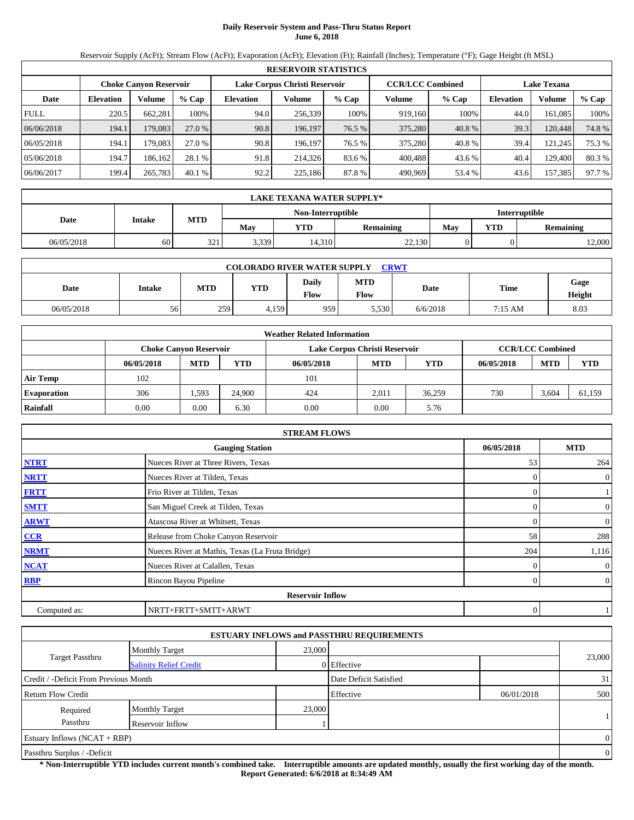# **Daily Reservoir System and Pass-Thru Status Report June 6, 2018**

Reservoir Supply (AcFt); Stream Flow (AcFt); Evaporation (AcFt); Elevation (Ft); Rainfall (Inches); Temperature (°F); Gage Height (ft MSL)

|             | <b>RESERVOIR STATISTICS</b> |                               |         |                               |         |        |                         |        |                    |               |          |  |  |
|-------------|-----------------------------|-------------------------------|---------|-------------------------------|---------|--------|-------------------------|--------|--------------------|---------------|----------|--|--|
|             |                             | <b>Choke Canyon Reservoir</b> |         | Lake Corpus Christi Reservoir |         |        | <b>CCR/LCC Combined</b> |        | <b>Lake Texana</b> |               |          |  |  |
| Date        | <b>Elevation</b>            | Volume                        | $%$ Cap | <b>Elevation</b>              | Volume  | % Cap  | Volume                  | % Cap  | <b>Elevation</b>   | <b>Volume</b> | $\%$ Cap |  |  |
| <b>FULL</b> | 220.5                       | 662.281                       | 100%    | 94.0                          | 256.339 | 100%   | 919.160                 | 100%   | 44.0               | 161.085       | 100%     |  |  |
| 06/06/2018  | 194.1                       | 179,083                       | 27.0 %  | 90.8                          | 196,197 | 76.5 % | 375,280                 | 40.8%  | 39.3               | 120,448       | 74.8%    |  |  |
| 06/05/2018  | 194.1                       | 179.083                       | 27.0 %  | 90.8                          | 196.197 | 76.5 % | 375.280                 | 40.8%  | 39.4               | 121,245       | 75.3 %   |  |  |
| 05/06/2018  | 194.7                       | 186.162                       | 28.1 %  | 91.8                          | 214.326 | 83.6 % | 400.488                 | 43.6 % | 40.4               | 129,400       | 80.3%    |  |  |
| 06/06/2017  | 199.4                       | 265,783                       | 40.1%   | 92.2                          | 225,186 | 87.8%  | 490.969                 | 53.4%  | 43.6               | 157,385       | 97.7 %   |  |  |

|            | <b>LAKE TEXANA WATER SUPPLY*</b> |                                              |                   |                      |        |     |     |                  |  |  |  |
|------------|----------------------------------|----------------------------------------------|-------------------|----------------------|--------|-----|-----|------------------|--|--|--|
|            |                                  |                                              | Non-Interruptible | <b>Interruptible</b> |        |     |     |                  |  |  |  |
| Date       | Intake                           | MTD<br>May<br><b>YTD</b><br><b>Remaining</b> |                   |                      |        | May | YTD | <b>Remaining</b> |  |  |  |
| 06/05/2018 | 60                               | 321                                          | 3.339             | 14,310               | 22,130 |     |     | 12,000           |  |  |  |

| <b>COLORADO RIVER WATER SUPPLY</b><br><b>CRWT</b> |               |            |       |                      |                           |          |         |                |  |  |
|---------------------------------------------------|---------------|------------|-------|----------------------|---------------------------|----------|---------|----------------|--|--|
| Date                                              | <b>Intake</b> | <b>MTD</b> | YTD   | <b>Daily</b><br>Flow | <b>MTD</b><br><b>Flow</b> | Date     | Time    | Gage<br>Height |  |  |
| 06/05/2018                                        | 56            | 259        | 4,159 | 9591                 | 5.530                     | 6/6/2018 | 7:15 AM | 8.03           |  |  |

|                    | <b>Weather Related Information</b> |                               |            |            |                               |            |            |                         |            |  |  |  |
|--------------------|------------------------------------|-------------------------------|------------|------------|-------------------------------|------------|------------|-------------------------|------------|--|--|--|
|                    |                                    | <b>Choke Canvon Reservoir</b> |            |            | Lake Corpus Christi Reservoir |            |            | <b>CCR/LCC Combined</b> |            |  |  |  |
|                    | 06/05/2018                         | <b>MTD</b>                    | <b>YTD</b> | 06/05/2018 | <b>MTD</b>                    | <b>YTD</b> | 06/05/2018 | <b>MTD</b>              | <b>YTD</b> |  |  |  |
| <b>Air Temp</b>    | 102                                |                               |            | 101        |                               |            |            |                         |            |  |  |  |
| <b>Evaporation</b> | 306                                | .593                          | 24,900     | 424        | 2.011                         | 36.259     | 730        | 3.604                   | 61.159     |  |  |  |
| Rainfall           | 0.00                               | 0.00                          | 6.30       | 0.00       | 0.00                          | 5.76       |            |                         |            |  |  |  |

|              | <b>STREAM FLOWS</b>                             |            |                |  |  |  |  |  |
|--------------|-------------------------------------------------|------------|----------------|--|--|--|--|--|
|              | <b>Gauging Station</b>                          | 06/05/2018 | <b>MTD</b>     |  |  |  |  |  |
| <b>NTRT</b>  | Nueces River at Three Rivers, Texas             | 53         | 264            |  |  |  |  |  |
| <b>NRTT</b>  | Nueces River at Tilden, Texas                   |            | $\overline{0}$ |  |  |  |  |  |
| <b>FRTT</b>  | Frio River at Tilden, Texas                     |            |                |  |  |  |  |  |
| <b>SMTT</b>  | San Miguel Creek at Tilden, Texas               |            | $\overline{0}$ |  |  |  |  |  |
| <b>ARWT</b>  | Atascosa River at Whitsett, Texas               |            | $\overline{0}$ |  |  |  |  |  |
| CCR          | Release from Choke Canyon Reservoir             | 58         | 288            |  |  |  |  |  |
| <b>NRMT</b>  | Nueces River at Mathis, Texas (La Fruta Bridge) | 204        | 1,116          |  |  |  |  |  |
| <b>NCAT</b>  | Nueces River at Calallen, Texas                 |            | $\overline{0}$ |  |  |  |  |  |
| <b>RBP</b>   | Rincon Bayou Pipeline                           |            | $\overline{0}$ |  |  |  |  |  |
|              | <b>Reservoir Inflow</b>                         |            |                |  |  |  |  |  |
| Computed as: | NRTT+FRTT+SMTT+ARWT                             | 0          |                |  |  |  |  |  |

|                                       |                               |        | <b>ESTUARY INFLOWS and PASSTHRU REQUIREMENTS</b> |            |          |  |
|---------------------------------------|-------------------------------|--------|--------------------------------------------------|------------|----------|--|
|                                       | <b>Monthly Target</b>         | 23,000 |                                                  |            |          |  |
| <b>Target Passthru</b>                | <b>Salinity Relief Credit</b> |        | 0 Effective                                      |            | 23,000   |  |
| Credit / -Deficit From Previous Month |                               |        | Date Deficit Satisfied                           |            | 31       |  |
| Return Flow Credit                    |                               |        | Effective                                        | 06/01/2018 | 500      |  |
| Required                              | <b>Monthly Target</b>         | 23,000 |                                                  |            |          |  |
| Passthru                              | Reservoir Inflow              |        |                                                  |            |          |  |
| Estuary Inflows $(NCAT + RBP)$        |                               |        |                                                  |            | $\Omega$ |  |
| Passthru Surplus / -Deficit           |                               |        |                                                  |            |          |  |

**\* Non-Interruptible YTD includes current month's combined take. Interruptible amounts are updated monthly, usually the first working day of the month. Report Generated: 6/6/2018 at 8:34:49 AM**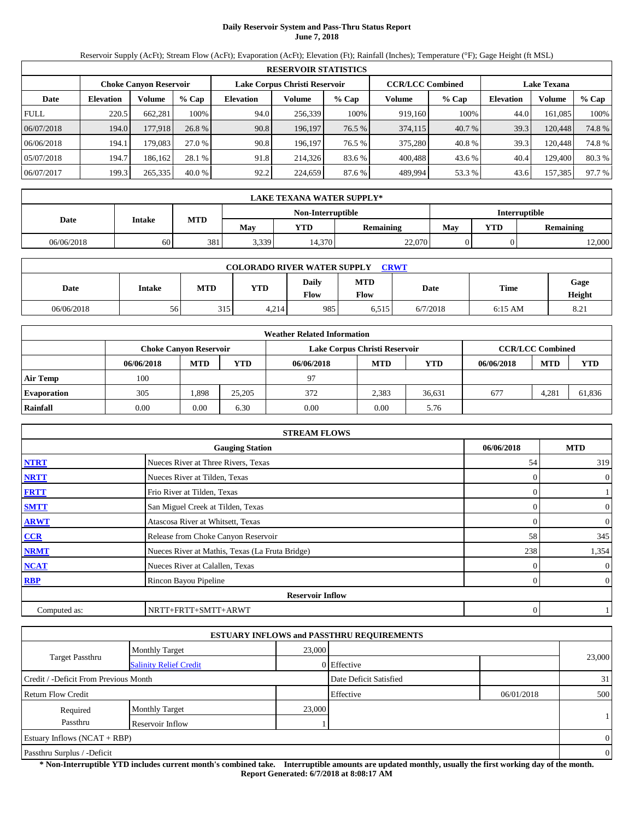## **Daily Reservoir System and Pass-Thru Status Report June 7, 2018**

Reservoir Supply (AcFt); Stream Flow (AcFt); Evaporation (AcFt); Elevation (Ft); Rainfall (Inches); Temperature (°F); Gage Height (ft MSL)

|             | <b>RESERVOIR STATISTICS</b> |                               |         |                               |         |        |                         |        |                    |         |          |  |  |
|-------------|-----------------------------|-------------------------------|---------|-------------------------------|---------|--------|-------------------------|--------|--------------------|---------|----------|--|--|
|             |                             | <b>Choke Canyon Reservoir</b> |         | Lake Corpus Christi Reservoir |         |        | <b>CCR/LCC Combined</b> |        | <b>Lake Texana</b> |         |          |  |  |
| Date        | <b>Elevation</b>            | Volume                        | $%$ Cap | <b>Elevation</b>              | Volume  | % Cap  | Volume                  | % Cap  | <b>Elevation</b>   | Volume  | $\%$ Cap |  |  |
| <b>FULL</b> | 220.5                       | 662.281                       | 100%    | 94.0                          | 256.339 | 100%   | 919.160                 | 100%   | 44.0               | 161.085 | 100%     |  |  |
| 06/07/2018  | 194.0                       | 177,918                       | 26.8 %  | 90.8                          | 196.197 | 76.5 % | 374,115                 | 40.7 % | 39.3               | 120,448 | 74.8%    |  |  |
| 06/06/2018  | 194.1                       | 179.083                       | 27.0 %  | 90.8                          | 196.197 | 76.5 % | 375,280                 | 40.8%  | 39.3               | 120.448 | 74.8%    |  |  |
| 05/07/2018  | 194.7                       | 186.162                       | 28.1 %  | 91.8                          | 214.326 | 83.6 % | 400.488                 | 43.6 % | 40.4               | 129.400 | 80.3%    |  |  |
| 06/07/2017  | 199.3                       | 265,335                       | 40.0%   | 92.2                          | 224,659 | 87.6 % | 489,994                 | 53.3 % | 43.6               | 157,385 | 97.7 %   |  |  |

|            | LAKE TEXANA WATER SUPPLY* |            |       |        |                  |     |            |                  |  |  |  |
|------------|---------------------------|------------|-------|--------|------------------|-----|------------|------------------|--|--|--|
|            | <b>Interruptible</b>      |            |       |        |                  |     |            |                  |  |  |  |
| Date       | Intake                    | <b>MTD</b> | Mav   | YTD    | <b>Remaining</b> | Mav | <b>YTD</b> | <b>Remaining</b> |  |  |  |
| 06/06/2018 | 60                        | 381        | 3,339 | 14,370 | 22,070           |     |            | 12,000           |  |  |  |

| <b>COLORADO RIVER WATER SUPPLY</b><br><b>CRWT</b> |               |            |       |                      |                           |          |           |                |  |  |
|---------------------------------------------------|---------------|------------|-------|----------------------|---------------------------|----------|-----------|----------------|--|--|
| Date                                              | <b>Intake</b> | <b>MTD</b> | YTD   | <b>Daily</b><br>Flow | <b>MTD</b><br><b>Flow</b> | Date     | Time      | Gage<br>Height |  |  |
| 06/06/2018                                        | 56            | 315        | 4,214 | 985                  | 6,515                     | 6/7/2018 | $6:15$ AM | 8.21           |  |  |

|                    | <b>Weather Related Information</b> |                               |            |            |                               |            |            |                         |        |  |  |  |
|--------------------|------------------------------------|-------------------------------|------------|------------|-------------------------------|------------|------------|-------------------------|--------|--|--|--|
|                    |                                    | <b>Choke Canvon Reservoir</b> |            |            | Lake Corpus Christi Reservoir |            |            | <b>CCR/LCC Combined</b> |        |  |  |  |
|                    | 06/06/2018                         | <b>MTD</b>                    | <b>YTD</b> | 06/06/2018 | <b>MTD</b>                    | <b>YTD</b> | 06/06/2018 | <b>MTD</b>              | YTD    |  |  |  |
| <b>Air Temp</b>    | 100                                |                               |            | 97         |                               |            |            |                         |        |  |  |  |
| <b>Evaporation</b> | 305                                | 1.898                         | 25,205     | 372        | 2.383                         | 36.631     | 677        | 4.281                   | 61.836 |  |  |  |
| Rainfall           | 0.00                               | 0.00                          | 6.30       | 0.00       | 0.00                          | 5.76       |            |                         |        |  |  |  |

|              | <b>STREAM FLOWS</b>                             |            |                |  |  |  |  |  |  |
|--------------|-------------------------------------------------|------------|----------------|--|--|--|--|--|--|
|              | <b>Gauging Station</b>                          | 06/06/2018 | <b>MTD</b>     |  |  |  |  |  |  |
| <b>NTRT</b>  | Nueces River at Three Rivers, Texas             | 54         | 319            |  |  |  |  |  |  |
| <b>NRTT</b>  | Nueces River at Tilden, Texas                   |            | $\overline{0}$ |  |  |  |  |  |  |
| <b>FRTT</b>  | Frio River at Tilden, Texas                     |            |                |  |  |  |  |  |  |
| <b>SMTT</b>  | San Miguel Creek at Tilden, Texas               |            | $\overline{0}$ |  |  |  |  |  |  |
| <b>ARWT</b>  | Atascosa River at Whitsett, Texas               |            | $\overline{0}$ |  |  |  |  |  |  |
| CCR          | Release from Choke Canyon Reservoir             | 58         | 345            |  |  |  |  |  |  |
| <b>NRMT</b>  | Nueces River at Mathis, Texas (La Fruta Bridge) | 238        | 1,354          |  |  |  |  |  |  |
| <b>NCAT</b>  | Nueces River at Calallen, Texas                 |            | $\overline{0}$ |  |  |  |  |  |  |
| <b>RBP</b>   | Rincon Bayou Pipeline                           |            | $\overline{0}$ |  |  |  |  |  |  |
|              | <b>Reservoir Inflow</b>                         |            |                |  |  |  |  |  |  |
| Computed as: | NRTT+FRTT+SMTT+ARWT                             | 0          |                |  |  |  |  |  |  |

|                                       |                               |        | <b>ESTUARY INFLOWS and PASSTHRU REQUIREMENTS</b> |            |                |
|---------------------------------------|-------------------------------|--------|--------------------------------------------------|------------|----------------|
|                                       | <b>Monthly Target</b>         | 23,000 |                                                  |            |                |
| <b>Target Passthru</b>                | <b>Salinity Relief Credit</b> |        | 0 Effective                                      |            | 23,000         |
| Credit / -Deficit From Previous Month |                               |        | Date Deficit Satisfied                           |            | 31             |
| <b>Return Flow Credit</b>             |                               |        | Effective                                        | 06/01/2018 | 500            |
| Required                              | <b>Monthly Target</b>         | 23,000 |                                                  |            |                |
| Passthru                              | Reservoir Inflow              |        |                                                  |            |                |
| Estuary Inflows $(NCAT + RBP)$        |                               |        |                                                  |            | $\Omega$       |
| Passthru Surplus / -Deficit           |                               |        |                                                  |            | $\overline{0}$ |

**\* Non-Interruptible YTD includes current month's combined take. Interruptible amounts are updated monthly, usually the first working day of the month. Report Generated: 6/7/2018 at 8:08:17 AM**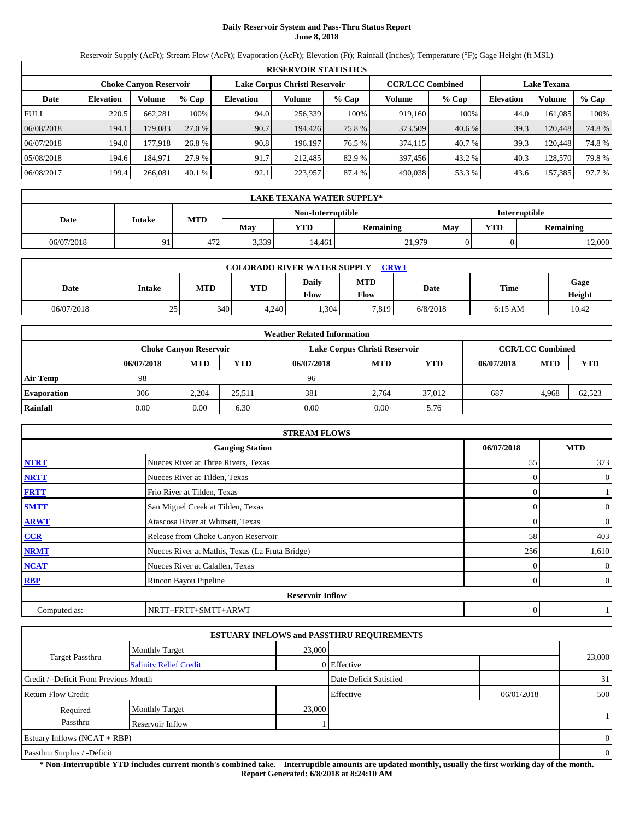# **Daily Reservoir System and Pass-Thru Status Report June 8, 2018**

Reservoir Supply (AcFt); Stream Flow (AcFt); Evaporation (AcFt); Elevation (Ft); Rainfall (Inches); Temperature (°F); Gage Height (ft MSL)

|             | <b>RESERVOIR STATISTICS</b> |                               |         |                               |         |        |                         |        |                    |         |        |  |  |
|-------------|-----------------------------|-------------------------------|---------|-------------------------------|---------|--------|-------------------------|--------|--------------------|---------|--------|--|--|
|             |                             | <b>Choke Canyon Reservoir</b> |         | Lake Corpus Christi Reservoir |         |        | <b>CCR/LCC Combined</b> |        | <b>Lake Texana</b> |         |        |  |  |
| Date        | <b>Elevation</b>            | Volume                        | $%$ Cap | Elevation                     | Volume  | % Cap  | Volume                  | % Cap  | <b>Elevation</b>   | Volume  | % Cap  |  |  |
| <b>FULL</b> | 220.5                       | 662,281                       | 100%    | 94.0                          | 256,339 | 100%   | 919,160                 | 100%   | 44.0               | 161.085 | 100%   |  |  |
| 06/08/2018  | 194.1                       | 179,083                       | 27.0 %  | 90.7                          | 194.426 | 75.8 % | 373,509                 | 40.6 % | 39.3               | 120,448 | 74.8%  |  |  |
| 06/07/2018  | 194.0                       | 177.918                       | 26.8 %  | 90.8                          | 196.197 | 76.5 % | 374,115                 | 40.7 % | 39.3               | 120,448 | 74.8%  |  |  |
| 05/08/2018  | 194.6                       | 184.971                       | 27.9 %  | 91.7                          | 212.485 | 82.9 % | 397,456                 | 43.2 % | 40.3               | 128,570 | 79.8%  |  |  |
| 06/08/2017  | 199.4                       | 266,081                       | 40.1%   | 92.1                          | 223,957 | 87.4 % | 490,038                 | 53.3%  | 43.6               | 157,385 | 97.7 % |  |  |

|            | LAKE TEXANA WATER SUPPLY* |                      |       |        |                  |     |            |                  |  |  |  |
|------------|---------------------------|----------------------|-------|--------|------------------|-----|------------|------------------|--|--|--|
|            |                           | <b>Interruptible</b> |       |        |                  |     |            |                  |  |  |  |
| Date       | Intake                    | <b>MTD</b>           | Mav   | YTD    | <b>Remaining</b> | Mav | <b>YTD</b> | <b>Remaining</b> |  |  |  |
| 06/07/2018 | 91                        | 472                  | 3,339 | 14.461 | 21,979           |     |            | 12,000           |  |  |  |

| <b>CRWT</b><br><b>COLORADO RIVER WATER SUPPLY</b> |               |     |            |               |                    |          |           |                |  |  |
|---------------------------------------------------|---------------|-----|------------|---------------|--------------------|----------|-----------|----------------|--|--|
| Date                                              | <b>Intake</b> | MTD | <b>YTD</b> | Daily<br>Flow | <b>MTD</b><br>Flow | Date     | Time      | Gage<br>Height |  |  |
| 06/07/2018                                        | 25            | 340 | 4,240      | .304          | 7,819              | 6/8/2018 | $6:15$ AM | 10.42          |  |  |

|                    | <b>Weather Related Information</b> |                               |            |            |                               |            |            |                         |            |  |  |  |
|--------------------|------------------------------------|-------------------------------|------------|------------|-------------------------------|------------|------------|-------------------------|------------|--|--|--|
|                    |                                    | <b>Choke Canvon Reservoir</b> |            |            | Lake Corpus Christi Reservoir |            |            | <b>CCR/LCC Combined</b> |            |  |  |  |
|                    | 06/07/2018                         | <b>MTD</b>                    | <b>YTD</b> | 06/07/2018 | <b>MTD</b>                    | <b>YTD</b> | 06/07/2018 | <b>MTD</b>              | <b>YTD</b> |  |  |  |
| <b>Air Temp</b>    | 98                                 |                               |            | 96         |                               |            |            |                         |            |  |  |  |
| <b>Evaporation</b> | 306                                | 2.204                         | 25.511     | 381        | 2.764                         | 37,012     | 687        | 4,968                   | 62.523     |  |  |  |
| Rainfall           | 0.00                               | 0.00                          | 6.30       | 0.00       | 0.00                          | 5.76       |            |                         |            |  |  |  |

|              | <b>STREAM FLOWS</b>                             |            |                |  |  |  |  |  |  |  |
|--------------|-------------------------------------------------|------------|----------------|--|--|--|--|--|--|--|
|              | <b>Gauging Station</b>                          | 06/07/2018 | <b>MTD</b>     |  |  |  |  |  |  |  |
| <b>NTRT</b>  | Nueces River at Three Rivers, Texas             | 55         | 373            |  |  |  |  |  |  |  |
| <b>NRTT</b>  | Nueces River at Tilden, Texas                   |            | $\overline{0}$ |  |  |  |  |  |  |  |
| <b>FRTT</b>  | Frio River at Tilden, Texas                     |            |                |  |  |  |  |  |  |  |
| <b>SMTT</b>  | San Miguel Creek at Tilden, Texas               |            | $\overline{0}$ |  |  |  |  |  |  |  |
| <b>ARWT</b>  | Atascosa River at Whitsett, Texas               |            | $\overline{0}$ |  |  |  |  |  |  |  |
| CCR          | Release from Choke Canyon Reservoir             | 58         | 403            |  |  |  |  |  |  |  |
| <b>NRMT</b>  | Nueces River at Mathis, Texas (La Fruta Bridge) | 256        | 1,610          |  |  |  |  |  |  |  |
| <b>NCAT</b>  | Nueces River at Calallen, Texas                 |            | $\overline{0}$ |  |  |  |  |  |  |  |
| <b>RBP</b>   | Rincon Bayou Pipeline                           |            | $\overline{0}$ |  |  |  |  |  |  |  |
|              | <b>Reservoir Inflow</b>                         |            |                |  |  |  |  |  |  |  |
| Computed as: | NRTT+FRTT+SMTT+ARWT                             | 0          |                |  |  |  |  |  |  |  |

|                                                         |                       |        | <b>ESTUARY INFLOWS and PASSTHRU REQUIREMENTS</b> |            |          |  |
|---------------------------------------------------------|-----------------------|--------|--------------------------------------------------|------------|----------|--|
|                                                         | <b>Monthly Target</b> | 23,000 |                                                  |            |          |  |
| <b>Target Passthru</b><br><b>Salinity Relief Credit</b> |                       |        | 0 Effective                                      |            | 23,000   |  |
| Credit / -Deficit From Previous Month                   |                       |        | Date Deficit Satisfied                           |            | 31       |  |
| Return Flow Credit                                      |                       |        | Effective                                        | 06/01/2018 | 500      |  |
| Required                                                | <b>Monthly Target</b> | 23,000 |                                                  |            |          |  |
| Passthru                                                | Reservoir Inflow      |        |                                                  |            |          |  |
| Estuary Inflows $(NCAT + RBP)$                          |                       |        |                                                  |            | $\Omega$ |  |
| Passthru Surplus / -Deficit                             |                       |        |                                                  |            |          |  |

**\* Non-Interruptible YTD includes current month's combined take. Interruptible amounts are updated monthly, usually the first working day of the month. Report Generated: 6/8/2018 at 8:24:10 AM**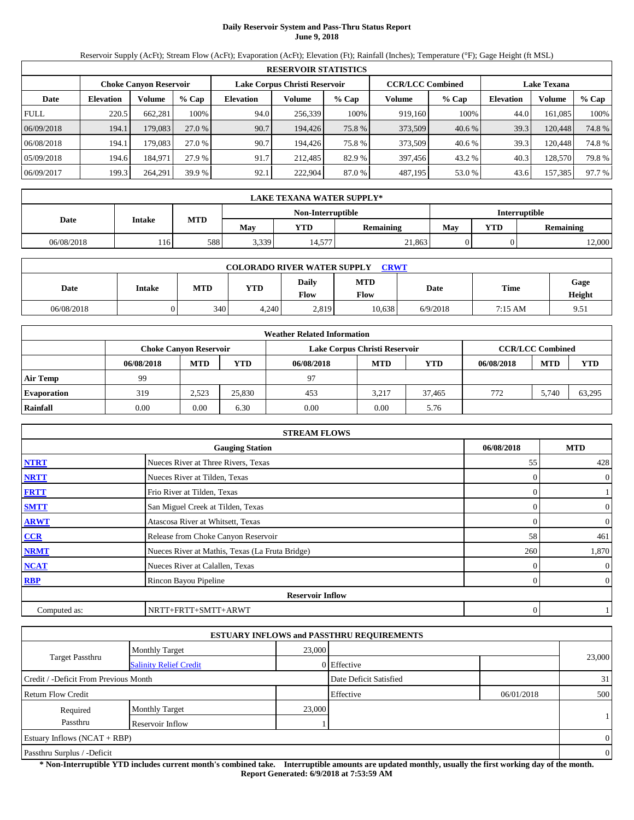## **Daily Reservoir System and Pass-Thru Status Report June 9, 2018**

Reservoir Supply (AcFt); Stream Flow (AcFt); Evaporation (AcFt); Elevation (Ft); Rainfall (Inches); Temperature (°F); Gage Height (ft MSL)

|             | <b>RESERVOIR STATISTICS</b> |                               |         |                               |         |        |                         |        |                    |               |        |  |
|-------------|-----------------------------|-------------------------------|---------|-------------------------------|---------|--------|-------------------------|--------|--------------------|---------------|--------|--|
|             |                             | <b>Choke Canyon Reservoir</b> |         | Lake Corpus Christi Reservoir |         |        | <b>CCR/LCC Combined</b> |        | <b>Lake Texana</b> |               |        |  |
| Date        | <b>Elevation</b>            | Volume                        | $%$ Cap | <b>Elevation</b>              | Volume  | % Cap  | Volume                  | % Cap  | <b>Elevation</b>   | <b>Volume</b> | % Cap  |  |
| <b>FULL</b> | 220.5                       | 662.281                       | 100%    | 94.0                          | 256.339 | 100%   | 919.160                 | 100%   | 44.0               | 161.085       | 100%   |  |
| 06/09/2018  | 194.1                       | 179,083                       | 27.0 %  | 90.7                          | 194.426 | 75.8 % | 373,509                 | 40.6 % | 39.3               | 120,448       | 74.8%  |  |
| 06/08/2018  | 194.1                       | 179.083                       | 27.0 %  | 90.7                          | 194.426 | 75.8%  | 373,509                 | 40.6 % | 39.3               | 120.448       | 74.8%  |  |
| 05/09/2018  | 194.6                       | 184.971                       | 27.9 %  | 91.7                          | 212.485 | 82.9 % | 397,456                 | 43.2 % | 40.3               | 128.570       | 79.8%  |  |
| 06/09/2017  | 199.3                       | 264,291                       | 39.9 %  | 92.1                          | 222.904 | 87.0%  | 487,195                 | 53.0%  | 43.6               | 157,385       | 97.7 % |  |

|                                           | LAKE TEXANA WATER SUPPLY* |            |       |        |                  |     |            |                  |  |  |  |
|-------------------------------------------|---------------------------|------------|-------|--------|------------------|-----|------------|------------------|--|--|--|
| <b>Interruptible</b><br>Non-Interruptible |                           |            |       |        |                  |     |            |                  |  |  |  |
| Date                                      | Intake                    | <b>MTD</b> | Mav   | YTD    | <b>Remaining</b> | Mav | <b>YTD</b> | <b>Remaining</b> |  |  |  |
| 06/08/2018                                | 116                       | 588        | 3,339 | 14,577 | 21,863           |     |            | 12,000           |  |  |  |

|            | <b>COLORADO RIVER WATER SUPPLY</b><br><b>CRWT</b> |            |            |               |                    |          |                   |                |  |  |  |  |
|------------|---------------------------------------------------|------------|------------|---------------|--------------------|----------|-------------------|----------------|--|--|--|--|
| Date       | Intake                                            | <b>MTD</b> | <b>YTD</b> | Daily<br>Flow | <b>MTD</b><br>Flow | Date     | <b>Time</b>       | Gage<br>Height |  |  |  |  |
| 06/08/2018 |                                                   | 340        | 4,240      | 2,819         | 10,638             | 6/9/2018 | $7:15 \text{ AM}$ | 9.51           |  |  |  |  |

|                    | <b>Weather Related Information</b> |                               |            |            |                               |            |            |                         |        |  |  |  |
|--------------------|------------------------------------|-------------------------------|------------|------------|-------------------------------|------------|------------|-------------------------|--------|--|--|--|
|                    |                                    | <b>Choke Canvon Reservoir</b> |            |            | Lake Corpus Christi Reservoir |            |            | <b>CCR/LCC Combined</b> |        |  |  |  |
|                    | 06/08/2018                         | <b>MTD</b>                    | <b>YTD</b> | 06/08/2018 | <b>MTD</b>                    | <b>YTD</b> | 06/08/2018 | <b>MTD</b>              | YTD    |  |  |  |
| <b>Air Temp</b>    | 99                                 |                               |            | 97         |                               |            |            |                         |        |  |  |  |
| <b>Evaporation</b> | 319                                | 2.523                         | 25,830     | 453        | 3.217                         | 37.465     | 772        | 5.740                   | 63,295 |  |  |  |
| Rainfall           | 0.00                               | 0.00                          | 6.30       | 0.00       | 0.00                          | 5.76       |            |                         |        |  |  |  |

|              | <b>STREAM FLOWS</b>                             |            |                |
|--------------|-------------------------------------------------|------------|----------------|
|              | <b>Gauging Station</b>                          | 06/08/2018 | <b>MTD</b>     |
| <b>NTRT</b>  | Nueces River at Three Rivers, Texas             | 55         | 428            |
| <b>NRTT</b>  | Nueces River at Tilden, Texas                   |            | $\theta$       |
| <b>FRTT</b>  | Frio River at Tilden, Texas                     |            |                |
| <b>SMTT</b>  | San Miguel Creek at Tilden, Texas               | $\Omega$   | $\overline{0}$ |
| <b>ARWT</b>  | Atascosa River at Whitsett, Texas               | $\Omega$   | $\overline{0}$ |
| CCR          | Release from Choke Canyon Reservoir             | 58         | 461            |
| <b>NRMT</b>  | Nueces River at Mathis, Texas (La Fruta Bridge) | 260        | 1,870          |
| <b>NCAT</b>  | Nueces River at Calallen, Texas                 |            | $\theta$       |
| <b>RBP</b>   | Rincon Bayou Pipeline                           | $\Omega$   | $\overline{0}$ |
|              | <b>Reservoir Inflow</b>                         |            |                |
| Computed as: | NRTT+FRTT+SMTT+ARWT                             | 0          |                |

|                                       |                               |        | <b>ESTUARY INFLOWS and PASSTHRU REQUIREMENTS</b> |            |                |
|---------------------------------------|-------------------------------|--------|--------------------------------------------------|------------|----------------|
|                                       | <b>Monthly Target</b>         | 23,000 |                                                  |            |                |
| <b>Target Passthru</b>                | <b>Salinity Relief Credit</b> |        | 0 Effective                                      |            | 23,000         |
| Credit / -Deficit From Previous Month |                               |        | Date Deficit Satisfied                           |            | 31             |
| <b>Return Flow Credit</b>             |                               |        | Effective                                        | 06/01/2018 | 500            |
| Required                              | <b>Monthly Target</b>         | 23,000 |                                                  |            |                |
| Passthru                              | Reservoir Inflow              |        |                                                  |            |                |
| Estuary Inflows $(NCAT + RBP)$        |                               |        |                                                  |            | $\Omega$       |
| Passthru Surplus / -Deficit           |                               |        |                                                  |            | $\overline{0}$ |

**\* Non-Interruptible YTD includes current month's combined take. Interruptible amounts are updated monthly, usually the first working day of the month. Report Generated: 6/9/2018 at 7:53:59 AM**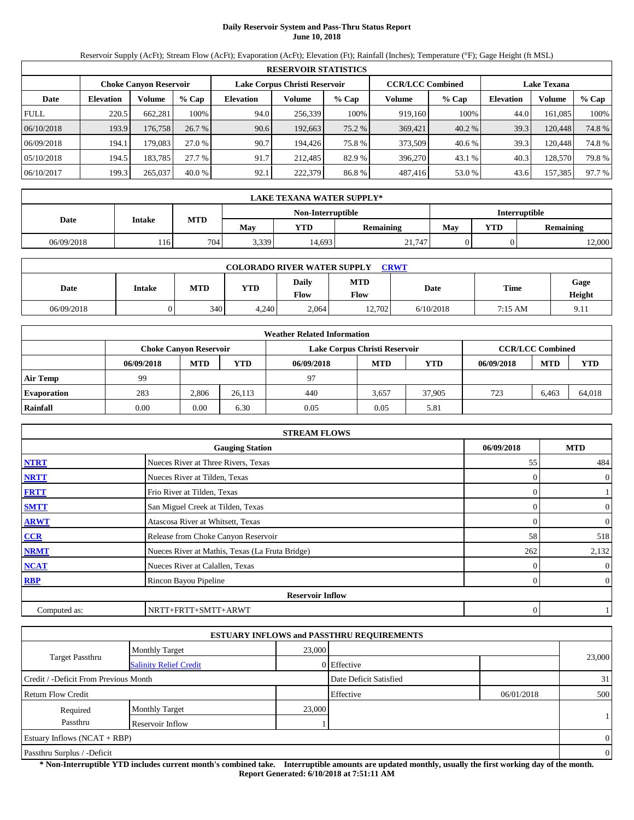## **Daily Reservoir System and Pass-Thru Status Report June 10, 2018**

Reservoir Supply (AcFt); Stream Flow (AcFt); Evaporation (AcFt); Elevation (Ft); Rainfall (Inches); Temperature (°F); Gage Height (ft MSL)

|             | <b>RESERVOIR STATISTICS</b> |                               |          |                               |         |        |                         |        |                    |         |        |  |  |
|-------------|-----------------------------|-------------------------------|----------|-------------------------------|---------|--------|-------------------------|--------|--------------------|---------|--------|--|--|
|             |                             | <b>Choke Canyon Reservoir</b> |          | Lake Corpus Christi Reservoir |         |        | <b>CCR/LCC Combined</b> |        | <b>Lake Texana</b> |         |        |  |  |
| Date        | <b>Elevation</b>            | Volume                        | $%$ Cap  | Elevation                     | Volume  | % Cap  | Volume                  | % Cap  | <b>Elevation</b>   | Volume  | % Cap  |  |  |
| <b>FULL</b> | 220.5                       | 662,281                       | 100%     | 94.0                          | 256,339 | 100%   | 919,160                 | 100%   | 44.0               | 161.085 | 100%   |  |  |
| 06/10/2018  | 193.9                       | 176,758                       | 26.7%    | 90.6                          | 192,663 | 75.2 % | 369,421                 | 40.2 % | 39.3               | 120,448 | 74.8%  |  |  |
| 06/09/2018  | 194.1                       | 179.083                       | 27.0 %   | 90.7                          | 194.426 | 75.8%  | 373.509                 | 40.6 % | 39.3               | 120,448 | 74.8%  |  |  |
| 05/10/2018  | 194.5                       | 183.785                       | 27.7 %   | 91.7                          | 212.485 | 82.9 % | 396,270                 | 43.1 % | 40.3               | 128,570 | 79.8%  |  |  |
| 06/10/2017  | 199.3                       | 265,037                       | $40.0\%$ | 92.1                          | 222,379 | 86.8%  | 487,416                 | 53.0%  | 43.6               | 157,385 | 97.7 % |  |  |

|                                           | LAKE TEXANA WATER SUPPLY* |            |       |        |                  |     |            |                  |  |  |  |
|-------------------------------------------|---------------------------|------------|-------|--------|------------------|-----|------------|------------------|--|--|--|
| <b>Interruptible</b><br>Non-Interruptible |                           |            |       |        |                  |     |            |                  |  |  |  |
| Date                                      | Intake                    | <b>MTD</b> | Mav   | YTD    | <b>Remaining</b> | Mav | <b>YTD</b> | <b>Remaining</b> |  |  |  |
| 06/09/2018                                | 116                       | 704        | 3,339 | 14,693 | 21,747           |     |            | 12,000           |  |  |  |

|            | <b>COLORADO RIVER WATER SUPPLY</b><br><b>CRWT</b> |     |            |                      |                    |           |         |                |  |  |  |  |
|------------|---------------------------------------------------|-----|------------|----------------------|--------------------|-----------|---------|----------------|--|--|--|--|
| Date       | <b>Intake</b>                                     | MTD | <b>YTD</b> | Daily<br><b>Flow</b> | <b>MTD</b><br>Flow | Date      | Time    | Gage<br>Height |  |  |  |  |
| 06/09/2018 |                                                   | 340 | 4.240      | 2.064                | 12.702             | 6/10/2018 | 7:15 AM | 9.11           |  |  |  |  |

|                    | <b>Weather Related Information</b> |                               |            |            |                               |            |            |                         |            |  |  |
|--------------------|------------------------------------|-------------------------------|------------|------------|-------------------------------|------------|------------|-------------------------|------------|--|--|
|                    |                                    | <b>Choke Canyon Reservoir</b> |            |            | Lake Corpus Christi Reservoir |            |            | <b>CCR/LCC Combined</b> |            |  |  |
|                    | 06/09/2018                         | <b>MTD</b>                    | <b>YTD</b> | 06/09/2018 | <b>MTD</b>                    | <b>YTD</b> | 06/09/2018 | <b>MTD</b>              | <b>YTD</b> |  |  |
| <b>Air Temp</b>    | 99                                 |                               |            | 97         |                               |            |            |                         |            |  |  |
| <b>Evaporation</b> | 283                                | 2.806                         | 26.113     | 440        | 3,657                         | 37,905     | 723        | 6.463                   | 64.018     |  |  |
| Rainfall           | 0.00                               | 0.00                          | 6.30       | 0.05       | 0.05                          | 5.81       |            |                         |            |  |  |

|              | <b>STREAM FLOWS</b>                             |            |                  |
|--------------|-------------------------------------------------|------------|------------------|
|              | <b>Gauging Station</b>                          | 06/09/2018 | <b>MTD</b>       |
| <b>NTRT</b>  | Nueces River at Three Rivers, Texas             | 55         | 484              |
| <b>NRTT</b>  | Nueces River at Tilden, Texas                   |            | $\theta$         |
| <b>FRTT</b>  | Frio River at Tilden, Texas                     |            |                  |
| <b>SMTT</b>  | San Miguel Creek at Tilden, Texas               | $\Omega$   | $\overline{0}$   |
| <b>ARWT</b>  | Atascosa River at Whitsett, Texas               | $\Omega$   | $\overline{0}$   |
| CCR          | Release from Choke Canyon Reservoir             | 58         | 518              |
| <b>NRMT</b>  | Nueces River at Mathis, Texas (La Fruta Bridge) | 262        | 2,132            |
| <b>NCAT</b>  | Nueces River at Calallen, Texas                 |            | $\boldsymbol{0}$ |
| <b>RBP</b>   | Rincon Bayou Pipeline                           | $\Omega$   | $\overline{0}$   |
|              | <b>Reservoir Inflow</b>                         |            |                  |
| Computed as: | NRTT+FRTT+SMTT+ARWT                             | 0          |                  |

|                                       |                               |        | <b>ESTUARY INFLOWS and PASSTHRU REQUIREMENTS</b> |            |                |
|---------------------------------------|-------------------------------|--------|--------------------------------------------------|------------|----------------|
|                                       | <b>Monthly Target</b>         | 23,000 |                                                  |            |                |
| <b>Target Passthru</b>                | <b>Salinity Relief Credit</b> |        | 0 Effective                                      |            | 23,000         |
| Credit / -Deficit From Previous Month |                               |        | Date Deficit Satisfied                           |            | 31             |
| <b>Return Flow Credit</b>             |                               |        | Effective                                        | 06/01/2018 | 500            |
| Required                              | <b>Monthly Target</b>         | 23,000 |                                                  |            |                |
| Passthru                              | Reservoir Inflow              |        |                                                  |            |                |
| Estuary Inflows $(NCAT + RBP)$        |                               |        |                                                  |            | $\Omega$       |
| Passthru Surplus / -Deficit           |                               |        |                                                  |            | $\overline{0}$ |

**\* Non-Interruptible YTD includes current month's combined take. Interruptible amounts are updated monthly, usually the first working day of the month. Report Generated: 6/10/2018 at 7:51:11 AM**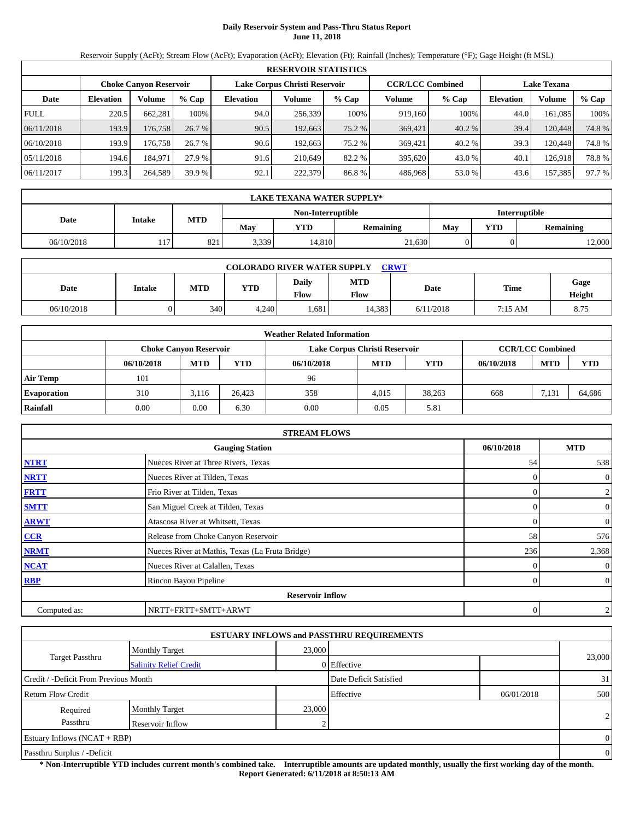## **Daily Reservoir System and Pass-Thru Status Report June 11, 2018**

Reservoir Supply (AcFt); Stream Flow (AcFt); Evaporation (AcFt); Elevation (Ft); Rainfall (Inches); Temperature (°F); Gage Height (ft MSL)

|                                                                                                                 | <b>RESERVOIR STATISTICS</b> |         |         |                  |         |        |         |        |                  |         |          |  |
|-----------------------------------------------------------------------------------------------------------------|-----------------------------|---------|---------|------------------|---------|--------|---------|--------|------------------|---------|----------|--|
| <b>CCR/LCC Combined</b><br>Lake Corpus Christi Reservoir<br><b>Lake Texana</b><br><b>Choke Canyon Reservoir</b> |                             |         |         |                  |         |        |         |        |                  |         |          |  |
| Date                                                                                                            | <b>Elevation</b>            | Volume  | $%$ Cap | <b>Elevation</b> | Volume  | % Cap  | Volume  | % Cap  | <b>Elevation</b> | Volume  | $\%$ Cap |  |
| <b>FULL</b>                                                                                                     | 220.5                       | 662.281 | 100%    | 94.0             | 256.339 | 100%   | 919.160 | 100%   | 44.0             | 161.085 | 100%     |  |
| 06/11/2018                                                                                                      | 193.9                       | 176,758 | 26.7%   | 90.5             | 192,663 | 75.2 % | 369,421 | 40.2 % | 39.4             | 120,448 | 74.8%    |  |
| 06/10/2018                                                                                                      | 193.9                       | 176.758 | 26.7 %  | 90.6             | 192.663 | 75.2 % | 369,421 | 40.2 % | 39.3             | 120.448 | 74.8%    |  |
| 05/11/2018                                                                                                      | 194.6                       | 184.971 | 27.9 %  | 91.6             | 210.649 | 82.2 % | 395.620 | 43.0 % | 40.1             | 126.918 | 78.8%    |  |
| 06/11/2017                                                                                                      | 199.3                       | 264.589 | 39.9 %  | 92.1             | 222,379 | 86.8%  | 486.968 | 53.0%  | 43.6             | 157,385 | 97.7 %   |  |

|            | <b>LAKE TEXANA WATER SUPPLY*</b> |            |       |                   |                  |                      |     |                  |  |  |
|------------|----------------------------------|------------|-------|-------------------|------------------|----------------------|-----|------------------|--|--|
|            |                                  |            |       | Non-Interruptible |                  | <b>Interruptible</b> |     |                  |  |  |
| Date       | <b>Intake</b>                    | <b>MTD</b> | May   | YTD               | <b>Remaining</b> | Mav                  | YTD | <b>Remaining</b> |  |  |
| 06/10/2018 | 117                              | 821        | 3,339 | 14,810            | 21,630           |                      |     | 12,000           |  |  |

| <b>CRWT</b><br><b>COLORADO RIVER WATER SUPPLY</b> |               |     |            |                             |                    |           |         |                |  |  |  |
|---------------------------------------------------|---------------|-----|------------|-----------------------------|--------------------|-----------|---------|----------------|--|--|--|
| Date                                              | <b>Intake</b> | MTD | <b>YTD</b> | <b>Daily</b><br><b>Flow</b> | <b>MTD</b><br>Flow | Date      | Time    | Gage<br>Height |  |  |  |
| 06/10/2018                                        |               | 340 | 4.240      | .681                        | 14.383             | 6/11/2018 | 7:15 AM | 8.75           |  |  |  |

|                    | <b>Weather Related Information</b> |                                                                                           |            |            |            |            |            |            |            |  |  |
|--------------------|------------------------------------|-------------------------------------------------------------------------------------------|------------|------------|------------|------------|------------|------------|------------|--|--|
|                    |                                    | <b>CCR/LCC Combined</b><br>Lake Corpus Christi Reservoir<br><b>Choke Canvon Reservoir</b> |            |            |            |            |            |            |            |  |  |
|                    | 06/10/2018                         | <b>MTD</b>                                                                                | <b>YTD</b> | 06/10/2018 | <b>MTD</b> | <b>YTD</b> | 06/10/2018 | <b>MTD</b> | <b>YTD</b> |  |  |
| <b>Air Temp</b>    | 101                                |                                                                                           |            | 96         |            |            |            |            |            |  |  |
| <b>Evaporation</b> | 310                                | 3.116                                                                                     | 26.423     | 358        | 4.015      | 38.263     | 668        | .131       | 64.686     |  |  |
| Rainfall           | 0.00                               | $0.00\,$                                                                                  | 6.30       | 0.00       | 0.05       | 5.81       |            |            |            |  |  |

|              | <b>STREAM FLOWS</b>                             |            |                |
|--------------|-------------------------------------------------|------------|----------------|
|              | <b>Gauging Station</b>                          | 06/10/2018 | <b>MTD</b>     |
| <b>NTRT</b>  | Nueces River at Three Rivers, Texas             | 54         | 538            |
| <b>NRTT</b>  | Nueces River at Tilden, Texas                   |            | $\mathbf{0}$   |
| <b>FRTT</b>  | Frio River at Tilden, Texas                     |            | $\overline{c}$ |
| <b>SMTT</b>  | San Miguel Creek at Tilden, Texas               | 0          | $\mathbf{0}$   |
| <b>ARWT</b>  | Atascosa River at Whitsett, Texas               | $\Omega$   | $\mathbf{0}$   |
| CCR          | Release from Choke Canyon Reservoir             | 58         | 576            |
| <b>NRMT</b>  | Nueces River at Mathis, Texas (La Fruta Bridge) | 236        | 2,368          |
| <b>NCAT</b>  | Nueces River at Calallen, Texas                 |            | $\mathbf{0}$   |
| <b>RBP</b>   | Rincon Bayou Pipeline                           | 0          | $\overline{0}$ |
|              | <b>Reservoir Inflow</b>                         |            |                |
| Computed as: | NRTT+FRTT+SMTT+ARWT                             | $\theta$   | $\overline{c}$ |

|                                       |                               |        | <b>ESTUARY INFLOWS and PASSTHRU REQUIREMENTS</b> |            |                |
|---------------------------------------|-------------------------------|--------|--------------------------------------------------|------------|----------------|
|                                       | <b>Monthly Target</b>         | 23,000 |                                                  |            |                |
| <b>Target Passthru</b>                | <b>Salinity Relief Credit</b> |        | 0 Effective                                      |            | 23,000         |
| Credit / -Deficit From Previous Month |                               |        | Date Deficit Satisfied                           |            | 31             |
| Return Flow Credit                    |                               |        | Effective                                        | 06/01/2018 | 500            |
| Required                              | <b>Monthly Target</b>         | 23,000 |                                                  |            |                |
| Passthru                              | Reservoir Inflow              |        |                                                  |            | $\overline{2}$ |
| Estuary Inflows $(NCAT + RBP)$        |                               |        |                                                  |            | $\Omega$       |
| Passthru Surplus / -Deficit           |                               |        |                                                  |            | $\overline{0}$ |

**\* Non-Interruptible YTD includes current month's combined take. Interruptible amounts are updated monthly, usually the first working day of the month. Report Generated: 6/11/2018 at 8:50:13 AM**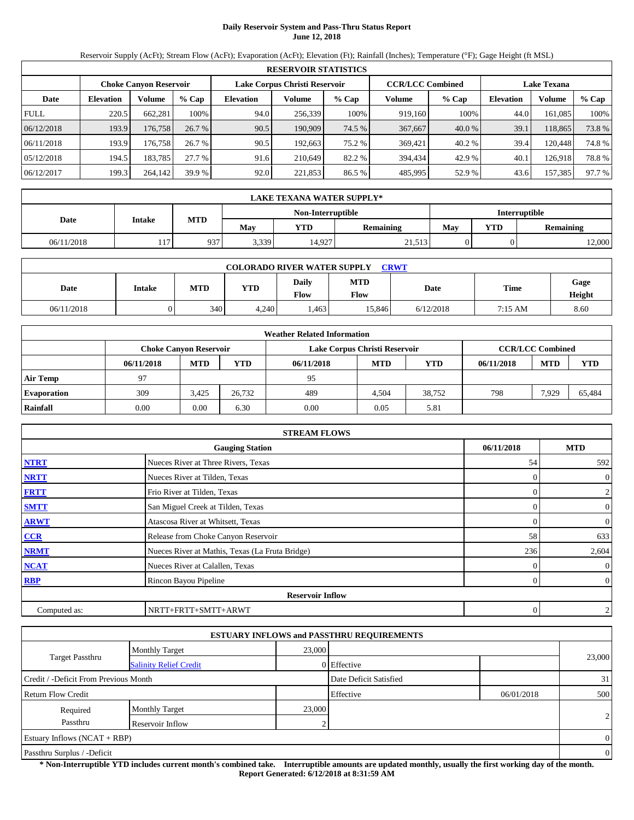## **Daily Reservoir System and Pass-Thru Status Report June 12, 2018**

Reservoir Supply (AcFt); Stream Flow (AcFt); Evaporation (AcFt); Elevation (Ft); Rainfall (Inches); Temperature (°F); Gage Height (ft MSL)

|                                                                                                                 | <b>RESERVOIR STATISTICS</b> |         |         |                  |         |        |         |        |           |         |        |  |
|-----------------------------------------------------------------------------------------------------------------|-----------------------------|---------|---------|------------------|---------|--------|---------|--------|-----------|---------|--------|--|
| <b>CCR/LCC Combined</b><br>Lake Corpus Christi Reservoir<br><b>Lake Texana</b><br><b>Choke Canyon Reservoir</b> |                             |         |         |                  |         |        |         |        |           |         |        |  |
| Date                                                                                                            | <b>Elevation</b>            | Volume  | $%$ Cap | <b>Elevation</b> | Volume  | % Cap  | Volume  | % Cap  | Elevation | Volume  | % Cap  |  |
| <b>FULL</b>                                                                                                     | 220.5                       | 662.281 | 100%    | 94.0             | 256.339 | 100%   | 919.160 | 100%   | 44.0      | 161,085 | 100%   |  |
| 06/12/2018                                                                                                      | 193.9                       | 176,758 | 26.7%   | 90.5             | 190.909 | 74.5 % | 367,667 | 40.0 % | 39.1      | 118,865 | 73.8%  |  |
| 06/11/2018                                                                                                      | 193.9                       | 176.758 | 26.7 %  | 90.5             | 192.663 | 75.2 % | 369,421 | 40.2 % | 39.4      | 120.448 | 74.8%  |  |
| 05/12/2018                                                                                                      | 194.5                       | 183,785 | 27.7%   | 91.6             | 210.649 | 82.2 % | 394,434 | 42.9 % | 40.1      | 126.918 | 78.8%  |  |
| 06/12/2017                                                                                                      | 199.3                       | 264,142 | 39.9%   | 92.0             | 221,853 | 86.5%  | 485,995 | 52.9 % | 43.6      | 157,385 | 97.7 % |  |

|            | <b>LAKE TEXANA WATER SUPPLY*</b> |            |       |                   |                      |     |     |                  |  |  |
|------------|----------------------------------|------------|-------|-------------------|----------------------|-----|-----|------------------|--|--|
|            | Intake                           |            |       | Non-Interruptible | <b>Interruptible</b> |     |     |                  |  |  |
| Date       |                                  | <b>MTD</b> | May   | YTD               | <b>Remaining</b>     | Mav | YTD | <b>Remaining</b> |  |  |
| 06/11/2018 | 117                              | 937        | 3,339 | 14,927            | 21,513               |     |     | 12,000           |  |  |

| <b>COLORADO RIVER WATER SUPPLY</b><br><b>CRWT</b> |               |            |            |                      |                    |           |         |                |  |  |  |
|---------------------------------------------------|---------------|------------|------------|----------------------|--------------------|-----------|---------|----------------|--|--|--|
| Date                                              | <b>Intake</b> | <b>MTD</b> | <b>YTD</b> | Daily<br><b>Flow</b> | <b>MTD</b><br>Flow | Date      | Time    | Gage<br>Height |  |  |  |
| 06/11/2018                                        |               | 340        | 4.240      | .463                 | 15.846             | 6/12/2018 | 7:15 AM | 8.60           |  |  |  |

|                    | <b>Weather Related Information</b> |                                                                                           |            |            |            |            |            |            |            |  |  |  |
|--------------------|------------------------------------|-------------------------------------------------------------------------------------------|------------|------------|------------|------------|------------|------------|------------|--|--|--|
|                    |                                    | <b>CCR/LCC Combined</b><br>Lake Corpus Christi Reservoir<br><b>Choke Canyon Reservoir</b> |            |            |            |            |            |            |            |  |  |  |
|                    | 06/11/2018                         | <b>MTD</b>                                                                                | <b>YTD</b> | 06/11/2018 | <b>MTD</b> | <b>YTD</b> | 06/11/2018 | <b>MTD</b> | <b>YTD</b> |  |  |  |
| <b>Air Temp</b>    | 97                                 |                                                                                           |            | 95         |            |            |            |            |            |  |  |  |
| <b>Evaporation</b> | 309                                | 3.425                                                                                     | 26.732     | 489        | 4.504      | 38.752     | 798        | 7.929      | 65.484     |  |  |  |
| Rainfall           | 0.00                               | 0.00                                                                                      | 6.30       | 0.00       | 0.05       | 5.81       |            |            |            |  |  |  |

|              | <b>STREAM FLOWS</b>                             |            |                |
|--------------|-------------------------------------------------|------------|----------------|
|              | <b>Gauging Station</b>                          | 06/11/2018 | <b>MTD</b>     |
| <b>NTRT</b>  | Nueces River at Three Rivers, Texas             | 54         | 592            |
| <b>NRTT</b>  | Nueces River at Tilden, Texas                   |            | $\mathbf{0}$   |
| <b>FRTT</b>  | Frio River at Tilden, Texas                     |            | $\overline{c}$ |
| <b>SMTT</b>  | San Miguel Creek at Tilden, Texas               | 0          | $\mathbf{0}$   |
| <b>ARWT</b>  | Atascosa River at Whitsett, Texas               | $\Omega$   | $\mathbf{0}$   |
| CCR          | Release from Choke Canyon Reservoir             | 58         | 633            |
| <b>NRMT</b>  | Nueces River at Mathis, Texas (La Fruta Bridge) | 236        | 2,604          |
| <b>NCAT</b>  | Nueces River at Calallen, Texas                 |            | $\mathbf{0}$   |
| <b>RBP</b>   | Rincon Bayou Pipeline                           | 0          | $\overline{0}$ |
|              | <b>Reservoir Inflow</b>                         |            |                |
| Computed as: | NRTT+FRTT+SMTT+ARWT                             | $\theta$   | $\overline{c}$ |

|                                       |                               |        | <b>ESTUARY INFLOWS and PASSTHRU REQUIREMENTS</b> |            |                |
|---------------------------------------|-------------------------------|--------|--------------------------------------------------|------------|----------------|
|                                       | <b>Monthly Target</b>         | 23,000 |                                                  |            |                |
| <b>Target Passthru</b>                | <b>Salinity Relief Credit</b> |        | 0 Effective                                      |            | 23,000         |
| Credit / -Deficit From Previous Month |                               |        | Date Deficit Satisfied                           |            | 31             |
| Return Flow Credit                    |                               |        | Effective                                        | 06/01/2018 | 500            |
| Required                              | <b>Monthly Target</b>         | 23,000 |                                                  |            |                |
| Passthru                              | Reservoir Inflow              |        |                                                  |            | $\overline{2}$ |
| Estuary Inflows $(NCAT + RBP)$        |                               |        |                                                  |            | $\Omega$       |
| Passthru Surplus / -Deficit           |                               |        |                                                  |            | $\overline{0}$ |

**\* Non-Interruptible YTD includes current month's combined take. Interruptible amounts are updated monthly, usually the first working day of the month. Report Generated: 6/12/2018 at 8:31:59 AM**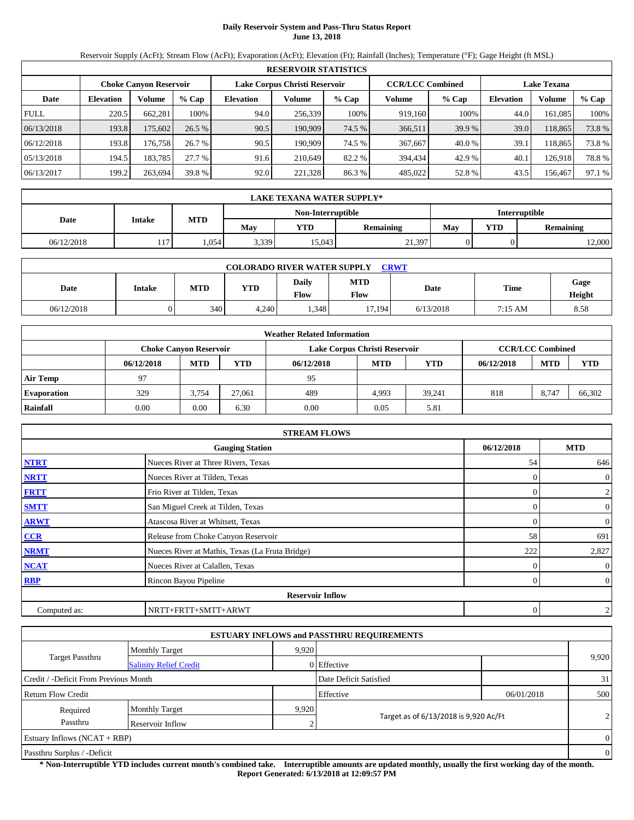## **Daily Reservoir System and Pass-Thru Status Report June 13, 2018**

Reservoir Supply (AcFt); Stream Flow (AcFt); Evaporation (AcFt); Elevation (Ft); Rainfall (Inches); Temperature (°F); Gage Height (ft MSL)

|                                                                                                                 | <b>RESERVOIR STATISTICS</b> |         |         |                  |         |        |         |         |                  |               |        |  |
|-----------------------------------------------------------------------------------------------------------------|-----------------------------|---------|---------|------------------|---------|--------|---------|---------|------------------|---------------|--------|--|
| <b>CCR/LCC Combined</b><br>Lake Corpus Christi Reservoir<br><b>Lake Texana</b><br><b>Choke Canyon Reservoir</b> |                             |         |         |                  |         |        |         |         |                  |               |        |  |
| Date                                                                                                            | <b>Elevation</b>            | Volume  | $%$ Cap | <b>Elevation</b> | Volume  | % Cap  | Volume  | $%$ Cap | <b>Elevation</b> | <b>Volume</b> | % Cap  |  |
| <b>FULL</b>                                                                                                     | 220.5                       | 662.281 | 100%    | 94.0             | 256.339 | 100%   | 919.160 | 100%    | 44.0             | 161.085       | 100%   |  |
| 06/13/2018                                                                                                      | 193.8                       | 175,602 | 26.5%   | 90.5             | 190.909 | 74.5 % | 366,511 | 39.9 %  | 39.0             | 118,865       | 73.8%  |  |
| 06/12/2018                                                                                                      | 193.8                       | 176.758 | 26.7 %  | 90.5             | 190.909 | 74.5 % | 367,667 | 40.0 %  | 39.1             | 118.865       | 73.8%  |  |
| 05/13/2018                                                                                                      | 194.5                       | 183,785 | 27.7 %  | 91.6             | 210.649 | 82.2 % | 394.434 | 42.9 %  | 40.1             | 126,918       | 78.8%  |  |
| 06/13/2017                                                                                                      | 199.2                       | 263,694 | 39.8 %  | 92.0             | 221,328 | 86.3%  | 485,022 | 52.8%   | 43.5             | 156.467       | 97.1 % |  |

|                                           | LAKE TEXANA WATER SUPPLY* |            |       |            |                                |  |                  |        |  |  |
|-------------------------------------------|---------------------------|------------|-------|------------|--------------------------------|--|------------------|--------|--|--|
| <b>Interruptible</b><br>Non-Interruptible |                           |            |       |            |                                |  |                  |        |  |  |
| Date                                      | <b>Intake</b>             | <b>MTD</b> | May   | <b>YTD</b> | <b>YTD</b><br>May<br>Remaining |  | <b>Remaining</b> |        |  |  |
| 06/12/2018                                | 17<br>11/                 | .054       | 3,339 | 15.043     | 21,397                         |  |                  | 12,000 |  |  |

| <b>COLORADO RIVER WATER SUPPLY</b><br><b>CRWT</b> |               |            |            |                      |                    |           |         |                |  |  |  |
|---------------------------------------------------|---------------|------------|------------|----------------------|--------------------|-----------|---------|----------------|--|--|--|
| Date                                              | <b>Intake</b> | <b>MTD</b> | <b>YTD</b> | Daily<br><b>Flow</b> | <b>MTD</b><br>Flow | Date      | Time    | Gage<br>Height |  |  |  |
| 06/12/2018                                        |               | 340        | 4.240      | .348                 | 17.194             | 6/13/2018 | 7:15 AM | 8.58           |  |  |  |

|                    | <b>Weather Related Information</b> |                               |            |            |                               |        |            |                         |        |  |  |
|--------------------|------------------------------------|-------------------------------|------------|------------|-------------------------------|--------|------------|-------------------------|--------|--|--|
|                    |                                    | <b>Choke Canyon Reservoir</b> |            |            | Lake Corpus Christi Reservoir |        |            | <b>CCR/LCC Combined</b> |        |  |  |
|                    | 06/12/2018                         | <b>MTD</b>                    | <b>YTD</b> | 06/12/2018 | <b>MTD</b>                    | YTD    | 06/12/2018 | <b>MTD</b>              | YTD    |  |  |
| <b>Air Temp</b>    | Q <sub>0</sub>                     |                               |            | 95         |                               |        |            |                         |        |  |  |
| <b>Evaporation</b> | 329                                | 3.754                         | 27.061     | 489        | 4,993                         | 39.241 | 818        | 8.747                   | 66,302 |  |  |
| Rainfall           | 0.00                               | 0.00                          | 6.30       | 0.00       | 0.05                          | 5.81   |            |                         |        |  |  |

|              | <b>STREAM FLOWS</b>                             |            |                |
|--------------|-------------------------------------------------|------------|----------------|
|              | <b>Gauging Station</b>                          | 06/12/2018 | <b>MTD</b>     |
| <b>NTRT</b>  | Nueces River at Three Rivers, Texas             | 54         | 646            |
| <b>NRTT</b>  | Nueces River at Tilden, Texas                   |            | $\overline{0}$ |
| <b>FRTT</b>  | Frio River at Tilden, Texas                     |            | $\overline{c}$ |
| <b>SMTT</b>  | San Miguel Creek at Tilden, Texas               | 0          | $\mathbf{0}$   |
| <b>ARWT</b>  | Atascosa River at Whitsett, Texas               | $\Omega$   | $\mathbf{0}$   |
| CCR          | Release from Choke Canyon Reservoir             | 58         | 691            |
| <b>NRMT</b>  | Nueces River at Mathis, Texas (La Fruta Bridge) | 222        | 2,827          |
| <b>NCAT</b>  | Nueces River at Calallen, Texas                 |            | $\mathbf{0}$   |
| <b>RBP</b>   | Rincon Bayou Pipeline                           | 0          | $\overline{0}$ |
|              | <b>Reservoir Inflow</b>                         |            |                |
| Computed as: | NRTT+FRTT+SMTT+ARWT                             | $\theta$   | $\overline{c}$ |

|                                       |                               |       | <b>ESTUARY INFLOWS and PASSTHRU REQUIREMENTS</b> |            |                |
|---------------------------------------|-------------------------------|-------|--------------------------------------------------|------------|----------------|
|                                       | <b>Monthly Target</b>         | 9.920 |                                                  |            |                |
| Target Passthru                       | <b>Salinity Relief Credit</b> |       | 0 Effective                                      |            | 9,920          |
| Credit / -Deficit From Previous Month |                               |       | Date Deficit Satisfied                           |            | 31             |
| <b>Return Flow Credit</b>             |                               |       | Effective                                        | 06/01/2018 | 500            |
| Required                              | <b>Monthly Target</b>         | 9,920 |                                                  |            |                |
| Passthru                              | Reservoir Inflow              |       | Target as of 6/13/2018 is 9,920 Ac/Ft            |            | $\overline{2}$ |
| Estuary Inflows $(NCAT + RBP)$        |                               |       |                                                  |            | $\Omega$       |
| Passthru Surplus / -Deficit           |                               |       |                                                  |            | $\overline{0}$ |

**\* Non-Interruptible YTD includes current month's combined take. Interruptible amounts are updated monthly, usually the first working day of the month. Report Generated: 6/13/2018 at 12:09:57 PM**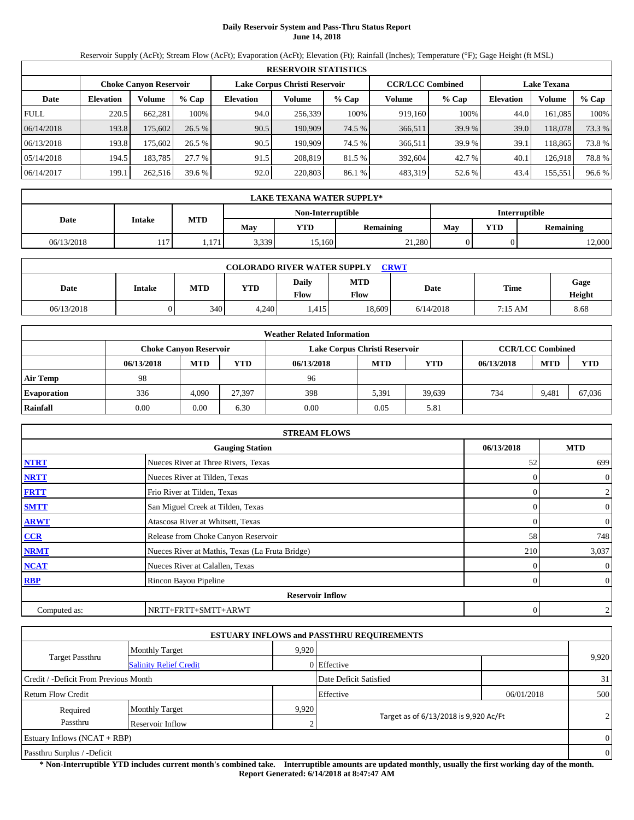## **Daily Reservoir System and Pass-Thru Status Report June 14, 2018**

Reservoir Supply (AcFt); Stream Flow (AcFt); Evaporation (AcFt); Elevation (Ft); Rainfall (Inches); Temperature (°F); Gage Height (ft MSL)

|                                                                                                                 | <b>RESERVOIR STATISTICS</b> |         |         |                  |         |        |         |        |                  |               |        |  |
|-----------------------------------------------------------------------------------------------------------------|-----------------------------|---------|---------|------------------|---------|--------|---------|--------|------------------|---------------|--------|--|
| <b>CCR/LCC Combined</b><br>Lake Corpus Christi Reservoir<br><b>Lake Texana</b><br><b>Choke Canyon Reservoir</b> |                             |         |         |                  |         |        |         |        |                  |               |        |  |
| Date                                                                                                            | <b>Elevation</b>            | Volume  | $%$ Cap | <b>Elevation</b> | Volume  | % Cap  | Volume  | % Cap  | <b>Elevation</b> | <b>Volume</b> | % Cap  |  |
| <b>FULL</b>                                                                                                     | 220.5                       | 662.281 | 100%    | 94.0             | 256.339 | 100%   | 919.160 | 100%   | 44.0             | 161.085       | 100%   |  |
| 06/14/2018                                                                                                      | 193.8                       | 175,602 | 26.5%   | 90.5             | 190.909 | 74.5 % | 366,511 | 39.9 % | 39.0             | 118,078       | 73.3 % |  |
| 06/13/2018                                                                                                      | 193.8                       | 175.602 | 26.5%   | 90.5             | 190.909 | 74.5 % | 366,511 | 39.9 % | 39.1             | 118.865       | 73.8%  |  |
| 05/14/2018                                                                                                      | 194.5                       | 183,785 | 27.7 %  | 91.5             | 208.819 | 81.5 % | 392.604 | 42.7 % | 40.1             | 126.918       | 78.8%  |  |
| 06/14/2017                                                                                                      | 199.1                       | 262,516 | 39.6 %  | 92.0             | 220,803 | 86.1 % | 483,319 | 52.6 % | 43.4             | 155,551       | 96.6 % |  |

|                                           | LAKE TEXANA WATER SUPPLY* |              |       |            |           |                                       |  |        |  |  |
|-------------------------------------------|---------------------------|--------------|-------|------------|-----------|---------------------------------------|--|--------|--|--|
| <b>Interruptible</b><br>Non-Interruptible |                           |              |       |            |           |                                       |  |        |  |  |
| Date                                      | <b>Intake</b>             | <b>MTD</b>   | May   | <b>YTD</b> | Remaining | <b>YTD</b><br>May<br><b>Remaining</b> |  |        |  |  |
| 06/13/2018                                | 17<br>11/                 | 171<br>1,171 | 3,339 | 15.160     | 21,280    |                                       |  | 12,000 |  |  |

| <b>COLORADO RIVER WATER SUPPLY</b><br><b>CRWT</b> |               |            |            |                      |                    |           |         |                |  |  |  |
|---------------------------------------------------|---------------|------------|------------|----------------------|--------------------|-----------|---------|----------------|--|--|--|
| Date                                              | <b>Intake</b> | <b>MTD</b> | <b>YTD</b> | Daily<br><b>Flow</b> | <b>MTD</b><br>Flow | Date      | Time    | Gage<br>Height |  |  |  |
| 06/13/2018                                        |               | 340        | 4.240      | .415                 | 18.609             | 6/14/2018 | 7:15 AM | 8.68           |  |  |  |

|                    |            |                               |            | <b>Weather Related Information</b> |                               |        |            |                         |        |
|--------------------|------------|-------------------------------|------------|------------------------------------|-------------------------------|--------|------------|-------------------------|--------|
|                    |            | <b>Choke Canyon Reservoir</b> |            |                                    | Lake Corpus Christi Reservoir |        |            | <b>CCR/LCC Combined</b> |        |
|                    | 06/13/2018 | <b>MTD</b>                    | <b>YTD</b> | 06/13/2018                         | <b>MTD</b>                    | YTD    | 06/13/2018 | <b>MTD</b>              | YTD    |
| <b>Air Temp</b>    | 98         |                               |            | 96                                 |                               |        |            |                         |        |
| <b>Evaporation</b> | 336        | 4,090                         | 27.397     | 398                                | 5,391                         | 39.639 | 734        | 9,481                   | 67,036 |
| Rainfall           | 0.00       | 0.00                          | 6.30       | 0.00                               | 0.05                          | 5.81   |            |                         |        |

|              | <b>STREAM FLOWS</b>                             |            |                |
|--------------|-------------------------------------------------|------------|----------------|
|              | <b>Gauging Station</b>                          | 06/13/2018 | <b>MTD</b>     |
| <b>NTRT</b>  | Nueces River at Three Rivers, Texas             | 52         | 699            |
| <b>NRTT</b>  | Nueces River at Tilden, Texas                   |            | $\mathbf{0}$   |
| <b>FRTT</b>  | Frio River at Tilden, Texas                     |            | $\overline{c}$ |
| <b>SMTT</b>  | San Miguel Creek at Tilden, Texas               | 0          | $\mathbf{0}$   |
| <b>ARWT</b>  | Atascosa River at Whitsett, Texas               | $\Omega$   | $\mathbf{0}$   |
| CCR          | Release from Choke Canyon Reservoir             | 58         | 748            |
| <b>NRMT</b>  | Nueces River at Mathis, Texas (La Fruta Bridge) | 210        | 3,037          |
| <b>NCAT</b>  | Nueces River at Calallen, Texas                 |            | $\mathbf{0}$   |
| <b>RBP</b>   | Rincon Bayou Pipeline                           | 0          | $\overline{0}$ |
|              | <b>Reservoir Inflow</b>                         |            |                |
| Computed as: | NRTT+FRTT+SMTT+ARWT                             | $\theta$   | $\overline{c}$ |

|                                       |                               |       | <b>ESTUARY INFLOWS and PASSTHRU REQUIREMENTS</b> |            |                |
|---------------------------------------|-------------------------------|-------|--------------------------------------------------|------------|----------------|
|                                       | <b>Monthly Target</b>         | 9.920 |                                                  |            |                |
| Target Passthru                       | <b>Salinity Relief Credit</b> |       | 0 Effective                                      |            | 9,920          |
| Credit / -Deficit From Previous Month |                               |       | Date Deficit Satisfied                           |            | 31             |
| <b>Return Flow Credit</b>             |                               |       | Effective                                        | 06/01/2018 | 500            |
| Required                              | <b>Monthly Target</b>         | 9,920 |                                                  |            |                |
| Passthru                              | Reservoir Inflow              |       | Target as of 6/13/2018 is 9,920 Ac/Ft            |            | $\overline{2}$ |
| Estuary Inflows $(NCAT + RBP)$        |                               |       |                                                  |            | $\Omega$       |
| Passthru Surplus / -Deficit           |                               |       |                                                  |            | $\overline{0}$ |

**\* Non-Interruptible YTD includes current month's combined take. Interruptible amounts are updated monthly, usually the first working day of the month. Report Generated: 6/14/2018 at 8:47:47 AM**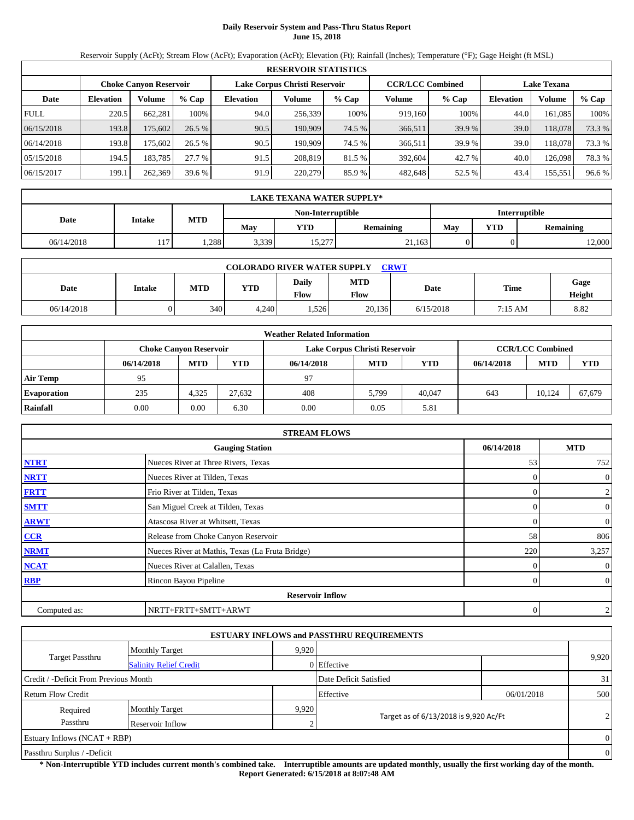## **Daily Reservoir System and Pass-Thru Status Report June 15, 2018**

Reservoir Supply (AcFt); Stream Flow (AcFt); Evaporation (AcFt); Elevation (Ft); Rainfall (Inches); Temperature (°F); Gage Height (ft MSL)

|                                                                                                                 | <b>RESERVOIR STATISTICS</b> |         |         |                  |         |        |         |        |                  |               |        |  |
|-----------------------------------------------------------------------------------------------------------------|-----------------------------|---------|---------|------------------|---------|--------|---------|--------|------------------|---------------|--------|--|
| <b>CCR/LCC Combined</b><br>Lake Corpus Christi Reservoir<br><b>Lake Texana</b><br><b>Choke Canyon Reservoir</b> |                             |         |         |                  |         |        |         |        |                  |               |        |  |
| Date                                                                                                            | <b>Elevation</b>            | Volume  | $%$ Cap | <b>Elevation</b> | Volume  | % Cap  | Volume  | % Cap  | <b>Elevation</b> | <b>Volume</b> | % Cap  |  |
| <b>FULL</b>                                                                                                     | 220.5                       | 662.281 | 100%    | 94.0             | 256.339 | 100%   | 919.160 | 100%   | 44.0             | 161.085       | 100%   |  |
| 06/15/2018                                                                                                      | 193.8                       | 175,602 | 26.5%   | 90.5             | 190.909 | 74.5 % | 366,511 | 39.9 % | 39.0             | 118,078       | 73.3 % |  |
| 06/14/2018                                                                                                      | 193.8                       | 175.602 | 26.5%   | 90.5             | 190.909 | 74.5 % | 366,511 | 39.9 % | 39.0             | 118,078       | 73.3 % |  |
| 05/15/2018                                                                                                      | 194.5                       | 183,785 | 27.7 %  | 91.5             | 208.819 | 81.5 % | 392.604 | 42.7 % | 40.0             | 126,098       | 78.3%  |  |
| 06/15/2017                                                                                                      | 199.1                       | 262,369 | 39.6 %  | 91.9             | 220,279 | 85.9%  | 482,648 | 52.5 % | 43.4             | 155,551       | 96.6 % |  |

|                                           | LAKE TEXANA WATER SUPPLY* |            |       |            |           |     |            |                  |  |  |
|-------------------------------------------|---------------------------|------------|-------|------------|-----------|-----|------------|------------------|--|--|
| <b>Interruptible</b><br>Non-Interruptible |                           |            |       |            |           |     |            |                  |  |  |
| Date                                      | <b>Intake</b>             | <b>MTD</b> | May   | <b>YTD</b> | Remaining | May | <b>YTD</b> | <b>Remaining</b> |  |  |
| 06/14/2018                                | 17<br>11/                 | .288       | 3,339 | 15,277     | 21,163    |     |            | 12,000           |  |  |

| <b>CRWT</b><br><b>COLORADO RIVER WATER SUPPLY</b> |               |     |            |                      |                    |           |         |                |  |  |  |
|---------------------------------------------------|---------------|-----|------------|----------------------|--------------------|-----------|---------|----------------|--|--|--|
| Date                                              | <b>Intake</b> | MTD | <b>YTD</b> | Daily<br><b>Flow</b> | <b>MTD</b><br>Flow | Date      | Time    | Gage<br>Height |  |  |  |
| 06/14/2018                                        |               | 340 | 4.240      | .526                 | 20,136             | 6/15/2018 | 7:15 AM | 8.82           |  |  |  |

|                    | <b>Weather Related Information</b> |                               |        |            |                               |        |            |                         |            |  |  |
|--------------------|------------------------------------|-------------------------------|--------|------------|-------------------------------|--------|------------|-------------------------|------------|--|--|
|                    |                                    | <b>Choke Canvon Reservoir</b> |        |            | Lake Corpus Christi Reservoir |        |            | <b>CCR/LCC Combined</b> |            |  |  |
|                    | 06/14/2018                         | <b>MTD</b>                    | YTD    | 06/14/2018 | <b>MTD</b>                    | YTD    | 06/14/2018 | <b>MTD</b>              | <b>YTD</b> |  |  |
| <b>Air Temp</b>    | 95                                 |                               |        | 97         |                               |        |            |                         |            |  |  |
| <b>Evaporation</b> | 235                                | 4.325                         | 27.632 | 408        | 5.799                         | 40,047 | 643        | 10.124                  | 67,679     |  |  |
| Rainfall           | 0.00                               | 0.00                          | 6.30   | 0.00       | 0.05                          | 5.81   |            |                         |            |  |  |

|              | <b>STREAM FLOWS</b>                             |            |                |
|--------------|-------------------------------------------------|------------|----------------|
|              | <b>Gauging Station</b>                          | 06/14/2018 | <b>MTD</b>     |
| <b>NTRT</b>  | Nueces River at Three Rivers, Texas             | 53         | 752            |
| <b>NRTT</b>  | Nueces River at Tilden, Texas                   |            | $\mathbf{0}$   |
| <b>FRTT</b>  | Frio River at Tilden, Texas                     |            | $\overline{c}$ |
| <b>SMTT</b>  | San Miguel Creek at Tilden, Texas               | 0          | $\mathbf{0}$   |
| <b>ARWT</b>  | Atascosa River at Whitsett, Texas               | $\Omega$   | $\mathbf{0}$   |
| CCR          | Release from Choke Canyon Reservoir             | 58         | 806            |
| <b>NRMT</b>  | Nueces River at Mathis, Texas (La Fruta Bridge) | 220        | 3,257          |
| <b>NCAT</b>  | Nueces River at Calallen, Texas                 |            | $\mathbf{0}$   |
| <b>RBP</b>   | Rincon Bayou Pipeline                           | 0          | $\overline{0}$ |
|              | <b>Reservoir Inflow</b>                         |            |                |
| Computed as: | NRTT+FRTT+SMTT+ARWT                             | $\theta$   | $\overline{c}$ |

|                                       |                               |       | <b>ESTUARY INFLOWS and PASSTHRU REQUIREMENTS</b> |            |                |
|---------------------------------------|-------------------------------|-------|--------------------------------------------------|------------|----------------|
|                                       | <b>Monthly Target</b>         | 9.920 |                                                  |            |                |
| Target Passthru                       | <b>Salinity Relief Credit</b> |       | 0 Effective                                      |            | 9,920          |
| Credit / -Deficit From Previous Month |                               |       | Date Deficit Satisfied                           |            | 31             |
| <b>Return Flow Credit</b>             |                               |       | Effective                                        | 06/01/2018 | 500            |
| Required                              | <b>Monthly Target</b>         | 9,920 |                                                  |            |                |
| Passthru                              | Reservoir Inflow              |       | Target as of 6/13/2018 is 9,920 Ac/Ft            |            | $\overline{2}$ |
| Estuary Inflows $(NCAT + RBP)$        |                               |       |                                                  |            | $\Omega$       |
| Passthru Surplus / -Deficit           |                               |       |                                                  |            | $\overline{0}$ |

**\* Non-Interruptible YTD includes current month's combined take. Interruptible amounts are updated monthly, usually the first working day of the month. Report Generated: 6/15/2018 at 8:07:48 AM**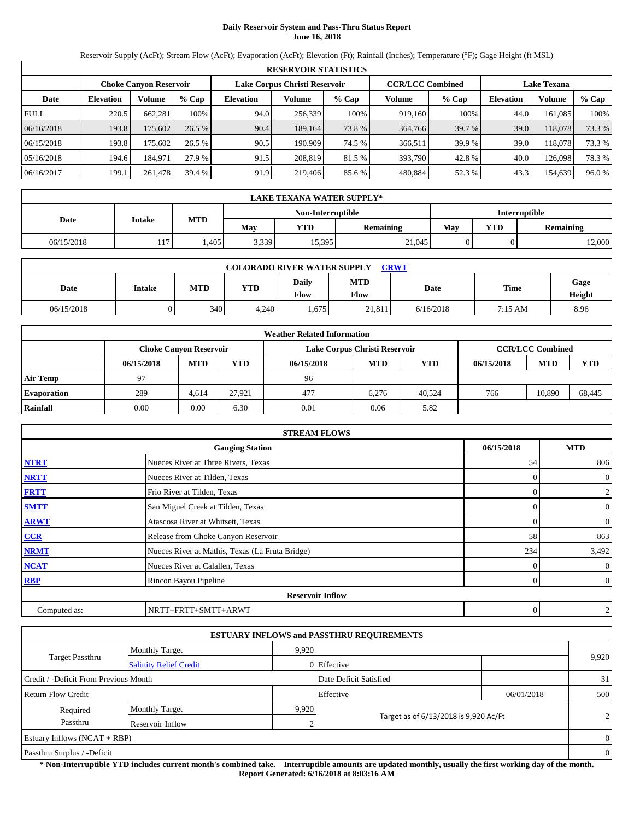# **Daily Reservoir System and Pass-Thru Status Report June 16, 2018**

Reservoir Supply (AcFt); Stream Flow (AcFt); Evaporation (AcFt); Elevation (Ft); Rainfall (Inches); Temperature (°F); Gage Height (ft MSL)

|                                                                                                                 | <b>RESERVOIR STATISTICS</b> |         |         |                  |         |        |         |        |                  |               |        |  |
|-----------------------------------------------------------------------------------------------------------------|-----------------------------|---------|---------|------------------|---------|--------|---------|--------|------------------|---------------|--------|--|
| <b>CCR/LCC Combined</b><br>Lake Corpus Christi Reservoir<br><b>Lake Texana</b><br><b>Choke Canyon Reservoir</b> |                             |         |         |                  |         |        |         |        |                  |               |        |  |
| Date                                                                                                            | <b>Elevation</b>            | Volume  | $%$ Cap | <b>Elevation</b> | Volume  | % Cap  | Volume  | % Cap  | <b>Elevation</b> | <b>Volume</b> | % Cap  |  |
| <b>FULL</b>                                                                                                     | 220.5                       | 662.281 | 100%    | 94.0             | 256.339 | 100%   | 919.160 | 100%   | 44.0             | 161.085       | 100%   |  |
| 06/16/2018                                                                                                      | 193.8                       | 175,602 | 26.5%   | 90.4             | 189.164 | 73.8 % | 364,766 | 39.7 % | 39.0             | 118,078       | 73.3 % |  |
| 06/15/2018                                                                                                      | 193.8                       | 175.602 | 26.5%   | 90.5             | 190.909 | 74.5 % | 366,511 | 39.9 % | 39.0             | 118,078       | 73.3 % |  |
| 05/16/2018                                                                                                      | 194.6                       | 184.971 | 27.9 %  | 91.5             | 208.819 | 81.5 % | 393.790 | 42.8%  | 40.0             | 126,098       | 78.3%  |  |
| 06/16/2017                                                                                                      | 199.1                       | 261,478 | 39.4 %  | 91.9             | 219,406 | 85.6 % | 480.884 | 52.3 % | 43.3             | 154,639       | 96.0%  |  |

|                                           | LAKE TEXANA WATER SUPPLY* |            |       |            |           |                                       |  |        |  |  |
|-------------------------------------------|---------------------------|------------|-------|------------|-----------|---------------------------------------|--|--------|--|--|
| <b>Interruptible</b><br>Non-Interruptible |                           |            |       |            |           |                                       |  |        |  |  |
| Date                                      | <b>Intake</b>             | <b>MTD</b> | May   | <b>YTD</b> | Remaining | <b>YTD</b><br>May<br><b>Remaining</b> |  |        |  |  |
| 06/15/2018                                | 17<br>11/                 | .405       | 3,339 | 15,395     | 21,045    |                                       |  | 12,000 |  |  |

| <b>COLORADO RIVER WATER SUPPLY</b><br><b>CRWT</b> |               |     |            |                      |                    |           |         |                |  |  |  |
|---------------------------------------------------|---------------|-----|------------|----------------------|--------------------|-----------|---------|----------------|--|--|--|
| Date                                              | <b>Intake</b> | MTD | <b>YTD</b> | Daily<br><b>Flow</b> | <b>MTD</b><br>Flow | Date      | Time    | Gage<br>Height |  |  |  |
| 06/15/2018                                        |               | 340 | 4.240      | .675                 | 21.811             | 6/16/2018 | 7:15 AM | 8.96           |  |  |  |

|                    |            |                               |        | <b>Weather Related Information</b> |                               |        |            |                         |        |
|--------------------|------------|-------------------------------|--------|------------------------------------|-------------------------------|--------|------------|-------------------------|--------|
|                    |            | <b>Choke Canyon Reservoir</b> |        |                                    | Lake Corpus Christi Reservoir |        |            | <b>CCR/LCC Combined</b> |        |
|                    | 06/15/2018 | <b>MTD</b>                    | YTD    | 06/15/2018                         | <b>MTD</b>                    | YTD    | 06/15/2018 | <b>MTD</b>              | YTD    |
| <b>Air Temp</b>    | 97         |                               |        | 96                                 |                               |        |            |                         |        |
| <b>Evaporation</b> | 289        | 4.614                         | 27.921 | 477                                | 6.276                         | 40.524 | 766        | 10,890                  | 68,445 |
| Rainfall           | 0.00       | 0.00                          | 6.30   | 0.01                               | 0.06                          | 5.82   |            |                         |        |

|              | <b>STREAM FLOWS</b>                             |            |                |
|--------------|-------------------------------------------------|------------|----------------|
|              | <b>Gauging Station</b>                          | 06/15/2018 | <b>MTD</b>     |
| <b>NTRT</b>  | Nueces River at Three Rivers, Texas             | 54         | 806            |
| <b>NRTT</b>  | Nueces River at Tilden, Texas                   |            | $\mathbf{0}$   |
| <b>FRTT</b>  | Frio River at Tilden, Texas                     |            | $\overline{c}$ |
| <b>SMTT</b>  | San Miguel Creek at Tilden, Texas               | 0          | $\mathbf{0}$   |
| <b>ARWT</b>  | Atascosa River at Whitsett, Texas               | 0          | $\mathbf{0}$   |
| CCR          | Release from Choke Canyon Reservoir             | 58         | 863            |
| <b>NRMT</b>  | Nueces River at Mathis, Texas (La Fruta Bridge) | 234        | 3,492          |
| <b>NCAT</b>  | Nueces River at Calallen, Texas                 |            | $\mathbf{0}$   |
| <b>RBP</b>   | Rincon Bayou Pipeline                           | 0          | $\overline{0}$ |
|              | <b>Reservoir Inflow</b>                         |            |                |
| Computed as: | NRTT+FRTT+SMTT+ARWT                             | $\theta$   | $\overline{c}$ |

|                                       |                               |       | <b>ESTUARY INFLOWS and PASSTHRU REQUIREMENTS</b> |            |                |
|---------------------------------------|-------------------------------|-------|--------------------------------------------------|------------|----------------|
|                                       | <b>Monthly Target</b>         | 9.920 |                                                  |            |                |
| Target Passthru                       | <b>Salinity Relief Credit</b> |       | 0 Effective                                      |            | 9,920          |
| Credit / -Deficit From Previous Month |                               |       | Date Deficit Satisfied                           |            | 31             |
| <b>Return Flow Credit</b>             |                               |       | Effective                                        | 06/01/2018 | 500            |
| Required                              | <b>Monthly Target</b>         | 9,920 |                                                  |            |                |
| Passthru                              | Reservoir Inflow              |       | Target as of 6/13/2018 is 9,920 Ac/Ft            |            | $\overline{2}$ |
| Estuary Inflows $(NCAT + RBP)$        |                               |       |                                                  |            | $\Omega$       |
| Passthru Surplus / -Deficit           |                               |       |                                                  |            | $\overline{0}$ |

**\* Non-Interruptible YTD includes current month's combined take. Interruptible amounts are updated monthly, usually the first working day of the month. Report Generated: 6/16/2018 at 8:03:16 AM**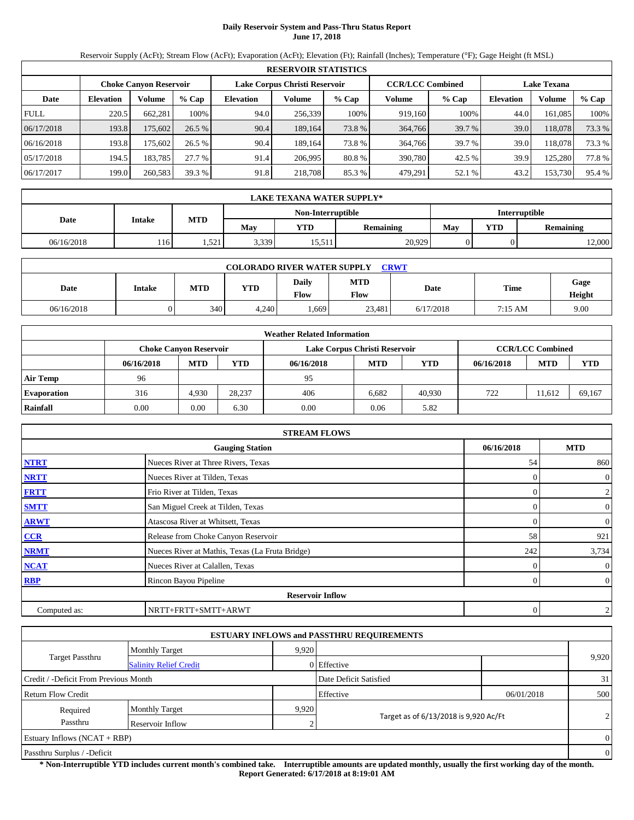## **Daily Reservoir System and Pass-Thru Status Report June 17, 2018**

Reservoir Supply (AcFt); Stream Flow (AcFt); Evaporation (AcFt); Elevation (Ft); Rainfall (Inches); Temperature (°F); Gage Height (ft MSL)

|                                                                                                                 | <b>RESERVOIR STATISTICS</b> |         |         |                  |         |        |         |        |                  |               |        |  |
|-----------------------------------------------------------------------------------------------------------------|-----------------------------|---------|---------|------------------|---------|--------|---------|--------|------------------|---------------|--------|--|
| <b>CCR/LCC Combined</b><br>Lake Corpus Christi Reservoir<br><b>Lake Texana</b><br><b>Choke Canyon Reservoir</b> |                             |         |         |                  |         |        |         |        |                  |               |        |  |
| Date                                                                                                            | <b>Elevation</b>            | Volume  | $%$ Cap | <b>Elevation</b> | Volume  | % Cap  | Volume  | % Cap  | <b>Elevation</b> | <b>Volume</b> | % Cap  |  |
| <b>FULL</b>                                                                                                     | 220.5                       | 662.281 | 100%    | 94.0             | 256.339 | 100%   | 919.160 | 100%   | 44.0             | 161.085       | 100%   |  |
| 06/17/2018                                                                                                      | 193.8                       | 175,602 | 26.5%   | 90.4             | 189.164 | 73.8 % | 364,766 | 39.7 % | 39.0             | 118,078       | 73.3 % |  |
| 06/16/2018                                                                                                      | 193.8                       | 175.602 | 26.5%   | 90.4             | 189.164 | 73.8 % | 364,766 | 39.7 % | 39.0             | 118,078       | 73.3 % |  |
| 05/17/2018                                                                                                      | 194.5                       | 183,785 | 27.7 %  | 91.4             | 206.995 | 80.8%  | 390,780 | 42.5 % | 39.9             | 125.280       | 77.8%  |  |
| 06/17/2017                                                                                                      | 199.0                       | 260,583 | 39.3 %  | 91.8             | 218,708 | 85.3%  | 479,291 | 52.1 % | 43.2             | 153,730       | 95.4 % |  |

|                                    | <b>LAKE TEXANA WATER SUPPLY*</b> |            |       |            |           |     |            |                  |  |  |
|------------------------------------|----------------------------------|------------|-------|------------|-----------|-----|------------|------------------|--|--|
| Non-Interruptible<br>Interruptible |                                  |            |       |            |           |     |            |                  |  |  |
| Date                               | Intake                           | <b>MTD</b> | May   | <b>YTD</b> | Remaining | May | <b>YTD</b> | <b>Remaining</b> |  |  |
| 06/16/2018                         | 116                              | 1,521      | 3,339 | 15,511     | 20,929    |     |            | 12,000           |  |  |

| <b>COLORADO RIVER WATER SUPPLY</b><br><b>CRWT</b> |               |     |            |               |                    |           |         |                |  |  |  |
|---------------------------------------------------|---------------|-----|------------|---------------|--------------------|-----------|---------|----------------|--|--|--|
| Date                                              | <b>Intake</b> | MTD | <b>YTD</b> | Daily<br>Flow | <b>MTD</b><br>Flow | Date      | Time    | Gage<br>Height |  |  |  |
| 06/16/2018                                        |               | 340 | 4,240      | .669          | 23,481             | 6/17/2018 | 7:15 AM | 9.00           |  |  |  |

|                    |            |                               |        | <b>Weather Related Information</b> |                               |            |            |                         |            |
|--------------------|------------|-------------------------------|--------|------------------------------------|-------------------------------|------------|------------|-------------------------|------------|
|                    |            | <b>Choke Canyon Reservoir</b> |        |                                    | Lake Corpus Christi Reservoir |            |            | <b>CCR/LCC Combined</b> |            |
|                    | 06/16/2018 | <b>MTD</b>                    | YTD    | 06/16/2018                         | <b>MTD</b>                    | <b>YTD</b> | 06/16/2018 | <b>MTD</b>              | <b>YTD</b> |
| <b>Air Temp</b>    | 96         |                               |        | 95                                 |                               |            |            |                         |            |
| <b>Evaporation</b> | 316        | 4,930                         | 28.237 | 406                                | 6.682                         | 40,930     | 722        | 11.612                  | 69.167     |
| Rainfall           | 0.00       | 0.00                          | 6.30   | 0.00                               | 0.06                          | 5.82       |            |                         |            |

|              | <b>STREAM FLOWS</b>                             |            |                |
|--------------|-------------------------------------------------|------------|----------------|
|              | <b>Gauging Station</b>                          | 06/16/2018 | <b>MTD</b>     |
| <b>NTRT</b>  | Nueces River at Three Rivers, Texas             | 54         | 860            |
| <b>NRTT</b>  | Nueces River at Tilden, Texas                   |            | $\mathbf{0}$   |
| <b>FRTT</b>  | Frio River at Tilden, Texas                     |            | $\overline{c}$ |
| <b>SMTT</b>  | San Miguel Creek at Tilden, Texas               | 0          | $\mathbf{0}$   |
| <b>ARWT</b>  | Atascosa River at Whitsett, Texas               | $\Omega$   | $\mathbf{0}$   |
| CCR          | Release from Choke Canyon Reservoir             | 58         | 921            |
| <b>NRMT</b>  | Nueces River at Mathis, Texas (La Fruta Bridge) | 242        | 3,734          |
| <b>NCAT</b>  | Nueces River at Calallen, Texas                 |            | $\mathbf{0}$   |
| <b>RBP</b>   | Rincon Bayou Pipeline                           | 0          | $\overline{0}$ |
|              | <b>Reservoir Inflow</b>                         |            |                |
| Computed as: | NRTT+FRTT+SMTT+ARWT                             | $\theta$   | $\overline{c}$ |

|                                       |                               |       | <b>ESTUARY INFLOWS and PASSTHRU REQUIREMENTS</b> |            |                |
|---------------------------------------|-------------------------------|-------|--------------------------------------------------|------------|----------------|
|                                       | <b>Monthly Target</b>         | 9.920 |                                                  |            |                |
| Target Passthru                       | <b>Salinity Relief Credit</b> |       | 0 Effective                                      |            | 9,920          |
| Credit / -Deficit From Previous Month |                               |       | Date Deficit Satisfied                           |            | 31             |
| <b>Return Flow Credit</b>             |                               |       | Effective                                        | 06/01/2018 | 500            |
| Required                              | <b>Monthly Target</b>         | 9,920 |                                                  |            |                |
| Passthru                              | Reservoir Inflow              |       | Target as of 6/13/2018 is 9,920 Ac/Ft            |            | $\overline{2}$ |
| Estuary Inflows $(NCAT + RBP)$        |                               |       |                                                  |            | $\Omega$       |
| Passthru Surplus / -Deficit           |                               |       |                                                  |            | $\overline{0}$ |

**\* Non-Interruptible YTD includes current month's combined take. Interruptible amounts are updated monthly, usually the first working day of the month. Report Generated: 6/17/2018 at 8:19:01 AM**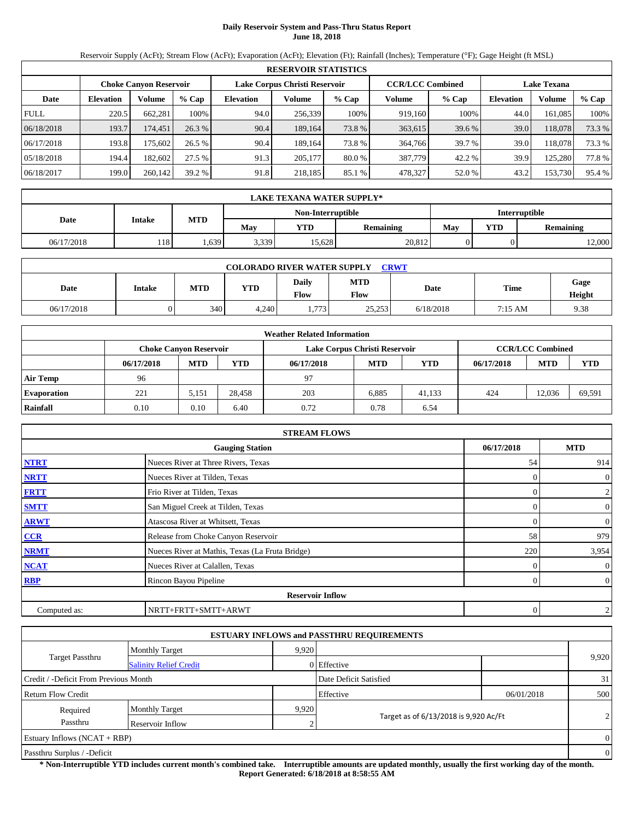# **Daily Reservoir System and Pass-Thru Status Report June 18, 2018**

Reservoir Supply (AcFt); Stream Flow (AcFt); Evaporation (AcFt); Elevation (Ft); Rainfall (Inches); Temperature (°F); Gage Height (ft MSL)

|                                                                                                                 | <b>RESERVOIR STATISTICS</b> |          |         |                  |         |        |         |        |                  |               |        |  |
|-----------------------------------------------------------------------------------------------------------------|-----------------------------|----------|---------|------------------|---------|--------|---------|--------|------------------|---------------|--------|--|
| <b>CCR/LCC Combined</b><br>Lake Corpus Christi Reservoir<br><b>Choke Canyon Reservoir</b><br><b>Lake Texana</b> |                             |          |         |                  |         |        |         |        |                  |               |        |  |
| Date                                                                                                            | <b>Elevation</b>            | Volume   | $%$ Cap | <b>Elevation</b> | Volume  | % Cap  | Volume  | % Cap  | <b>Elevation</b> | <b>Volume</b> | % Cap  |  |
| <b>FULL</b>                                                                                                     | 220.5                       | 662.281  | 100%    | 94.0             | 256.339 | 100%   | 919.160 | 100%   | 44.0             | 161.085       | 100%   |  |
| 06/18/2018                                                                                                      | 193.7                       | 174.451  | 26.3%   | 90.4             | 189.164 | 73.8 % | 363,615 | 39.6 % | 39.0             | 118,078       | 73.3 % |  |
| 06/17/2018                                                                                                      | 193.8                       | 175.6021 | 26.5%   | 90.4             | 189.164 | 73.8 % | 364,766 | 39.7 % | 39.0             | 118,078       | 73.3 % |  |
| 05/18/2018                                                                                                      | 194.4                       | 182.602  | 27.5 %  | 91.3             | 205,177 | 80.0 % | 387,779 | 42.2 % | 39.9             | 125.280       | 77.8%  |  |
| 06/18/2017                                                                                                      | 199.0                       | 260,142  | 39.2 %  | 91.8             | 218,185 | 85.1 % | 478,327 | 52.0%  | 43.2             | 153,730       | 95.4 % |  |

|                                           | LAKE TEXANA WATER SUPPLY* |            |       |            |                  |     |                  |        |  |  |
|-------------------------------------------|---------------------------|------------|-------|------------|------------------|-----|------------------|--------|--|--|
| <b>Interruptible</b><br>Non-Interruptible |                           |            |       |            |                  |     |                  |        |  |  |
| Date                                      | <b>Intake</b>             | <b>MTD</b> | May   | <b>YTD</b> | <b>Remaining</b> | May | <b>Remaining</b> |        |  |  |
| 06/17/2018                                | 118'                      | .639       | 3,339 | 15.628     | 20,812           |     |                  | 12,000 |  |  |

| <b>CRWT</b><br><b>COLORADO RIVER WATER SUPPLY</b> |               |     |            |                      |                    |           |         |                |  |  |  |
|---------------------------------------------------|---------------|-----|------------|----------------------|--------------------|-----------|---------|----------------|--|--|--|
| Date                                              | <b>Intake</b> | MTD | <b>YTD</b> | Daily<br><b>Flow</b> | <b>MTD</b><br>Flow | Date      | Time    | Gage<br>Height |  |  |  |
| 06/17/2018                                        |               | 340 | 4.240      | 1,773                | 25.253             | 6/18/2018 | 7:15 AM | 9.38           |  |  |  |

|                    | <b>Weather Related Information</b> |                               |        |            |                               |        |            |                         |            |  |  |
|--------------------|------------------------------------|-------------------------------|--------|------------|-------------------------------|--------|------------|-------------------------|------------|--|--|
|                    |                                    | <b>Choke Canyon Reservoir</b> |        |            | Lake Corpus Christi Reservoir |        |            | <b>CCR/LCC Combined</b> |            |  |  |
|                    | 06/17/2018                         | <b>MTD</b>                    | YTD    | 06/17/2018 | <b>MTD</b>                    | YTD    | 06/17/2018 | <b>MTD</b>              | <b>YTD</b> |  |  |
| <b>Air Temp</b>    | 96                                 |                               |        | 97         |                               |        |            |                         |            |  |  |
| <b>Evaporation</b> | 221                                | 5.151                         | 28.458 | 203        | 6.885                         | 41.133 | 424        | 12.036                  | 69,591     |  |  |
| Rainfall           | 0.10                               | 0.10                          | 6.40   | 0.72       | 0.78                          | 6.54   |            |                         |            |  |  |

|              | <b>STREAM FLOWS</b>                             |            |                |
|--------------|-------------------------------------------------|------------|----------------|
|              | <b>Gauging Station</b>                          | 06/17/2018 | <b>MTD</b>     |
| <b>NTRT</b>  | Nueces River at Three Rivers, Texas             | 54         | 914            |
| <b>NRTT</b>  | Nueces River at Tilden, Texas                   |            | $\mathbf{0}$   |
| <b>FRTT</b>  | Frio River at Tilden, Texas                     |            | $\overline{c}$ |
| <b>SMTT</b>  | San Miguel Creek at Tilden, Texas               | 0          | $\mathbf{0}$   |
| <b>ARWT</b>  | Atascosa River at Whitsett, Texas               | 0          | $\mathbf{0}$   |
| CCR          | Release from Choke Canyon Reservoir             | 58         | 979            |
| <b>NRMT</b>  | Nueces River at Mathis, Texas (La Fruta Bridge) | 220        | 3,954          |
| <b>NCAT</b>  | Nueces River at Calallen, Texas                 |            | $\mathbf{0}$   |
| <b>RBP</b>   | Rincon Bayou Pipeline                           | 0          | $\overline{0}$ |
|              | <b>Reservoir Inflow</b>                         |            |                |
| Computed as: | NRTT+FRTT+SMTT+ARWT                             | $\theta$   | $\mathfrak{2}$ |

|                                       |                               |       | <b>ESTUARY INFLOWS and PASSTHRU REQUIREMENTS</b> |            |                |
|---------------------------------------|-------------------------------|-------|--------------------------------------------------|------------|----------------|
|                                       | <b>Monthly Target</b>         | 9.920 |                                                  |            |                |
| Target Passthru                       | <b>Salinity Relief Credit</b> |       | 0 Effective                                      |            | 9,920          |
| Credit / -Deficit From Previous Month |                               |       | Date Deficit Satisfied                           |            | 31             |
| <b>Return Flow Credit</b>             |                               |       | Effective                                        | 06/01/2018 | 500            |
| Required                              | <b>Monthly Target</b>         | 9,920 |                                                  |            |                |
| Passthru                              | Reservoir Inflow              |       | Target as of 6/13/2018 is 9,920 Ac/Ft            |            | $\overline{2}$ |
| Estuary Inflows $(NCAT + RBP)$        |                               |       |                                                  |            | $\Omega$       |
| Passthru Surplus / -Deficit           |                               |       |                                                  |            | $\overline{0}$ |

**\* Non-Interruptible YTD includes current month's combined take. Interruptible amounts are updated monthly, usually the first working day of the month. Report Generated: 6/18/2018 at 8:58:55 AM**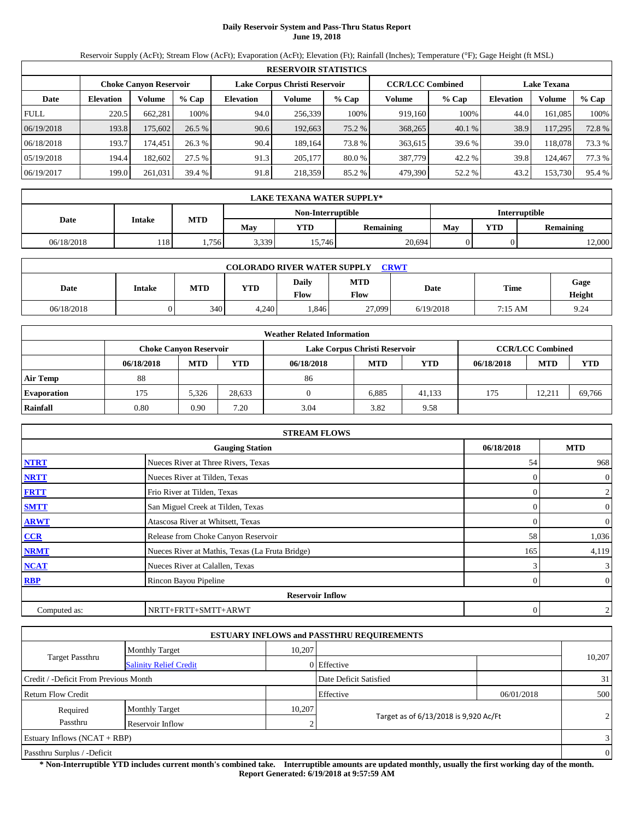## **Daily Reservoir System and Pass-Thru Status Report June 19, 2018**

Reservoir Supply (AcFt); Stream Flow (AcFt); Evaporation (AcFt); Elevation (Ft); Rainfall (Inches); Temperature (°F); Gage Height (ft MSL)

|             | <b>RESERVOIR STATISTICS</b> |                               |         |                               |         |        |                         |        |                    |               |        |  |  |
|-------------|-----------------------------|-------------------------------|---------|-------------------------------|---------|--------|-------------------------|--------|--------------------|---------------|--------|--|--|
|             |                             | <b>Choke Canyon Reservoir</b> |         | Lake Corpus Christi Reservoir |         |        | <b>CCR/LCC Combined</b> |        | <b>Lake Texana</b> |               |        |  |  |
| Date        | <b>Elevation</b>            | Volume                        | $%$ Cap | <b>Elevation</b>              | Volume  | % Cap  | Volume                  | % Cap  | <b>Elevation</b>   | <b>Volume</b> | % Cap  |  |  |
| <b>FULL</b> | 220.5                       | 662.281                       | 100%    | 94.0                          | 256.339 | 100%   | 919.160                 | 100%   | 44.0               | 161.085       | 100%   |  |  |
| 06/19/2018  | 193.8                       | 175,602                       | 26.5%   | 90.6                          | 192,663 | 75.2 % | 368,265                 | 40.1 % | 38.9               | 117,295       | 72.8%  |  |  |
| 06/18/2018  | 193.7                       | 174.451                       | 26.3%   | 90.4                          | 189.164 | 73.8 % | 363,615                 | 39.6 % | 39.0               | 118,078       | 73.3 % |  |  |
| 05/19/2018  | 194.4                       | 182,602                       | 27.5 %  | 91.3                          | 205,177 | 80.0 % | 387,779                 | 42.2 % | 39.8               | 124.467       | 77.3 % |  |  |
| 06/19/2017  | 199.0                       | 261,031                       | 39.4 %  | 91.8                          | 218,359 | 85.2 % | 479,390                 | 52.2 % | 43.2               | 153,730       | 95.4 % |  |  |

|            | <b>LAKE TEXANA WATER SUPPLY*</b>   |                                              |     |            |                  |                                       |  |  |  |  |  |  |
|------------|------------------------------------|----------------------------------------------|-----|------------|------------------|---------------------------------------|--|--|--|--|--|--|
|            | Interruptible<br>Non-Interruptible |                                              |     |            |                  |                                       |  |  |  |  |  |  |
| Date       | Intake                             | <b>MTD</b>                                   | May | <b>YTD</b> | <b>Remaining</b> | <b>YTD</b><br>May<br><b>Remaining</b> |  |  |  |  |  |  |
| 06/18/2018 | 118                                | 20,694<br>15,746<br>3,339<br>1,756<br>12,000 |     |            |                  |                                       |  |  |  |  |  |  |

|            | <b>CRWT</b><br><b>COLORADO RIVER WATER SUPPLY</b> |     |            |               |                    |           |         |                |  |  |  |  |
|------------|---------------------------------------------------|-----|------------|---------------|--------------------|-----------|---------|----------------|--|--|--|--|
| Date       | <b>Intake</b>                                     | MTD | <b>YTD</b> | Daily<br>Flow | <b>MTD</b><br>Flow | Date      | Time    | Gage<br>Height |  |  |  |  |
| 06/18/2018 |                                                   | 340 | 4.240      | .846          | 27,099             | 6/19/2018 | 7:15 AM | 9.24           |  |  |  |  |

|                    | <b>Weather Related Information</b> |                               |        |            |                               |            |            |                         |            |  |  |  |
|--------------------|------------------------------------|-------------------------------|--------|------------|-------------------------------|------------|------------|-------------------------|------------|--|--|--|
|                    |                                    | <b>Choke Canyon Reservoir</b> |        |            | Lake Corpus Christi Reservoir |            |            | <b>CCR/LCC Combined</b> |            |  |  |  |
|                    | 06/18/2018                         | <b>MTD</b>                    | YTD    | 06/18/2018 | <b>MTD</b>                    | <b>YTD</b> | 06/18/2018 | <b>MTD</b>              | <b>YTD</b> |  |  |  |
| <b>Air Temp</b>    | 88                                 |                               |        | 86         |                               |            |            |                         |            |  |  |  |
| <b>Evaporation</b> | 175                                | 5,326                         | 28.633 |            | 6.885                         | 41.133     | 175        | 12.211                  | 69,766     |  |  |  |
| Rainfall           | 0.80                               | 0.90                          | 7.20   | 3.04       | 3.82                          | 9.58       |            |                         |            |  |  |  |

|              | <b>STREAM FLOWS</b>                             |            |                |
|--------------|-------------------------------------------------|------------|----------------|
|              | <b>Gauging Station</b>                          | 06/18/2018 | <b>MTD</b>     |
| <b>NTRT</b>  | Nueces River at Three Rivers, Texas             | 54         | 968            |
| <b>NRTT</b>  | Nueces River at Tilden, Texas                   |            | $\overline{0}$ |
| <b>FRTT</b>  | Frio River at Tilden, Texas                     |            | $\overline{2}$ |
| <b>SMTT</b>  | San Miguel Creek at Tilden, Texas               |            | $\overline{0}$ |
| <b>ARWT</b>  | Atascosa River at Whitsett, Texas               |            | $\overline{0}$ |
| CCR          | Release from Choke Canyon Reservoir             | 58         | 1,036          |
| <b>NRMT</b>  | Nueces River at Mathis, Texas (La Fruta Bridge) | 165        | 4,119          |
| <b>NCAT</b>  | Nueces River at Calallen, Texas                 |            | 3              |
| RBP          | Rincon Bayou Pipeline                           |            | $\overline{0}$ |
|              | <b>Reservoir Inflow</b>                         |            |                |
| Computed as: | NRTT+FRTT+SMTT+ARWT                             | 0          | $\overline{2}$ |

|                                       |                               |        | <b>ESTUARY INFLOWS and PASSTHRU REQUIREMENTS</b> |            |                |
|---------------------------------------|-------------------------------|--------|--------------------------------------------------|------------|----------------|
|                                       | <b>Monthly Target</b>         | 10.207 |                                                  |            |                |
| Target Passthru                       | <b>Salinity Relief Credit</b> |        | 0 Effective                                      |            | 10,207         |
| Credit / -Deficit From Previous Month |                               |        | Date Deficit Satisfied                           |            | 31             |
| <b>Return Flow Credit</b>             |                               |        | Effective                                        | 06/01/2018 | 500            |
| Required                              | <b>Monthly Target</b>         | 10,207 |                                                  |            |                |
| Passthru                              | Reservoir Inflow              |        | Target as of 6/13/2018 is 9,920 Ac/Ft            |            | $\overline{2}$ |
| Estuary Inflows $(NCAT + RBP)$        |                               |        |                                                  |            | $\overline{3}$ |
| Passthru Surplus / -Deficit           |                               |        |                                                  |            | $\overline{0}$ |

**\* Non-Interruptible YTD includes current month's combined take. Interruptible amounts are updated monthly, usually the first working day of the month. Report Generated: 6/19/2018 at 9:57:59 AM**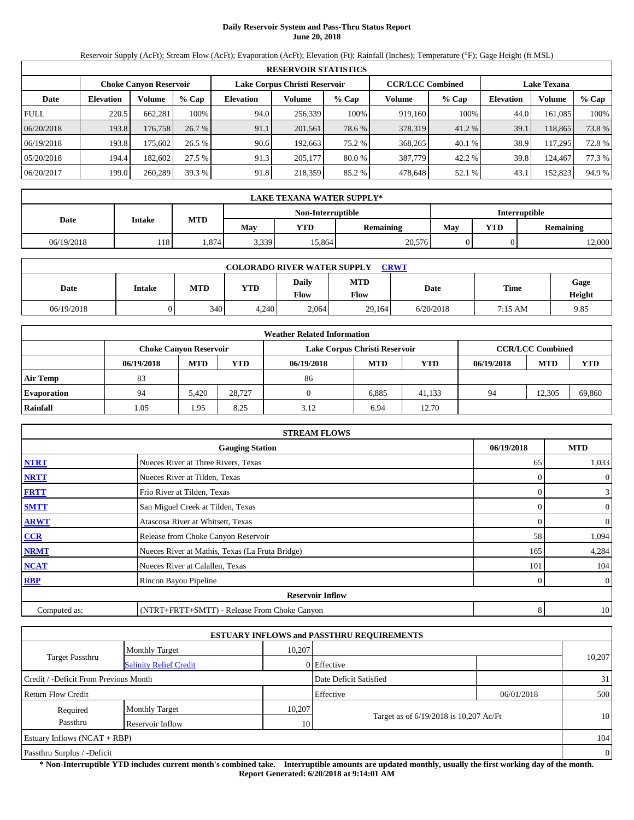# **Daily Reservoir System and Pass-Thru Status Report June 20, 2018**

Reservoir Supply (AcFt); Stream Flow (AcFt); Evaporation (AcFt); Elevation (Ft); Rainfall (Inches); Temperature (°F); Gage Height (ft MSL)

|             | <b>RESERVOIR STATISTICS</b> |                               |         |                               |         |        |                         |        |                    |               |        |  |  |
|-------------|-----------------------------|-------------------------------|---------|-------------------------------|---------|--------|-------------------------|--------|--------------------|---------------|--------|--|--|
|             |                             | <b>Choke Canyon Reservoir</b> |         | Lake Corpus Christi Reservoir |         |        | <b>CCR/LCC Combined</b> |        | <b>Lake Texana</b> |               |        |  |  |
| Date        | <b>Elevation</b>            | Volume                        | $%$ Cap | <b>Elevation</b>              | Volume  | % Cap  | Volume                  | % Cap  | <b>Elevation</b>   | <b>Volume</b> | % Cap  |  |  |
| <b>FULL</b> | 220.5                       | 662.281                       | 100%    | 94.0                          | 256.339 | 100%   | 919.160                 | 100%   | 44.0               | 161.085       | 100%   |  |  |
| 06/20/2018  | 193.8                       | 176,758                       | 26.7%   | 91.1                          | 201,561 | 78.6 % | 378,319                 | 41.2 % | 39.1               | 118,865       | 73.8%  |  |  |
| 06/19/2018  | 193.8                       | 175.602                       | 26.5%   | 90.6                          | 192.663 | 75.2 % | 368,265                 | 40.1 % | 38.9               | 117.295       | 72.8%  |  |  |
| 05/20/2018  | 194.4                       | 182,602                       | 27.5 %  | 91.3                          | 205,177 | 80.0 % | 387,779                 | 42.2 % | 39.8               | 124.467       | 77.3 % |  |  |
| 06/20/2017  | 199.0                       | 260,289                       | 39.3 %  | 91.8                          | 218,359 | 85.2 % | 478.648                 | 52.1 % | 43.1               | 152,823       | 94.9%  |  |  |

|                                    | <b>LAKE TEXANA WATER SUPPLY*</b>                    |            |     |            |                  |                                       |  |  |  |  |  |  |
|------------------------------------|-----------------------------------------------------|------------|-----|------------|------------------|---------------------------------------|--|--|--|--|--|--|
| Interruptible<br>Non-Interruptible |                                                     |            |     |            |                  |                                       |  |  |  |  |  |  |
| Date                               | Intake                                              | <b>MTD</b> | May | <b>YTD</b> | <b>Remaining</b> | <b>YTD</b><br>May<br><b>Remaining</b> |  |  |  |  |  |  |
| 06/19/2018                         | 20,576<br>15,864<br>3,339<br>1,874<br>118<br>12,000 |            |     |            |                  |                                       |  |  |  |  |  |  |

|            | <b>COLORADO RIVER WATER SUPPLY</b><br><b>CRWT</b> |     |            |                      |                    |           |         |                |  |  |  |  |
|------------|---------------------------------------------------|-----|------------|----------------------|--------------------|-----------|---------|----------------|--|--|--|--|
| Date       | <b>Intake</b>                                     | MTD | <b>YTD</b> | Daily<br><b>Flow</b> | <b>MTD</b><br>Flow | Date      | Time    | Gage<br>Height |  |  |  |  |
| 06/19/2018 |                                                   | 340 | 4,240      | 2,064                | 29,164             | 6/20/2018 | 7:15 AM | 9.85           |  |  |  |  |

|                    | <b>Weather Related Information</b> |                               |        |            |                               |            |            |                         |            |  |  |  |
|--------------------|------------------------------------|-------------------------------|--------|------------|-------------------------------|------------|------------|-------------------------|------------|--|--|--|
|                    |                                    | <b>Choke Canyon Reservoir</b> |        |            | Lake Corpus Christi Reservoir |            |            | <b>CCR/LCC Combined</b> |            |  |  |  |
|                    | 06/19/2018                         | <b>MTD</b>                    | YTD    | 06/19/2018 | <b>MTD</b>                    | <b>YTD</b> | 06/19/2018 | <b>MTD</b>              | <b>YTD</b> |  |  |  |
| <b>Air Temp</b>    | 83                                 |                               |        | 86         |                               |            |            |                         |            |  |  |  |
| <b>Evaporation</b> | 94                                 | 5.420                         | 28.727 |            | 6.885                         | 41.133     | 94         | 12.305                  | 69,860     |  |  |  |
| Rainfall           | 1.05                               | 1.95                          | 8.25   | 3.12       | 6.94                          | 12.70      |            |                         |            |  |  |  |

|              | <b>STREAM FLOWS</b>                             |            |                |
|--------------|-------------------------------------------------|------------|----------------|
|              | <b>Gauging Station</b>                          | 06/19/2018 | <b>MTD</b>     |
| <b>NTRT</b>  | Nueces River at Three Rivers, Texas             | 65         | 1,033          |
| <b>NRTT</b>  | Nueces River at Tilden, Texas                   | $\Omega$   | $\overline{0}$ |
| <b>FRTT</b>  | Frio River at Tilden, Texas                     | $\Omega$   | $\mathbf{3}$   |
| <b>SMTT</b>  | San Miguel Creek at Tilden, Texas               | $\Omega$   | $\overline{0}$ |
| <b>ARWT</b>  | Atascosa River at Whitsett, Texas               | $\Omega$   | $\overline{0}$ |
| CCR          | Release from Choke Canyon Reservoir             | 58         | 1,094          |
| <b>NRMT</b>  | Nueces River at Mathis, Texas (La Fruta Bridge) | 165        | 4,284          |
| <b>NCAT</b>  | Nueces River at Calallen, Texas                 | 101        | 104            |
| RBP          | Rincon Bayou Pipeline                           | 0          | $\overline{0}$ |
|              | <b>Reservoir Inflow</b>                         |            |                |
| Computed as: | (NTRT+FRTT+SMTT) - Release From Choke Canyon    | 8          | 10             |

|                                       |                               |        | <b>ESTUARY INFLOWS and PASSTHRU REQUIREMENTS</b> |            |                |  |  |
|---------------------------------------|-------------------------------|--------|--------------------------------------------------|------------|----------------|--|--|
|                                       | <b>Monthly Target</b>         | 10,207 |                                                  |            |                |  |  |
| <b>Target Passthru</b>                | <b>Salinity Relief Credit</b> |        | 0 Effective                                      |            | 10,207         |  |  |
| Credit / -Deficit From Previous Month |                               |        | Date Deficit Satisfied                           |            | 31             |  |  |
| <b>Return Flow Credit</b>             |                               |        | Effective                                        | 06/01/2018 | 500            |  |  |
| Required                              | <b>Monthly Target</b>         | 10,207 |                                                  |            |                |  |  |
| Passthru                              | Reservoir Inflow              | 10     | Target as of 6/19/2018 is 10,207 Ac/Ft           |            | 10             |  |  |
| Estuary Inflows $(NCAT + RBP)$        |                               |        |                                                  |            |                |  |  |
| Passthru Surplus / -Deficit           |                               |        |                                                  |            | $\overline{0}$ |  |  |

**\* Non-Interruptible YTD includes current month's combined take. Interruptible amounts are updated monthly, usually the first working day of the month. Report Generated: 6/20/2018 at 9:14:01 AM**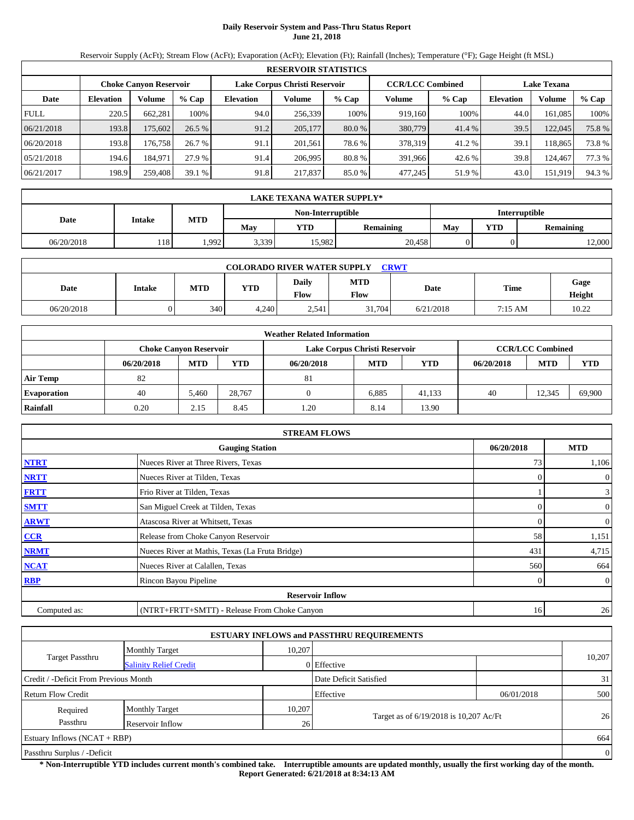## **Daily Reservoir System and Pass-Thru Status Report June 21, 2018**

Reservoir Supply (AcFt); Stream Flow (AcFt); Evaporation (AcFt); Elevation (Ft); Rainfall (Inches); Temperature (°F); Gage Height (ft MSL)

|             | <b>RESERVOIR STATISTICS</b> |                               |         |                               |         |          |                         |        |                    |         |        |  |  |
|-------------|-----------------------------|-------------------------------|---------|-------------------------------|---------|----------|-------------------------|--------|--------------------|---------|--------|--|--|
|             |                             | <b>Choke Canyon Reservoir</b> |         | Lake Corpus Christi Reservoir |         |          | <b>CCR/LCC Combined</b> |        | <b>Lake Texana</b> |         |        |  |  |
| Date        | <b>Elevation</b>            | Volume                        | $%$ Cap | <b>Elevation</b>              | Volume  | % Cap    | Volume                  | % Cap  | Elevation          | Volume  | % Cap  |  |  |
| <b>FULL</b> | 220.5                       | 662.281                       | 100%    | 94.0                          | 256.339 | 100%     | 919.160                 | 100%   | 44.0               | 161,085 | 100%   |  |  |
| 06/21/2018  | 193.8                       | 175,602                       | 26.5%   | 91.2                          | 205,177 | $80.0\%$ | 380,779                 | 41.4 % | 39.5               | 122,045 | 75.8%  |  |  |
| 06/20/2018  | 193.8                       | 176,758                       | 26.7 %  | 91.1                          | 201.561 | 78.6 %   | 378,319                 | 41.2%  | 39.1               | 118.865 | 73.8%  |  |  |
| 05/21/2018  | 194.6                       | 184.971                       | 27.9 %  | 91.4                          | 206.995 | 80.8 %   | 391.966                 | 42.6 % | 39.8               | 124.467 | 77.3 % |  |  |
| 06/21/2017  | 198.9                       | 259,408                       | 39.1%   | 91.8                          | 217,837 | 85.0 %   | 477,245                 | 51.9%  | 43.0               | 151,919 | 94.3 % |  |  |

|                                    | LAKE TEXANA WATER SUPPLY* |            |       |            |                  |                  |  |        |  |  |  |  |
|------------------------------------|---------------------------|------------|-------|------------|------------------|------------------|--|--------|--|--|--|--|
| Interruptible<br>Non-Interruptible |                           |            |       |            |                  |                  |  |        |  |  |  |  |
| Date                               | <b>Intake</b>             | <b>MTD</b> | May   | <b>YTD</b> | <b>Remaining</b> | <b>Remaining</b> |  |        |  |  |  |  |
| 06/20/2018                         | 118'                      | 1.992      | 3,339 | 15.982     | 20.458           |                  |  | 12.000 |  |  |  |  |

|            | <b>COLORADO RIVER WATER SUPPLY</b><br><b>CRWT</b> |     |            |               |                    |           |         |                |  |  |  |  |
|------------|---------------------------------------------------|-----|------------|---------------|--------------------|-----------|---------|----------------|--|--|--|--|
| Date       | <b>Intake</b>                                     | MTD | <b>YTD</b> | Daily<br>Flow | <b>MTD</b><br>Flow | Date      | Time    | Gage<br>Height |  |  |  |  |
| 06/20/2018 |                                                   | 340 | 4.240      | 2.541         | 31.704             | 6/21/2018 | 7:15 AM | 10.22          |  |  |  |  |

|                    | <b>Weather Related Information</b> |                               |        |            |                               |            |                         |            |        |  |  |  |
|--------------------|------------------------------------|-------------------------------|--------|------------|-------------------------------|------------|-------------------------|------------|--------|--|--|--|
|                    |                                    | <b>Choke Canyon Reservoir</b> |        |            | Lake Corpus Christi Reservoir |            | <b>CCR/LCC Combined</b> |            |        |  |  |  |
|                    | 06/20/2018                         | <b>MTD</b>                    | YTD    | 06/20/2018 | <b>MTD</b>                    | <b>YTD</b> | 06/20/2018              | <b>MTD</b> | YTD    |  |  |  |
| <b>Air Temp</b>    | 82                                 |                               |        | 81         |                               |            |                         |            |        |  |  |  |
| <b>Evaporation</b> | 40                                 | 5.460                         | 28.767 |            | 6.885                         | 41.133     | 40                      | 12.345     | 69,900 |  |  |  |
| Rainfall           | 0.20                               | 2.15                          | 8.45   | 1.20       | 8.14                          | 13.90      |                         |            |        |  |  |  |

|              | <b>STREAM FLOWS</b>                             |            |                |
|--------------|-------------------------------------------------|------------|----------------|
|              | <b>Gauging Station</b>                          | 06/20/2018 | <b>MTD</b>     |
| <b>NTRT</b>  | Nueces River at Three Rivers, Texas             | 73         | 1,106          |
| <b>NRTT</b>  | Nueces River at Tilden, Texas                   | $\Omega$   | $\overline{0}$ |
| <b>FRTT</b>  | Frio River at Tilden, Texas                     |            | $\mathbf{3}$   |
| <b>SMTT</b>  | San Miguel Creek at Tilden, Texas               | $\Omega$   | $\overline{0}$ |
| <b>ARWT</b>  | Atascosa River at Whitsett, Texas               | $\Omega$   | $\overline{0}$ |
| CCR          | Release from Choke Canyon Reservoir             | 58         | 1,151          |
| <b>NRMT</b>  | Nueces River at Mathis, Texas (La Fruta Bridge) | 431        | 4,715          |
| <b>NCAT</b>  | Nueces River at Calallen, Texas                 | 560        | 664            |
| RBP          | Rincon Bayou Pipeline                           | $\Omega$   | $\overline{0}$ |
|              | <b>Reservoir Inflow</b>                         |            |                |
| Computed as: | (NTRT+FRTT+SMTT) - Release From Choke Canyon    | 16         | 26             |

|                                                         |                       |                 | <b>ESTUARY INFLOWS and PASSTHRU REQUIREMENTS</b> |            |        |  |  |  |
|---------------------------------------------------------|-----------------------|-----------------|--------------------------------------------------|------------|--------|--|--|--|
|                                                         | <b>Monthly Target</b> | 10,207          |                                                  |            |        |  |  |  |
| <b>Target Passthru</b><br><b>Salinity Relief Credit</b> |                       |                 | 0 Effective                                      |            | 10,207 |  |  |  |
| Credit / -Deficit From Previous Month                   |                       |                 | Date Deficit Satisfied                           |            | 31     |  |  |  |
| <b>Return Flow Credit</b>                               |                       |                 | Effective                                        | 06/01/2018 | 500    |  |  |  |
| Required                                                | <b>Monthly Target</b> | 10,207          |                                                  |            |        |  |  |  |
| Passthru                                                | Reservoir Inflow      | 26 <sup>1</sup> | Target as of 6/19/2018 is 10,207 Ac/Ft           |            | 26     |  |  |  |
| Estuary Inflows $(NCAT + RBP)$                          |                       |                 |                                                  |            |        |  |  |  |
| Passthru Surplus / -Deficit                             |                       |                 |                                                  |            |        |  |  |  |

**\* Non-Interruptible YTD includes current month's combined take. Interruptible amounts are updated monthly, usually the first working day of the month. Report Generated: 6/21/2018 at 8:34:13 AM**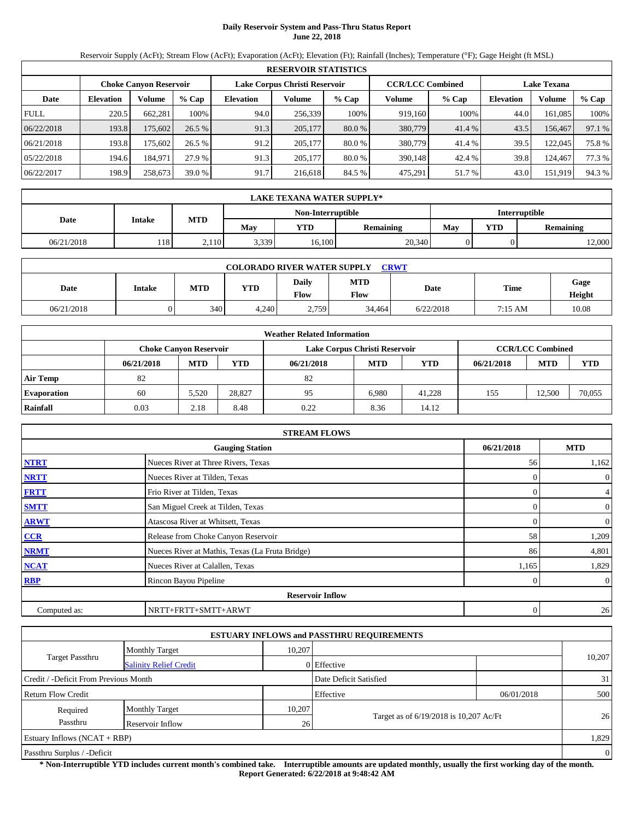## **Daily Reservoir System and Pass-Thru Status Report June 22, 2018**

Reservoir Supply (AcFt); Stream Flow (AcFt); Evaporation (AcFt); Elevation (Ft); Rainfall (Inches); Temperature (°F); Gage Height (ft MSL)

|             | <b>RESERVOIR STATISTICS</b> |                               |         |                               |         |          |                         |        |                    |         |        |  |  |
|-------------|-----------------------------|-------------------------------|---------|-------------------------------|---------|----------|-------------------------|--------|--------------------|---------|--------|--|--|
|             |                             | <b>Choke Canyon Reservoir</b> |         | Lake Corpus Christi Reservoir |         |          | <b>CCR/LCC Combined</b> |        | <b>Lake Texana</b> |         |        |  |  |
| Date        | <b>Elevation</b>            | Volume                        | $%$ Cap | <b>Elevation</b>              | Volume  | % Cap    | Volume                  | % Cap  | Elevation          | Volume  | % Cap  |  |  |
| <b>FULL</b> | 220.5                       | 662.281                       | 100%    | 94.0                          | 256.339 | 100%     | 919.160                 | 100%   | 44.0               | 161.085 | 100%   |  |  |
| 06/22/2018  | 193.8                       | 175,602                       | 26.5%   | 91.3                          | 205,177 | $80.0\%$ | 380,779                 | 41.4 % | 43.5               | 156,467 | 97.1 % |  |  |
| 06/21/2018  | 193.8                       | 175.602                       | 26.5%   | 91.2                          | 205.177 | $80.0\%$ | 380,779                 | 41.4 % | 39.5               | 122,045 | 75.8%  |  |  |
| 05/22/2018  | 194.6                       | 184.971                       | 27.9 %  | 91.3                          | 205.177 | 80.0 %   | 390.148                 | 42.4 % | 39.8               | 124.467 | 77.3 % |  |  |
| 06/22/2017  | 198.9                       | 258,673                       | 39.0%   | 91.7                          | 216,618 | 84.5 %   | 475,291                 | 51.7 % | 43.0               | 151,919 | 94.3 % |  |  |

|            | LAKE TEXANA WATER SUPPLY*                 |            |                                                            |                                     |  |  |  |                  |  |  |  |  |
|------------|-------------------------------------------|------------|------------------------------------------------------------|-------------------------------------|--|--|--|------------------|--|--|--|--|
|            | <b>Interruptible</b><br>Non-Interruptible |            |                                                            |                                     |  |  |  |                  |  |  |  |  |
| Date       | <b>Intake</b>                             | <b>MTD</b> | <b>YTD</b><br>May<br><b>YTD</b><br>May<br><b>Remaining</b> |                                     |  |  |  | <b>Remaining</b> |  |  |  |  |
| 06/21/2018 | 118'                                      | 2.110      |                                                            | 20,340<br>3,339<br>16.100<br>12,000 |  |  |  |                  |  |  |  |  |

|            | <b>COLORADO RIVER WATER SUPPLY</b><br><b>CRWT</b> |     |            |                      |                    |           |         |                |  |  |  |  |  |
|------------|---------------------------------------------------|-----|------------|----------------------|--------------------|-----------|---------|----------------|--|--|--|--|--|
| Date       | <b>Intake</b>                                     | MTD | <b>YTD</b> | Daily<br><b>Flow</b> | <b>MTD</b><br>Flow | Date      | Time    | Gage<br>Height |  |  |  |  |  |
| 06/21/2018 |                                                   | 340 | 4.240      | 2,759                | 34.464             | 6/22/2018 | 7:15 AM | 10.08          |  |  |  |  |  |

|                    | <b>Weather Related Information</b> |                               |        |            |                               |            |            |                         |            |  |  |  |
|--------------------|------------------------------------|-------------------------------|--------|------------|-------------------------------|------------|------------|-------------------------|------------|--|--|--|
|                    |                                    | <b>Choke Canyon Reservoir</b> |        |            | Lake Corpus Christi Reservoir |            |            | <b>CCR/LCC Combined</b> |            |  |  |  |
|                    | 06/21/2018                         | <b>MTD</b>                    | YTD    | 06/21/2018 | <b>MTD</b>                    | <b>YTD</b> | 06/21/2018 | <b>MTD</b>              | <b>YTD</b> |  |  |  |
| <b>Air Temp</b>    | 82                                 |                               |        | 82         |                               |            |            |                         |            |  |  |  |
| <b>Evaporation</b> | 60                                 | 5,520                         | 28.827 | 95         | 6.980                         | 41.228     | 155        | 12.500                  | 70,055     |  |  |  |
| Rainfall           | 0.03                               | 2.18                          | 8.48   | 0.22       | 8.36                          | 14.12      |            |                         |            |  |  |  |

|              | <b>STREAM FLOWS</b>                             |            |                |
|--------------|-------------------------------------------------|------------|----------------|
|              | <b>Gauging Station</b>                          | 06/21/2018 | <b>MTD</b>     |
| <b>NTRT</b>  | Nueces River at Three Rivers, Texas             | 56         | 1,162          |
| <b>NRTT</b>  | Nueces River at Tilden, Texas                   |            | $\overline{0}$ |
| <b>FRTT</b>  | Frio River at Tilden, Texas                     |            | $\overline{4}$ |
| <b>SMTT</b>  | San Miguel Creek at Tilden, Texas               |            | $\overline{0}$ |
| <b>ARWT</b>  | Atascosa River at Whitsett, Texas               |            | $\overline{0}$ |
| CCR          | Release from Choke Canyon Reservoir             | 58         | 1,209          |
| <b>NRMT</b>  | Nueces River at Mathis, Texas (La Fruta Bridge) | 86         | 4,801          |
| <b>NCAT</b>  | Nueces River at Calallen, Texas                 | 1,165      | 1,829          |
| RBP          | Rincon Bayou Pipeline                           |            | $\mathbf{0}$   |
|              | <b>Reservoir Inflow</b>                         |            |                |
| Computed as: | NRTT+FRTT+SMTT+ARWT                             | 0          | 26             |

|                                       |                               |        | <b>ESTUARY INFLOWS and PASSTHRU REQUIREMENTS</b> |            |        |  |  |  |
|---------------------------------------|-------------------------------|--------|--------------------------------------------------|------------|--------|--|--|--|
|                                       | <b>Monthly Target</b>         | 10,207 |                                                  |            |        |  |  |  |
| <b>Target Passthru</b>                | <b>Salinity Relief Credit</b> |        | 0 Effective                                      |            | 10,207 |  |  |  |
| Credit / -Deficit From Previous Month |                               |        | Date Deficit Satisfied                           |            | 31     |  |  |  |
| <b>Return Flow Credit</b>             |                               |        | Effective                                        | 06/01/2018 | 500    |  |  |  |
| Required                              | <b>Monthly Target</b>         | 10,207 |                                                  |            |        |  |  |  |
| Passthru                              | Reservoir Inflow              | 26     | Target as of 6/19/2018 is 10,207 Ac/Ft           |            | 26     |  |  |  |
| Estuary Inflows $(NCAT + RBP)$        |                               |        |                                                  |            |        |  |  |  |
| Passthru Surplus / -Deficit           |                               |        |                                                  |            |        |  |  |  |

**\* Non-Interruptible YTD includes current month's combined take. Interruptible amounts are updated monthly, usually the first working day of the month. Report Generated: 6/22/2018 at 9:48:42 AM**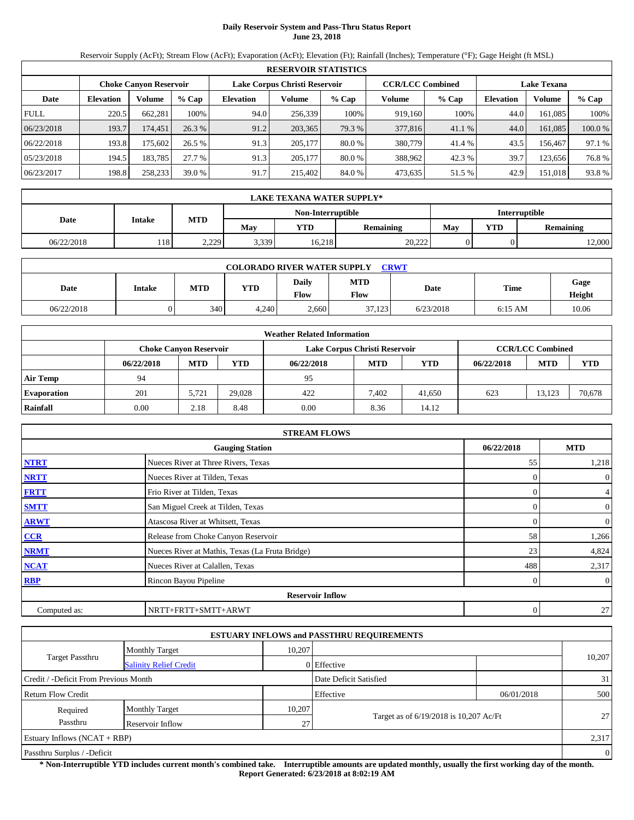# **Daily Reservoir System and Pass-Thru Status Report June 23, 2018**

Reservoir Supply (AcFt); Stream Flow (AcFt); Evaporation (AcFt); Elevation (Ft); Rainfall (Inches); Temperature (°F); Gage Height (ft MSL)

|             | <b>RESERVOIR STATISTICS</b> |                               |         |                               |         |         |                         |         |                    |               |        |  |
|-------------|-----------------------------|-------------------------------|---------|-------------------------------|---------|---------|-------------------------|---------|--------------------|---------------|--------|--|
|             |                             | <b>Choke Canyon Reservoir</b> |         | Lake Corpus Christi Reservoir |         |         | <b>CCR/LCC Combined</b> |         | <b>Lake Texana</b> |               |        |  |
| Date        | <b>Elevation</b>            | Volume                        | $%$ Cap | <b>Elevation</b>              | Volume  | $%$ Cap | Volume                  | $%$ Cap | <b>Elevation</b>   | <b>Volume</b> | % Cap  |  |
| <b>FULL</b> | 220.5                       | 662.281                       | 100%    | 94.0                          | 256,339 | 100%    | 919.160                 | 100%    | 44.0               | 161.085       | 100%   |  |
| 06/23/2018  | 193.7                       | 174,451                       | 26.3%   | 91.2                          | 203,365 | 79.3 %  | 377,816                 | 41.1%   | 44.0               | 161,085       | 100.0% |  |
| 06/22/2018  | 193.8                       | 175.602                       | 26.5 %  | 91.3                          | 205,177 | 80.0 %  | 380,779                 | 41.4 %  | 43.5               | 156.467       | 97.1 % |  |
| 05/23/2018  | 194.5                       | 183.785                       | 27.7 %  | 91.3                          | 205,177 | 80.0 %  | 388,962                 | 42.3 %  | 39.7               | 123.656       | 76.8%  |  |
| 06/23/2017  | 198.8                       | 258,233                       | 39.0%   | 91.7                          | 215,402 | 84.0 %  | 473,635                 | 51.5 %  | 42.9               | 151.018       | 93.8%  |  |

|                                           | <b>LAKE TEXANA WATER SUPPLY*</b> |            |       |            |                  |            |  |       |  |  |  |
|-------------------------------------------|----------------------------------|------------|-------|------------|------------------|------------|--|-------|--|--|--|
| Non-Interruptible<br><b>Interruptible</b> |                                  |            |       |            |                  |            |  |       |  |  |  |
| Date                                      | Intake                           | <b>MTD</b> | May   | <b>YTD</b> | <b>Remaining</b> | Mav<br>YTD |  |       |  |  |  |
| 06/22/2018                                | 118                              | 2.229      | 3,339 | 16.218     | 20.222           |            |  | 2,000 |  |  |  |

| <b>CRWT</b><br><b>COLORADO RIVER WATER SUPPLY</b> |        |            |            |               |                    |           |           |                |  |  |  |
|---------------------------------------------------|--------|------------|------------|---------------|--------------------|-----------|-----------|----------------|--|--|--|
| Date                                              | Intake | <b>MTD</b> | <b>YTD</b> | Daily<br>Flow | <b>MTD</b><br>Flow | Date      | Time      | Gage<br>Height |  |  |  |
| 06/22/2018                                        |        | 340        | 4,240      | 2,660         | 37,123             | 6/23/2018 | $6:15$ AM | 10.06          |  |  |  |

|                    | <b>Weather Related Information</b> |                               |        |            |                               |        |            |                         |            |  |  |  |
|--------------------|------------------------------------|-------------------------------|--------|------------|-------------------------------|--------|------------|-------------------------|------------|--|--|--|
|                    |                                    | <b>Choke Canyon Reservoir</b> |        |            | Lake Corpus Christi Reservoir |        |            | <b>CCR/LCC Combined</b> |            |  |  |  |
|                    | 06/22/2018                         | <b>MTD</b>                    | YTD    | 06/22/2018 | <b>MTD</b>                    | YTD    | 06/22/2018 | <b>MTD</b>              | <b>YTD</b> |  |  |  |
| <b>Air Temp</b>    | 94                                 |                               |        | 95         |                               |        |            |                         |            |  |  |  |
| <b>Evaporation</b> | 201                                | 5.721                         | 29.028 | 422        | 7.402                         | 41.650 | 623        | 13.123                  | 70,678     |  |  |  |
| Rainfall           | 0.00                               | 2.18                          | 8.48   | 0.00       | 8.36                          | 14.12  |            |                         |            |  |  |  |

|              | <b>STREAM FLOWS</b>                             |            |                |
|--------------|-------------------------------------------------|------------|----------------|
|              | <b>Gauging Station</b>                          | 06/22/2018 | <b>MTD</b>     |
| <b>NTRT</b>  | Nueces River at Three Rivers, Texas             | 55         | 1,218          |
| <b>NRTT</b>  | Nueces River at Tilden, Texas                   |            | $\overline{0}$ |
| <b>FRTT</b>  | Frio River at Tilden, Texas                     |            | $\overline{4}$ |
| <b>SMTT</b>  | San Miguel Creek at Tilden, Texas               |            | $\overline{0}$ |
| <b>ARWT</b>  | Atascosa River at Whitsett, Texas               |            | $\overline{0}$ |
| CCR          | Release from Choke Canyon Reservoir             | 58         | 1,266          |
| <b>NRMT</b>  | Nueces River at Mathis, Texas (La Fruta Bridge) | 23         | 4,824          |
| <b>NCAT</b>  | Nueces River at Calallen, Texas                 | 488        | 2,317          |
| RBP          | Rincon Bayou Pipeline                           |            | $\overline{0}$ |
|              | <b>Reservoir Inflow</b>                         |            |                |
| Computed as: | NRTT+FRTT+SMTT+ARWT                             | 0          | 27             |

|                                       |                                |        | <b>ESTUARY INFLOWS and PASSTHRU REQUIREMENTS</b> |            |        |  |  |  |
|---------------------------------------|--------------------------------|--------|--------------------------------------------------|------------|--------|--|--|--|
|                                       | <b>Monthly Target</b>          | 10,207 |                                                  |            |        |  |  |  |
| <b>Target Passthru</b>                | <b>Salinity Relief Credit</b>  |        | 0 Effective                                      |            | 10,207 |  |  |  |
| Credit / -Deficit From Previous Month |                                |        | Date Deficit Satisfied                           |            | 31     |  |  |  |
| Return Flow Credit                    |                                |        | Effective                                        | 06/01/2018 | 500    |  |  |  |
| Required                              | <b>Monthly Target</b>          | 10,207 |                                                  |            |        |  |  |  |
| Passthru                              | Reservoir Inflow               | 27     | Target as of 6/19/2018 is 10,207 Ac/Ft           |            | 27     |  |  |  |
|                                       | Estuary Inflows $(NCAT + RBP)$ |        |                                                  |            |        |  |  |  |
| Passthru Surplus / -Deficit           |                                |        |                                                  |            |        |  |  |  |

**\* Non-Interruptible YTD includes current month's combined take. Interruptible amounts are updated monthly, usually the first working day of the month. Report Generated: 6/23/2018 at 8:02:19 AM**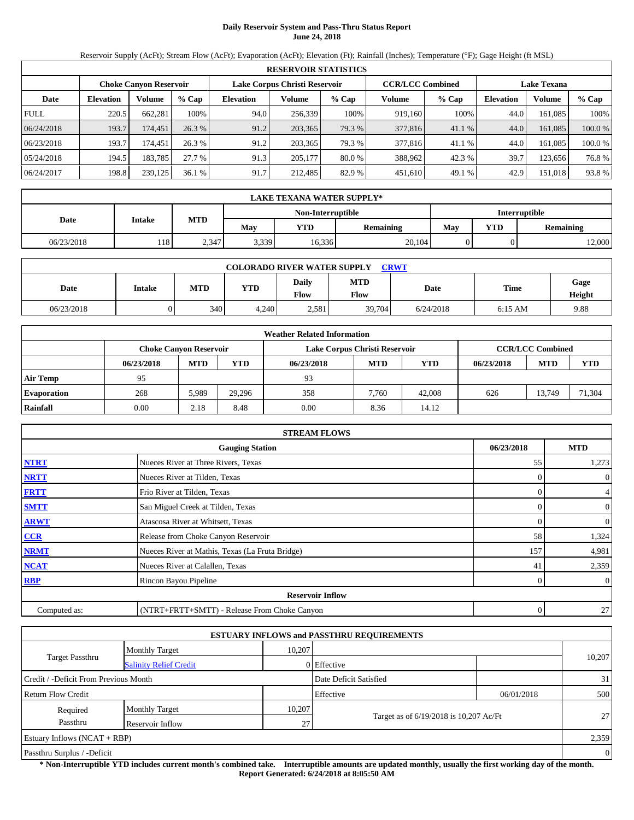## **Daily Reservoir System and Pass-Thru Status Report June 24, 2018**

Reservoir Supply (AcFt); Stream Flow (AcFt); Evaporation (AcFt); Elevation (Ft); Rainfall (Inches); Temperature (°F); Gage Height (ft MSL)

|             | <b>RESERVOIR STATISTICS</b> |                               |         |                               |         |        |                         |         |                    |               |        |  |
|-------------|-----------------------------|-------------------------------|---------|-------------------------------|---------|--------|-------------------------|---------|--------------------|---------------|--------|--|
|             |                             | <b>Choke Canyon Reservoir</b> |         | Lake Corpus Christi Reservoir |         |        | <b>CCR/LCC Combined</b> |         | <b>Lake Texana</b> |               |        |  |
| Date        | <b>Elevation</b>            | Volume                        | $%$ Cap | <b>Elevation</b>              | Volume  | % Cap  | Volume                  | $%$ Cap | <b>Elevation</b>   | <b>Volume</b> | % Cap  |  |
| <b>FULL</b> | 220.5                       | 662.281                       | 100%    | 94.0                          | 256.339 | 100%   | 919.160                 | 100%    | 44.0               | 161.085       | 100%   |  |
| 06/24/2018  | 193.7                       | 174,451                       | 26.3 %  | 91.2                          | 203,365 | 79.3 % | 377,816                 | 41.1%   | 44.0               | 161,085       | 100.0% |  |
| 06/23/2018  | 193.7                       | 174,451                       | 26.3 %  | 91.2                          | 203.365 | 79.3 % | 377,816                 | 41.1 %  | 44.0               | 161.085       | 100.0% |  |
| 05/24/2018  | 194.5                       | 183.785                       | 27.7 %  | 91.3                          | 205,177 | 80.0%  | 388,962                 | 42.3 %  | 39.7               | 123.656       | 76.8%  |  |
| 06/24/2017  | 198.8                       | 239,125                       | 36.1%   | 91.7                          | 212.485 | 82.9%  | 451,610                 | 49.1 %  | 42.9               | 151.018       | 93.8%  |  |

|                                    | <b>LAKE TEXANA WATER SUPPLY*</b> |            |       |            |                  |     |                  |        |  |  |  |
|------------------------------------|----------------------------------|------------|-------|------------|------------------|-----|------------------|--------|--|--|--|
| Non-Interruptible<br>Interruptible |                                  |            |       |            |                  |     |                  |        |  |  |  |
| Date                               | <b>Intake</b>                    | <b>MTD</b> | May   | <b>YTD</b> | <b>Remaining</b> | May | <b>Remaining</b> |        |  |  |  |
| 06/23/2018                         | 118'                             | 2,347      | 3,339 | 16,336     | 20,104           |     |                  | 12,000 |  |  |  |

|            | <b>COLORADO RIVER WATER SUPPLY</b><br><b>CRWT</b> |     |            |                      |                    |           |           |                |  |  |  |  |
|------------|---------------------------------------------------|-----|------------|----------------------|--------------------|-----------|-----------|----------------|--|--|--|--|
| Date       | <b>Intake</b>                                     | MTD | <b>YTD</b> | Daily<br><b>Flow</b> | <b>MTD</b><br>Flow | Date      | Time      | Gage<br>Height |  |  |  |  |
| 06/23/2018 |                                                   | 340 | 4,240      | 2,581                | 39,704             | 6/24/2018 | $6:15$ AM | 9.88           |  |  |  |  |

|                    | <b>Weather Related Information</b> |                               |        |            |                               |        |            |                         |            |  |  |  |
|--------------------|------------------------------------|-------------------------------|--------|------------|-------------------------------|--------|------------|-------------------------|------------|--|--|--|
|                    |                                    | <b>Choke Canyon Reservoir</b> |        |            | Lake Corpus Christi Reservoir |        |            | <b>CCR/LCC Combined</b> |            |  |  |  |
|                    | 06/23/2018                         | <b>MTD</b>                    | YTD    | 06/23/2018 | <b>MTD</b>                    | YTD    | 06/23/2018 | <b>MTD</b>              | <b>YTD</b> |  |  |  |
| <b>Air Temp</b>    | 95                                 |                               |        | 93         |                               |        |            |                         |            |  |  |  |
| <b>Evaporation</b> | 268                                | 5,989                         | 29.296 | 358        | 7.760                         | 42,008 | 626        | 13.749                  | 71,304     |  |  |  |
| Rainfall           | 0.00                               | 2.18                          | 8.48   | 0.00       | 8.36                          | 14.12  |            |                         |            |  |  |  |

|              | <b>STREAM FLOWS</b>                             |                |                |
|--------------|-------------------------------------------------|----------------|----------------|
|              | <b>Gauging Station</b>                          | 06/23/2018     | <b>MTD</b>     |
| <b>NTRT</b>  | Nueces River at Three Rivers, Texas             | 55             | 1,273          |
| <b>NRTT</b>  | Nueces River at Tilden, Texas                   | $\Omega$       | $\overline{0}$ |
| <b>FRTT</b>  | Frio River at Tilden, Texas                     | $\Omega$       | $\overline{4}$ |
| <b>SMTT</b>  | San Miguel Creek at Tilden, Texas               | $\Omega$       | $\mathbf{0}$   |
| <b>ARWT</b>  | Atascosa River at Whitsett, Texas               | $\Omega$       | $\overline{0}$ |
| CCR          | Release from Choke Canyon Reservoir             | 58             | 1,324          |
| <b>NRMT</b>  | Nueces River at Mathis, Texas (La Fruta Bridge) | 157            | 4,981          |
| <b>NCAT</b>  | Nueces River at Calallen, Texas                 | 41             | 2,359          |
| RBP          | Rincon Bayou Pipeline                           | 0              | $\overline{0}$ |
|              | <b>Reservoir Inflow</b>                         |                |                |
| Computed as: | (NTRT+FRTT+SMTT) - Release From Choke Canyon    | $\overline{0}$ | 27             |

|                                       |                               |        | <b>ESTUARY INFLOWS and PASSTHRU REQUIREMENTS</b> |            |        |  |  |  |
|---------------------------------------|-------------------------------|--------|--------------------------------------------------|------------|--------|--|--|--|
|                                       | <b>Monthly Target</b>         | 10,207 |                                                  |            |        |  |  |  |
| <b>Target Passthru</b>                | <b>Salinity Relief Credit</b> |        | 0 Effective                                      |            | 10,207 |  |  |  |
| Credit / -Deficit From Previous Month |                               |        | Date Deficit Satisfied                           |            | 31     |  |  |  |
| <b>Return Flow Credit</b>             |                               |        | Effective                                        | 06/01/2018 | 500    |  |  |  |
| Required                              | <b>Monthly Target</b>         | 10,207 |                                                  |            |        |  |  |  |
| Passthru                              | Reservoir Inflow              | 27     | Target as of 6/19/2018 is 10,207 Ac/Ft           |            | 27     |  |  |  |
| Estuary Inflows $(NCAT + RBP)$        |                               |        |                                                  |            |        |  |  |  |
| Passthru Surplus / -Deficit           |                               |        |                                                  |            |        |  |  |  |

**\* Non-Interruptible YTD includes current month's combined take. Interruptible amounts are updated monthly, usually the first working day of the month. Report Generated: 6/24/2018 at 8:05:50 AM**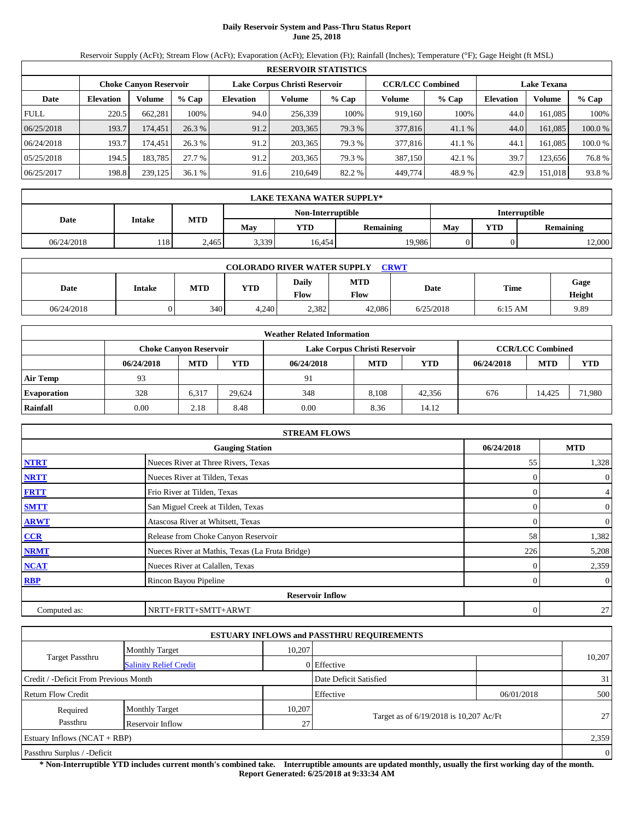#### **Daily Reservoir System and Pass-Thru Status Report June 25, 2018**

Reservoir Supply (AcFt); Stream Flow (AcFt); Evaporation (AcFt); Elevation (Ft); Rainfall (Inches); Temperature (°F); Gage Height (ft MSL)

|             | <b>RESERVOIR STATISTICS</b> |                               |         |                  |                               |        |                         |         |                    |               |        |  |  |
|-------------|-----------------------------|-------------------------------|---------|------------------|-------------------------------|--------|-------------------------|---------|--------------------|---------------|--------|--|--|
|             |                             | <b>Choke Canyon Reservoir</b> |         |                  | Lake Corpus Christi Reservoir |        | <b>CCR/LCC Combined</b> |         | <b>Lake Texana</b> |               |        |  |  |
| Date        | <b>Elevation</b>            | Volume                        | $%$ Cap | <b>Elevation</b> | Volume                        | % Cap  | Volume                  | $%$ Cap | <b>Elevation</b>   | <b>Volume</b> | % Cap  |  |  |
| <b>FULL</b> | 220.5                       | 662.281                       | 100%    | 94.0             | 256.339                       | 100%   | 919.160                 | 100%    | 44.0               | 161.085       | 100%   |  |  |
| 06/25/2018  | 193.7                       | 174,451                       | 26.3 %  | 91.2             | 203,365                       | 79.3 % | 377,816                 | 41.1%   | 44.0               | 161,085       | 100.0% |  |  |
| 06/24/2018  | 193.7                       | 174.451                       | 26.3 %  | 91.2             | 203,365                       | 79.3 % | 377,816                 | 41.1 %  | 44.1               | 161.085       | 100.0% |  |  |
| 05/25/2018  | 194.5                       | 183.785                       | 27.7 %  | 91.2             | 203,365                       | 79.3 % | 387,150                 | 42.1 %  | 39.7               | 123.656       | 76.8%  |  |  |
| 06/25/2017  | 198.8                       | 239,125                       | 36.1%   | 91.6             | 210,649                       | 82.2 % | 449,774                 | 48.9%   | 42.9               | 151.018       | 93.8%  |  |  |

|                                    | <b>LAKE TEXANA WATER SUPPLY*</b> |            |                                       |        |        |            |                  |        |  |  |  |
|------------------------------------|----------------------------------|------------|---------------------------------------|--------|--------|------------|------------------|--------|--|--|--|
| Non-Interruptible<br>Interruptible |                                  |            |                                       |        |        |            |                  |        |  |  |  |
| Date                               | <b>Intake</b>                    | <b>MTD</b> | <b>YTD</b><br>May<br><b>Remaining</b> |        | May    | <b>YTD</b> | <b>Remaining</b> |        |  |  |  |
| 06/24/2018                         | 118'                             | 2.465      | 3,339                                 | 16.454 | 19,986 |            |                  | 12,000 |  |  |  |

| <b>COLORADO RIVER WATER SUPPLY</b><br><b>CRWT</b> |               |     |            |                      |                    |           |           |                |  |  |  |
|---------------------------------------------------|---------------|-----|------------|----------------------|--------------------|-----------|-----------|----------------|--|--|--|
| Date                                              | <b>Intake</b> | MTD | <b>YTD</b> | Daily<br><b>Flow</b> | <b>MTD</b><br>Flow | Date      | Time      | Gage<br>Height |  |  |  |
| 06/24/2018                                        |               | 340 | 4.240      | 2.382                | 42.086             | 6/25/2018 | $6:15$ AM | 9.89           |  |  |  |

|                    |            |                               |        | <b>Weather Related Information</b> |                               |        |            |                         |            |
|--------------------|------------|-------------------------------|--------|------------------------------------|-------------------------------|--------|------------|-------------------------|------------|
|                    |            | <b>Choke Canyon Reservoir</b> |        |                                    | Lake Corpus Christi Reservoir |        |            | <b>CCR/LCC Combined</b> |            |
|                    | 06/24/2018 | <b>MTD</b>                    | YTD    | 06/24/2018                         | <b>MTD</b>                    | YTD    | 06/24/2018 | <b>MTD</b>              | <b>YTD</b> |
| <b>Air Temp</b>    | 93         |                               |        | 91                                 |                               |        |            |                         |            |
| <b>Evaporation</b> | 328        | 6,317                         | 29.624 | 348                                | 8.108                         | 42.356 | 676        | 14.425                  | 71,980     |
| Rainfall           | 0.00       | 2.18                          | 8.48   | 0.00                               | 8.36                          | 14.12  |            |                         |            |

|              | <b>STREAM FLOWS</b>                             |            |                |
|--------------|-------------------------------------------------|------------|----------------|
|              | <b>Gauging Station</b>                          | 06/24/2018 | <b>MTD</b>     |
| <b>NTRT</b>  | Nueces River at Three Rivers, Texas             | 55         | 1,328          |
| <b>NRTT</b>  | Nueces River at Tilden, Texas                   |            | $\overline{0}$ |
| <b>FRTT</b>  | Frio River at Tilden, Texas                     |            | $\overline{4}$ |
| <b>SMTT</b>  | San Miguel Creek at Tilden, Texas               |            | $\mathbf{0}$   |
| <b>ARWT</b>  | Atascosa River at Whitsett, Texas               |            | $\overline{0}$ |
| CCR          | Release from Choke Canyon Reservoir             | 58         | 1,382          |
| <b>NRMT</b>  | Nueces River at Mathis, Texas (La Fruta Bridge) | 226        | 5,208          |
| <b>NCAT</b>  | Nueces River at Calallen, Texas                 |            | 2,359          |
| RBP          | Rincon Bayou Pipeline                           |            | $\overline{0}$ |
|              | <b>Reservoir Inflow</b>                         |            |                |
| Computed as: | NRTT+FRTT+SMTT+ARWT                             | 0          | 27             |

|                                       |                               |        | <b>ESTUARY INFLOWS and PASSTHRU REQUIREMENTS</b> |            |                |
|---------------------------------------|-------------------------------|--------|--------------------------------------------------|------------|----------------|
|                                       | <b>Monthly Target</b>         | 10.207 |                                                  |            |                |
| <b>Target Passthru</b>                | <b>Salinity Relief Credit</b> |        | 0 Effective                                      |            | 10,207         |
| Credit / -Deficit From Previous Month |                               |        | Date Deficit Satisfied                           |            | 31             |
| <b>Return Flow Credit</b>             |                               |        | Effective                                        | 06/01/2018 | 500            |
| Required                              | <b>Monthly Target</b>         | 10,207 |                                                  |            |                |
| Passthru                              | Reservoir Inflow              | 27     | Target as of 6/19/2018 is 10,207 Ac/Ft           |            | 27             |
| Estuary Inflows $(NCAT + RBP)$        |                               |        |                                                  |            | 2,359          |
| Passthru Surplus / -Deficit           |                               |        |                                                  |            | $\overline{0}$ |

**\* Non-Interruptible YTD includes current month's combined take. Interruptible amounts are updated monthly, usually the first working day of the month. Report Generated: 6/25/2018 at 9:33:34 AM**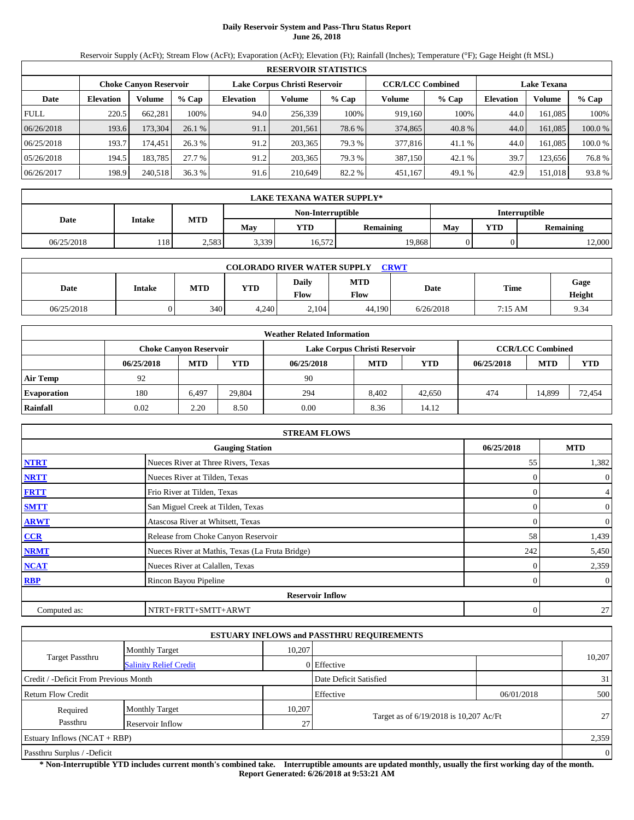# **Daily Reservoir System and Pass-Thru Status Report June 26, 2018**

Reservoir Supply (AcFt); Stream Flow (AcFt); Evaporation (AcFt); Elevation (Ft); Rainfall (Inches); Temperature (°F); Gage Height (ft MSL)

|             | <b>RESERVOIR STATISTICS</b> |                               |         |                               |         |        |                         |         |                    |               |        |  |  |
|-------------|-----------------------------|-------------------------------|---------|-------------------------------|---------|--------|-------------------------|---------|--------------------|---------------|--------|--|--|
|             |                             | <b>Choke Canyon Reservoir</b> |         | Lake Corpus Christi Reservoir |         |        | <b>CCR/LCC Combined</b> |         | <b>Lake Texana</b> |               |        |  |  |
| Date        | <b>Elevation</b>            | Volume                        | $%$ Cap | <b>Elevation</b>              | Volume  | % Cap  | Volume                  | $%$ Cap | <b>Elevation</b>   | <b>Volume</b> | % Cap  |  |  |
| <b>FULL</b> | 220.5                       | 662.281                       | 100%    | 94.0                          | 256.339 | 100%   | 919,160                 | 100%    | 44.0               | 161.085       | 100%   |  |  |
| 06/26/2018  | 193.6                       | 173,304                       | 26.1%   | 91.1                          | 201,561 | 78.6 % | 374,865                 | 40.8 %  | 44.0               | 161,085       | 100.0% |  |  |
| 06/25/2018  | 193.7                       | 174.451                       | 26.3 %  | 91.2                          | 203,365 | 79.3 % | 377,816                 | 41.1 %  | 44.0               | 161.085       | 100.0% |  |  |
| 05/26/2018  | 194.5                       | 183.785                       | 27.7 %  | 91.2                          | 203,365 | 79.3 % | 387,150                 | 42.1 %  | 39.7               | 123.656       | 76.8%  |  |  |
| 06/26/2017  | 198.9                       | 240,518                       | 36.3%   | 91.6                          | 210,649 | 82.2 % | 451,167                 | 49.1 %  | 42.9               | 151.018       | 93.8%  |  |  |

|                                           | LAKE TEXANA WATER SUPPLY* |                                                     |       |        |            |                  |  |        |  |  |  |
|-------------------------------------------|---------------------------|-----------------------------------------------------|-------|--------|------------|------------------|--|--------|--|--|--|
| <b>Interruptible</b><br>Non-Interruptible |                           |                                                     |       |        |            |                  |  |        |  |  |  |
| Date                                      | <b>Intake</b>             | <b>MTD</b><br>May<br><b>YTD</b><br><b>Remaining</b> |       | May    | <b>YTD</b> | <b>Remaining</b> |  |        |  |  |  |
| 06/25/2018                                | 118'                      | 2,583                                               | 3,339 | 16,572 | 19,868     |                  |  | 12,000 |  |  |  |

| <b>CRWT</b><br><b>COLORADO RIVER WATER SUPPLY</b> |        |     |            |               |                    |           |         |                |  |  |  |
|---------------------------------------------------|--------|-----|------------|---------------|--------------------|-----------|---------|----------------|--|--|--|
| Date                                              | Intake | MTD | <b>YTD</b> | Daily<br>Flow | <b>MTD</b><br>Flow | Date      | Time    | Gage<br>Height |  |  |  |
| 06/25/2018                                        |        | 340 | 4,240      | 2.104         | 44.190             | 6/26/2018 | 7:15 AM | 9.34           |  |  |  |

|                    |            |                               |        | <b>Weather Related Information</b> |                               |        |            |                         |        |
|--------------------|------------|-------------------------------|--------|------------------------------------|-------------------------------|--------|------------|-------------------------|--------|
|                    |            | <b>Choke Canyon Reservoir</b> |        |                                    | Lake Corpus Christi Reservoir |        |            | <b>CCR/LCC Combined</b> |        |
|                    | 06/25/2018 | <b>MTD</b>                    | YTD    | 06/25/2018                         | <b>MTD</b>                    | YTD    | 06/25/2018 | <b>MTD</b>              | YTD    |
| <b>Air Temp</b>    | 92         |                               |        | 90                                 |                               |        |            |                         |        |
| <b>Evaporation</b> | 180        | 6,497                         | 29,804 | 294                                | 8.402                         | 42,650 | 474        | 14,899                  | 72,454 |
| Rainfall           | 0.02       | 2.20                          | 8.50   | 0.00                               | 8.36                          | 14.12  |            |                         |        |

|              | <b>STREAM FLOWS</b>                             |            |                |
|--------------|-------------------------------------------------|------------|----------------|
|              | <b>Gauging Station</b>                          | 06/25/2018 | <b>MTD</b>     |
| <b>NTRT</b>  | Nueces River at Three Rivers, Texas             | 55         | 1,382          |
| <b>NRTT</b>  | Nueces River at Tilden, Texas                   |            | $\overline{0}$ |
| <b>FRTT</b>  | Frio River at Tilden, Texas                     |            | $\overline{4}$ |
| <b>SMTT</b>  | San Miguel Creek at Tilden, Texas               |            | $\mathbf{0}$   |
| <b>ARWT</b>  | Atascosa River at Whitsett, Texas               |            | $\overline{0}$ |
| CCR          | Release from Choke Canyon Reservoir             | 58         | 1,439          |
| <b>NRMT</b>  | Nueces River at Mathis, Texas (La Fruta Bridge) | 242        | 5,450          |
| <b>NCAT</b>  | Nueces River at Calallen, Texas                 |            | 2,359          |
| <b>RBP</b>   | Rincon Bayou Pipeline                           |            | $\overline{0}$ |
|              | <b>Reservoir Inflow</b>                         |            |                |
| Computed as: | NTRT+FRTT+SMTT+ARWT                             | 0          | 27             |

|                                       |                               |        | <b>ESTUARY INFLOWS and PASSTHRU REQUIREMENTS</b> |            |        |  |
|---------------------------------------|-------------------------------|--------|--------------------------------------------------|------------|--------|--|
|                                       | <b>Monthly Target</b>         | 10,207 |                                                  |            |        |  |
| <b>Target Passthru</b>                | <b>Salinity Relief Credit</b> |        | 0 Effective                                      |            | 10,207 |  |
| Credit / -Deficit From Previous Month |                               |        | Date Deficit Satisfied                           |            | 31     |  |
| Return Flow Credit                    |                               |        | Effective                                        | 06/01/2018 | 500    |  |
| Required                              | <b>Monthly Target</b>         | 10,207 |                                                  |            |        |  |
| Passthru                              | Reservoir Inflow              | 27     | Target as of 6/19/2018 is 10,207 Ac/Ft           |            | 27     |  |
| Estuary Inflows $(NCAT + RBP)$        |                               |        |                                                  |            | 2,359  |  |
| Passthru Surplus / -Deficit           |                               |        |                                                  |            |        |  |

**\* Non-Interruptible YTD includes current month's combined take. Interruptible amounts are updated monthly, usually the first working day of the month. Report Generated: 6/26/2018 at 9:53:21 AM**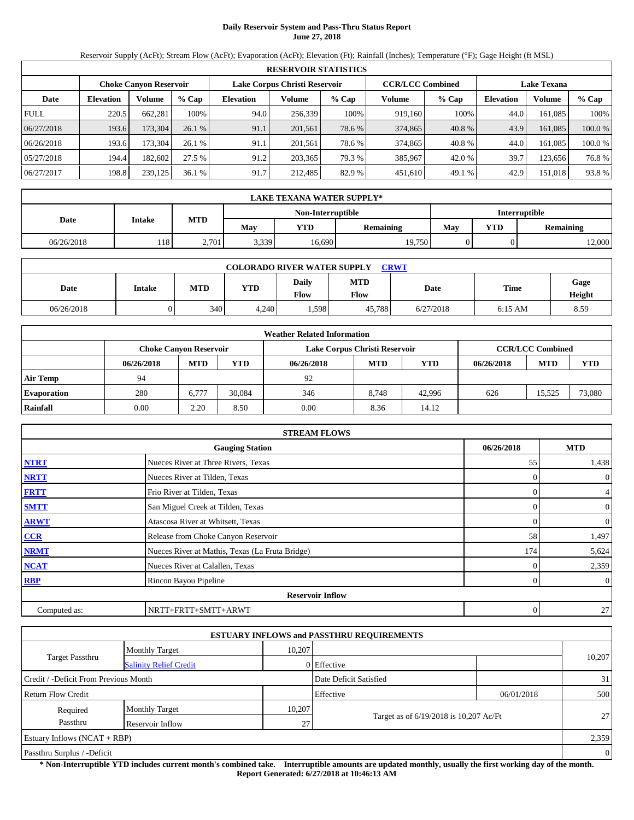### **Daily Reservoir System and Pass-Thru Status Report June 27, 2018**

Reservoir Supply (AcFt); Stream Flow (AcFt); Evaporation (AcFt); Elevation (Ft); Rainfall (Inches); Temperature (°F); Gage Height (ft MSL)

|             | <b>RESERVOIR STATISTICS</b> |                               |         |                               |         |         |                         |         |                    |               |         |  |  |
|-------------|-----------------------------|-------------------------------|---------|-------------------------------|---------|---------|-------------------------|---------|--------------------|---------------|---------|--|--|
|             |                             | <b>Choke Canyon Reservoir</b> |         | Lake Corpus Christi Reservoir |         |         | <b>CCR/LCC Combined</b> |         | <b>Lake Texana</b> |               |         |  |  |
| Date        | <b>Elevation</b>            | Volume                        | $%$ Cap | <b>Elevation</b>              | Volume  | $%$ Cap | Volume                  | $%$ Cap | <b>Elevation</b>   | <b>Volume</b> | $%$ Cap |  |  |
| <b>FULL</b> | 220.5                       | 662.281                       | 100%    | 94.0                          | 256,339 | 100%    | 919.160                 | 100%    | 44.0               | 161.085       | 100%    |  |  |
| 06/27/2018  | 193.6                       | 173.304                       | 26.1%   | 91.1                          | 201,561 | 78.6 %  | 374,865                 | 40.8 %  | 43.9               | 161.085       | 100.0%  |  |  |
| 06/26/2018  | 193.6                       | 173.304                       | 26.1%   | 91.1                          | 201.561 | 78.6%   | 374.865                 | 40.8 %  | 44.0               | 161.085       | 100.0%  |  |  |
| 05/27/2018  | 194.4                       | 182.602                       | 27.5 %  | 91.2                          | 203,365 | 79.3 %  | 385,967                 | 42.0 %  | 39.7               | 123.656       | 76.8%   |  |  |
| 06/27/2017  | 198.8                       | 239,125                       | 36.1%   | 91.7                          | 212.485 | 82.9 %  | 451,610                 | 49.1 %  | 42.9               | 151.018       | 93.8%   |  |  |

|                                    | <b>LAKE TEXANA WATER SUPPLY*</b> |                                                               |       |        |        |            |                  |        |  |  |
|------------------------------------|----------------------------------|---------------------------------------------------------------|-------|--------|--------|------------|------------------|--------|--|--|
| Interruptible<br>Non-Interruptible |                                  |                                                               |       |        |        |            |                  |        |  |  |
| Date                               |                                  | <b>MTD</b><br>Intake<br>May<br><b>YTD</b><br><b>Remaining</b> |       |        | May    | <b>YTD</b> | <b>Remaining</b> |        |  |  |
| 06/26/2018                         | 118                              | 2.701                                                         | 3,339 | 16.690 | 19,750 |            |                  | 12,000 |  |  |

| <b>CRWT</b><br><b>COLORADO RIVER WATER SUPPLY</b> |               |     |            |                      |                    |           |           |                |  |  |  |
|---------------------------------------------------|---------------|-----|------------|----------------------|--------------------|-----------|-----------|----------------|--|--|--|
| Date                                              | <b>Intake</b> | MTD | <b>YTD</b> | Daily<br><b>Flow</b> | <b>MTD</b><br>Flow | Date      | Time      | Gage<br>Height |  |  |  |
| 06/26/2018                                        |               | 340 | 4,240      | .598                 | 45.788             | 6/27/2018 | $6:15$ AM | 8.59           |  |  |  |

|                    | <b>Weather Related Information</b> |                               |        |            |                               |        |            |                         |            |  |  |
|--------------------|------------------------------------|-------------------------------|--------|------------|-------------------------------|--------|------------|-------------------------|------------|--|--|
|                    |                                    | <b>Choke Canyon Reservoir</b> |        |            | Lake Corpus Christi Reservoir |        |            | <b>CCR/LCC Combined</b> |            |  |  |
|                    | 06/26/2018                         | <b>MTD</b>                    | YTD    | 06/26/2018 | <b>MTD</b>                    | YTD    | 06/26/2018 | <b>MTD</b>              | <b>YTD</b> |  |  |
| <b>Air Temp</b>    | 94                                 |                               |        | 92         |                               |        |            |                         |            |  |  |
| <b>Evaporation</b> | 280                                | 6,777                         | 30.084 | 346        | 8.748                         | 42.996 | 626        | 15.525                  | 73,080     |  |  |
| Rainfall           | 0.00                               | 2.20                          | 8.50   | 0.00       | 8.36                          | 14.12  |            |                         |            |  |  |

|              | <b>STREAM FLOWS</b>                             |            |                |
|--------------|-------------------------------------------------|------------|----------------|
|              | <b>Gauging Station</b>                          | 06/26/2018 | <b>MTD</b>     |
| <b>NTRT</b>  | Nueces River at Three Rivers, Texas             | 55         | 1,438          |
| <b>NRTT</b>  | Nueces River at Tilden, Texas                   |            | $\overline{0}$ |
| <b>FRTT</b>  | Frio River at Tilden, Texas                     |            | $\overline{4}$ |
| <b>SMTT</b>  | San Miguel Creek at Tilden, Texas               |            | $\mathbf{0}$   |
| <b>ARWT</b>  | Atascosa River at Whitsett, Texas               |            | $\overline{0}$ |
| CCR          | Release from Choke Canyon Reservoir             | 58         | 1,497          |
| <b>NRMT</b>  | Nueces River at Mathis, Texas (La Fruta Bridge) | 174        | 5,624          |
| <b>NCAT</b>  | Nueces River at Calallen, Texas                 |            | 2,359          |
| RBP          | Rincon Bayou Pipeline                           |            | $\overline{0}$ |
|              | <b>Reservoir Inflow</b>                         |            |                |
| Computed as: | NRTT+FRTT+SMTT+ARWT                             | 0          | 27             |

|                                       |                               |        | <b>ESTUARY INFLOWS and PASSTHRU REQUIREMENTS</b> |            |        |  |  |
|---------------------------------------|-------------------------------|--------|--------------------------------------------------|------------|--------|--|--|
|                                       | <b>Monthly Target</b>         | 10.207 |                                                  |            |        |  |  |
| <b>Target Passthru</b>                | <b>Salinity Relief Credit</b> |        | 0 Effective                                      |            | 10,207 |  |  |
| Credit / -Deficit From Previous Month |                               |        | Date Deficit Satisfied                           |            | 31     |  |  |
| <b>Return Flow Credit</b>             |                               |        | Effective                                        | 06/01/2018 | 500    |  |  |
| Required                              | <b>Monthly Target</b>         | 10,207 |                                                  |            |        |  |  |
| Passthru                              | Reservoir Inflow              | 27     | Target as of 6/19/2018 is 10,207 Ac/Ft           |            | 27     |  |  |
| Estuary Inflows $(NCAT + RBP)$        |                               |        |                                                  |            |        |  |  |
| Passthru Surplus / -Deficit           |                               |        |                                                  |            |        |  |  |

**\* Non-Interruptible YTD includes current month's combined take. Interruptible amounts are updated monthly, usually the first working day of the month. Report Generated: 6/27/2018 at 10:46:13 AM**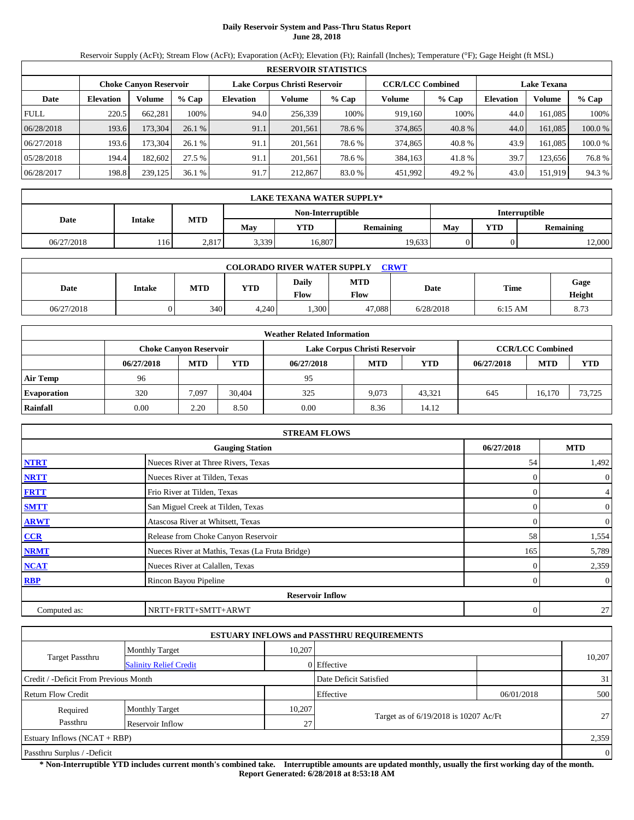# **Daily Reservoir System and Pass-Thru Status Report June 28, 2018**

Reservoir Supply (AcFt); Stream Flow (AcFt); Evaporation (AcFt); Elevation (Ft); Rainfall (Inches); Temperature (°F); Gage Height (ft MSL)

|             | <b>RESERVOIR STATISTICS</b> |                               |         |                               |         |        |                         |         |                    |               |        |  |
|-------------|-----------------------------|-------------------------------|---------|-------------------------------|---------|--------|-------------------------|---------|--------------------|---------------|--------|--|
|             |                             | <b>Choke Canyon Reservoir</b> |         | Lake Corpus Christi Reservoir |         |        | <b>CCR/LCC Combined</b> |         | <b>Lake Texana</b> |               |        |  |
| Date        | <b>Elevation</b>            | Volume                        | $%$ Cap | <b>Elevation</b>              | Volume  | % Cap  | Volume                  | $%$ Cap | <b>Elevation</b>   | <b>Volume</b> | % Cap  |  |
| <b>FULL</b> | 220.5                       | 662.281                       | 100%    | 94.0                          | 256.339 | 100%   | 919.160                 | 100%    | 44.0               | 161.085       | 100%   |  |
| 06/28/2018  | 193.6                       | 173,304                       | 26.1 %  | 91.1                          | 201,561 | 78.6 % | 374,865                 | 40.8 %  | 44.0               | 161,085       | 100.0% |  |
| 06/27/2018  | 193.6                       | 173.304                       | 26.1%   | 91.1                          | 201,561 | 78.6 % | 374,865                 | 40.8 %  | 43.9               | 161.085       | 100.0% |  |
| 05/28/2018  | 194.4                       | 182.602                       | 27.5 %  | 91.1                          | 201.561 | 78.6 % | 384.163                 | 41.8%   | 39.7               | 123.656       | 76.8%  |  |
| 06/28/2017  | 198.8                       | 239,125                       | 36.1%   | 91.7                          | 212,867 | 83.0%  | 451,992                 | 49.2 %  | 43.0               | 151,919       | 94.3%  |  |

|                                    | <b>LAKE TEXANA WATER SUPPLY*</b> |            |       |            |                  |                                |  |        |  |  |
|------------------------------------|----------------------------------|------------|-------|------------|------------------|--------------------------------|--|--------|--|--|
| Interruptible<br>Non-Interruptible |                                  |            |       |            |                  |                                |  |        |  |  |
| Date                               | <b>Intake</b>                    | <b>MTD</b> | May   | <b>YTD</b> | <b>Remaining</b> | YTD<br>May<br><b>Remaining</b> |  |        |  |  |
| 06/27/2018                         | 116'                             | 2,817      | 3,339 | 16.807     | 19,633           |                                |  | 12,000 |  |  |

| <b>CRWT</b><br><b>COLORADO RIVER WATER SUPPLY</b> |        |     |            |               |                    |           |           |                |  |  |  |
|---------------------------------------------------|--------|-----|------------|---------------|--------------------|-----------|-----------|----------------|--|--|--|
| Date                                              | Intake | MTD | <b>YTD</b> | Daily<br>Flow | <b>MTD</b><br>Flow | Date      | Time      | Gage<br>Height |  |  |  |
| 06/27/2018                                        |        | 340 | 4,240      | ,300          | 47.088             | 6/28/2018 | $6:15$ AM | 8.73           |  |  |  |

|                    |            |                               |        | <b>Weather Related Information</b> |                               |        |            |                         |        |
|--------------------|------------|-------------------------------|--------|------------------------------------|-------------------------------|--------|------------|-------------------------|--------|
|                    |            | <b>Choke Canyon Reservoir</b> |        |                                    | Lake Corpus Christi Reservoir |        |            | <b>CCR/LCC Combined</b> |        |
|                    | 06/27/2018 | <b>MTD</b>                    | YTD    | 06/27/2018                         | <b>MTD</b>                    | YTD    | 06/27/2018 | <b>MTD</b>              | YTD    |
| Air Temp           | 96         |                               |        | 95                                 |                               |        |            |                         |        |
| <b>Evaporation</b> | 320        | 7,097                         | 30,404 | 325                                | 9.073                         | 43.321 | 645        | 16.170                  | 73,725 |
| Rainfall           | 0.00       | 2.20                          | 8.50   | 0.00                               | 8.36                          | 14.12  |            |                         |        |

|              | <b>STREAM FLOWS</b>                             |            |                |
|--------------|-------------------------------------------------|------------|----------------|
|              | <b>Gauging Station</b>                          | 06/27/2018 | <b>MTD</b>     |
| <b>NTRT</b>  | Nueces River at Three Rivers, Texas             | 54         | 1,492          |
| <b>NRTT</b>  | Nueces River at Tilden, Texas                   |            | $\overline{0}$ |
| <b>FRTT</b>  | Frio River at Tilden, Texas                     |            | $\overline{4}$ |
| <b>SMTT</b>  | San Miguel Creek at Tilden, Texas               |            | $\overline{0}$ |
| <b>ARWT</b>  | Atascosa River at Whitsett, Texas               |            | $\overline{0}$ |
| CCR          | Release from Choke Canyon Reservoir             | 58         | 1,554          |
| <b>NRMT</b>  | Nueces River at Mathis, Texas (La Fruta Bridge) | 165        | 5,789          |
| <b>NCAT</b>  | Nueces River at Calallen, Texas                 |            | 2,359          |
| <b>RBP</b>   | Rincon Bayou Pipeline                           |            | $\overline{0}$ |
|              | <b>Reservoir Inflow</b>                         |            |                |
| Computed as: | NRTT+FRTT+SMTT+ARWT                             | 0          | 27             |

|                                       |                               |        | <b>ESTUARY INFLOWS and PASSTHRU REQUIREMENTS</b> |            |                |
|---------------------------------------|-------------------------------|--------|--------------------------------------------------|------------|----------------|
|                                       | <b>Monthly Target</b>         | 10,207 |                                                  |            |                |
| <b>Target Passthru</b>                | <b>Salinity Relief Credit</b> |        | 0 Effective                                      |            | 10,207         |
| Credit / -Deficit From Previous Month |                               |        | Date Deficit Satisfied                           |            | 31             |
| <b>Return Flow Credit</b>             |                               |        | Effective                                        | 06/01/2018 | 500            |
| Required                              | <b>Monthly Target</b>         | 10,207 |                                                  |            |                |
| Passthru                              | Reservoir Inflow              | 27     | Target as of 6/19/2018 is 10207 Ac/Ft            |            | 27             |
| Estuary Inflows $(NCAT + RBP)$        |                               |        |                                                  |            | 2,359          |
| Passthru Surplus / -Deficit           |                               |        |                                                  |            | $\overline{0}$ |

**\* Non-Interruptible YTD includes current month's combined take. Interruptible amounts are updated monthly, usually the first working day of the month. Report Generated: 6/28/2018 at 8:53:18 AM**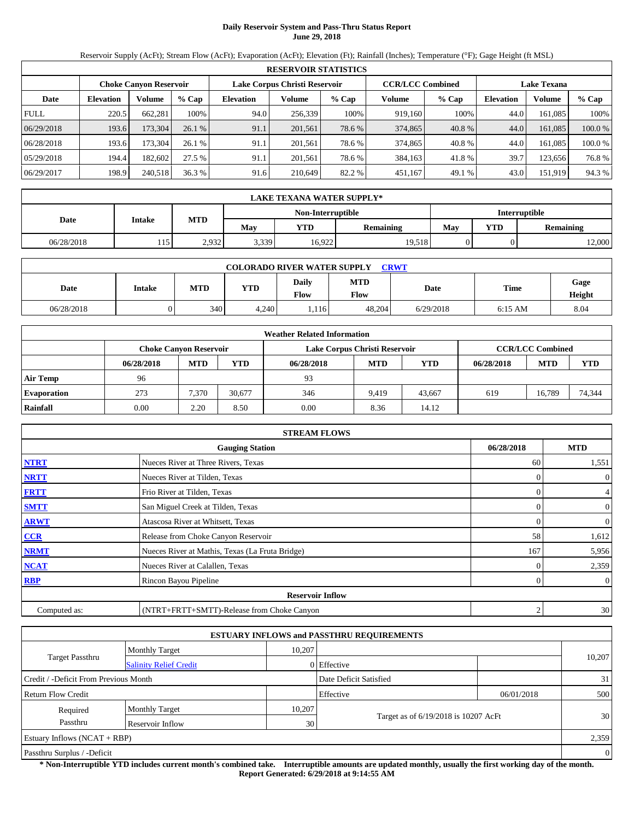# **Daily Reservoir System and Pass-Thru Status Report June 29, 2018**

Reservoir Supply (AcFt); Stream Flow (AcFt); Evaporation (AcFt); Elevation (Ft); Rainfall (Inches); Temperature (°F); Gage Height (ft MSL)

|             | <b>RESERVOIR STATISTICS</b> |                               |         |                               |         |        |                         |         |                    |               |        |  |  |
|-------------|-----------------------------|-------------------------------|---------|-------------------------------|---------|--------|-------------------------|---------|--------------------|---------------|--------|--|--|
|             |                             | <b>Choke Canyon Reservoir</b> |         | Lake Corpus Christi Reservoir |         |        | <b>CCR/LCC Combined</b> |         | <b>Lake Texana</b> |               |        |  |  |
| Date        | <b>Elevation</b>            | Volume                        | $%$ Cap | <b>Elevation</b>              | Volume  | % Cap  | Volume                  | $%$ Cap | <b>Elevation</b>   | <b>Volume</b> | % Cap  |  |  |
| <b>FULL</b> | 220.5                       | 662.281                       | 100%    | 94.0                          | 256.339 | 100%   | 919.160                 | 100%    | 44.0               | 161.085       | 100%   |  |  |
| 06/29/2018  | 193.6                       | 173,304                       | 26.1 %  | 91.1                          | 201,561 | 78.6 % | 374,865                 | 40.8 %  | 44.0               | 161,085       | 100.0% |  |  |
| 06/28/2018  | 193.6                       | 173.304                       | 26.1%   | 91.1                          | 201,561 | 78.6 % | 374,865                 | 40.8 %  | 44.0               | 161.085       | 100.0% |  |  |
| 05/29/2018  | 194.4                       | 182.602                       | 27.5 %  | 91.1                          | 201.561 | 78.6 % | 384.163                 | 41.8%   | 39.7               | 123.656       | 76.8%  |  |  |
| 06/29/2017  | 198.9                       | 240,518                       | 36.3%   | 91.6                          | 210,649 | 82.2 % | 451,167                 | 49.1 %  | 43.0               | 151,919       | 94.3%  |  |  |

|                                    | <b>LAKE TEXANA WATER SUPPLY*</b> |            |       |            |                  |     |                  |        |  |  |  |
|------------------------------------|----------------------------------|------------|-------|------------|------------------|-----|------------------|--------|--|--|--|
| Interruptible<br>Non-Interruptible |                                  |            |       |            |                  |     |                  |        |  |  |  |
| Date                               | <b>Intake</b>                    | <b>MTD</b> | May   | <b>YTD</b> | <b>Remaining</b> | May | <b>Remaining</b> |        |  |  |  |
| 06/28/2018                         | 115                              | 2,932      | 3,339 | 16.922     | 19,518           |     |                  | 12,000 |  |  |  |

| <b>COLORADO RIVER WATER SUPPLY</b><br><b>CRWT</b> |               |     |            |                      |                    |           |           |                |  |  |  |
|---------------------------------------------------|---------------|-----|------------|----------------------|--------------------|-----------|-----------|----------------|--|--|--|
| Date                                              | <b>Intake</b> | MTD | <b>YTD</b> | Daily<br><b>Flow</b> | <b>MTD</b><br>Flow | Date      | Time      | Gage<br>Height |  |  |  |
| 06/28/2018                                        |               | 340 | 4.240      | .116                 | 48.204             | 6/29/2018 | $6:15$ AM | 8.04           |  |  |  |

|                    |            |                               |        | <b>Weather Related Information</b> |                               |            |            |                         |        |
|--------------------|------------|-------------------------------|--------|------------------------------------|-------------------------------|------------|------------|-------------------------|--------|
|                    |            | <b>Choke Canyon Reservoir</b> |        |                                    | Lake Corpus Christi Reservoir |            |            | <b>CCR/LCC Combined</b> |        |
|                    | 06/28/2018 | <b>MTD</b>                    | YTD    | 06/28/2018                         | <b>MTD</b>                    | <b>YTD</b> | 06/28/2018 | <b>MTD</b>              | YTD    |
| <b>Air Temp</b>    | 96         |                               |        | 93                                 |                               |            |            |                         |        |
| <b>Evaporation</b> | 273        | 7,370                         | 30.677 | 346                                | 9.419                         | 43.667     | 619        | 16.789                  | 74,344 |
| Rainfall           | 0.00       | 2.20                          | 8.50   | 0.00                               | 8.36                          | 14.12      |            |                         |        |

|              | <b>STREAM FLOWS</b>                             |                |                |
|--------------|-------------------------------------------------|----------------|----------------|
|              | <b>Gauging Station</b>                          | 06/28/2018     | <b>MTD</b>     |
| <b>NTRT</b>  | Nueces River at Three Rivers, Texas             | 60             | 1,551          |
| <b>NRTT</b>  | Nueces River at Tilden, Texas                   | $\Omega$       | $\overline{0}$ |
| <b>FRTT</b>  | Frio River at Tilden, Texas                     |                | $\overline{4}$ |
| <b>SMTT</b>  | San Miguel Creek at Tilden, Texas               | 0              | $\overline{0}$ |
| <b>ARWT</b>  | Atascosa River at Whitsett, Texas               | $\Omega$       | $\overline{0}$ |
| CCR          | Release from Choke Canyon Reservoir             | 58             | 1,612          |
| <b>NRMT</b>  | Nueces River at Mathis, Texas (La Fruta Bridge) | 167            | 5,956          |
| <b>NCAT</b>  | Nueces River at Calallen, Texas                 |                | 2,359          |
| <b>RBP</b>   | Rincon Bayou Pipeline                           | $\Omega$       | $\overline{0}$ |
|              | <b>Reservoir Inflow</b>                         |                |                |
| Computed as: | (NTRT+FRTT+SMTT)-Release from Choke Canyon      | $\mathfrak{2}$ | 30             |

|                                       |                               |        | <b>ESTUARY INFLOWS and PASSTHRU REQUIREMENTS</b> |            |                |
|---------------------------------------|-------------------------------|--------|--------------------------------------------------|------------|----------------|
|                                       | <b>Monthly Target</b>         | 10,207 |                                                  |            |                |
| <b>Target Passthru</b>                | <b>Salinity Relief Credit</b> |        | 0 Effective                                      |            | 10,207         |
| Credit / -Deficit From Previous Month |                               |        | Date Deficit Satisfied                           |            | 31             |
| Return Flow Credit                    |                               |        | Effective                                        | 06/01/2018 | 500            |
| Required                              | <b>Monthly Target</b>         | 10,207 |                                                  |            |                |
| Passthru                              | Reservoir Inflow              | 30     | Target as of 6/19/2018 is 10207 AcFt             |            | 30             |
| Estuary Inflows $(NCAT + RBP)$        |                               |        |                                                  |            | 2,359          |
| Passthru Surplus / -Deficit           |                               |        |                                                  |            | $\overline{0}$ |

**\* Non-Interruptible YTD includes current month's combined take. Interruptible amounts are updated monthly, usually the first working day of the month. Report Generated: 6/29/2018 at 9:14:55 AM**